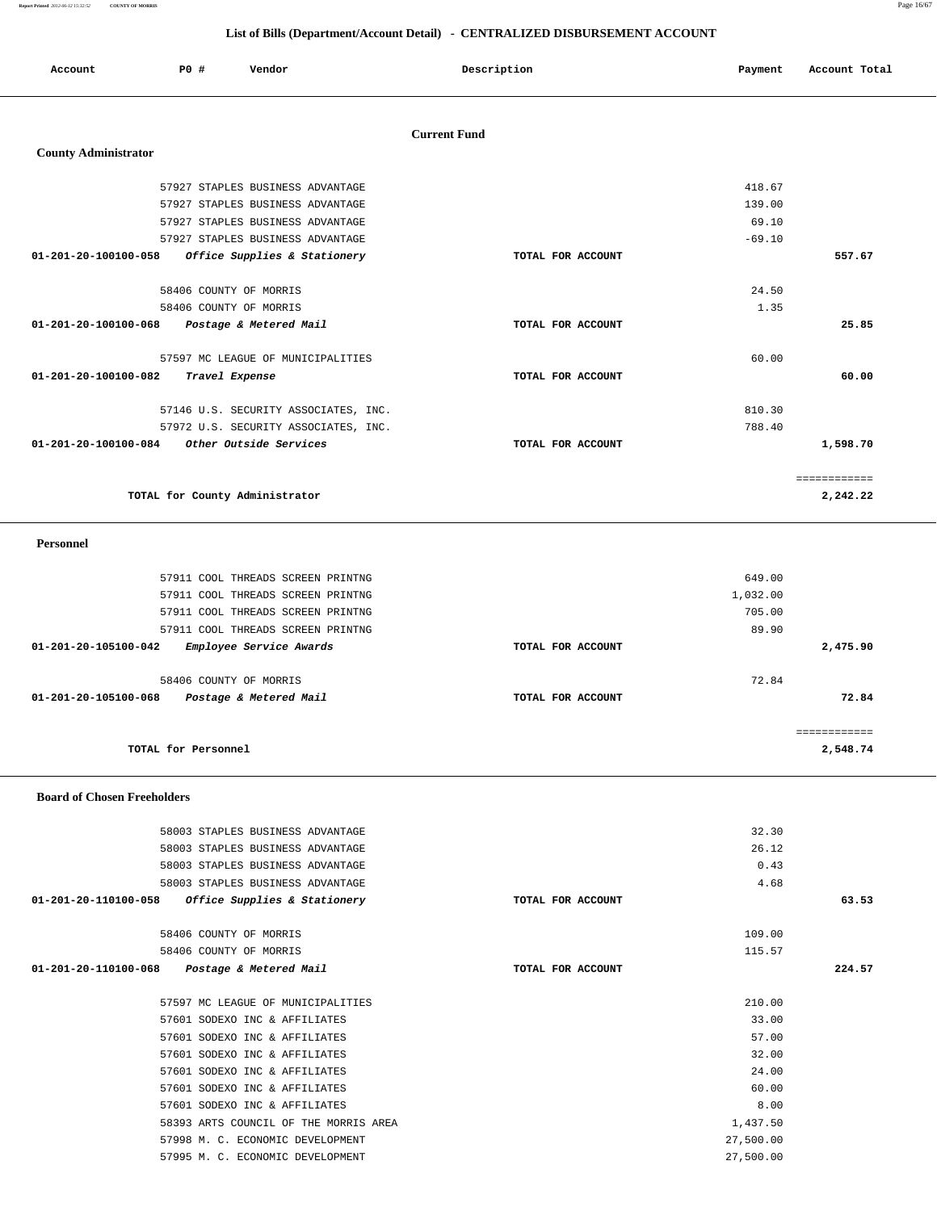**Report Printed** *2012-06-12 15:32:52* **COUNTY OF MORRIS** Page 16/67

|                                |     |                |                                      |                     | List of Bills (Department/Account Detail) - CENTRALIZED DISBURSEMENT ACCOUNT |          |               |
|--------------------------------|-----|----------------|--------------------------------------|---------------------|------------------------------------------------------------------------------|----------|---------------|
| Account                        | PO# |                | Vendor                               |                     | Description                                                                  | Payment  | Account Total |
|                                |     |                |                                      | <b>Current Fund</b> |                                                                              |          |               |
| <b>County Administrator</b>    |     |                |                                      |                     |                                                                              |          |               |
|                                |     |                | 57927 STAPLES BUSINESS ADVANTAGE     |                     |                                                                              | 418.67   |               |
|                                |     |                | 57927 STAPLES BUSINESS ADVANTAGE     |                     |                                                                              | 139.00   |               |
|                                |     |                | 57927 STAPLES BUSINESS ADVANTAGE     |                     |                                                                              | 69.10    |               |
|                                |     |                | 57927 STAPLES BUSINESS ADVANTAGE     |                     |                                                                              | $-69.10$ |               |
| 01-201-20-100100-058           |     |                | Office Supplies & Stationery         |                     | TOTAL FOR ACCOUNT                                                            |          | 557.67        |
|                                |     |                |                                      |                     |                                                                              |          |               |
|                                |     |                | 58406 COUNTY OF MORRIS               |                     |                                                                              | 24.50    |               |
|                                |     |                | 58406 COUNTY OF MORRIS               |                     |                                                                              | 1.35     |               |
| 01-201-20-100100-068           |     |                | Postage & Metered Mail               |                     | TOTAL FOR ACCOUNT                                                            |          | 25.85         |
|                                |     |                |                                      |                     |                                                                              |          |               |
|                                |     |                | 57597 MC LEAGUE OF MUNICIPALITIES    |                     |                                                                              | 60.00    |               |
| $01 - 201 - 20 - 100100 - 082$ |     | Travel Expense |                                      |                     | TOTAL FOR ACCOUNT                                                            |          | 60.00         |
|                                |     |                | 57146 U.S. SECURITY ASSOCIATES, INC. |                     |                                                                              | 810.30   |               |
|                                |     |                | 57972 U.S. SECURITY ASSOCIATES, INC. |                     |                                                                              | 788.40   |               |
| 01-201-20-100100-084           |     |                | Other Outside Services               |                     | TOTAL FOR ACCOUNT                                                            |          | 1,598.70      |
|                                |     |                |                                      |                     |                                                                              |          |               |
|                                |     |                |                                      |                     |                                                                              |          | ============  |
|                                |     |                | TOTAL for County Administrator       |                     |                                                                              |          | 2,242.22      |

## **Personnel**

| 57911 COOL THREADS SCREEN PRINTNG                                        |                   | 649.00                  |
|--------------------------------------------------------------------------|-------------------|-------------------------|
| 57911 COOL THREADS SCREEN PRINTNG                                        |                   | 1,032.00                |
| 57911 COOL THREADS SCREEN PRINTNG                                        |                   | 705.00                  |
| 57911 COOL THREADS SCREEN PRINTNG                                        |                   | 89.90                   |
| Employee Service Awards<br>01-201-20-105100-042                          | TOTAL FOR ACCOUNT | 2,475.90                |
| 58406 COUNTY OF MORRIS<br>01-201-20-105100-068<br>Postage & Metered Mail | TOTAL FOR ACCOUNT | 72.84<br>72.84          |
| TOTAL for Personnel                                                      |                   | ===========<br>2,548.74 |

## **Board of Chosen Freeholders**

|                      | 58003 STAPLES BUSINESS ADVANTAGE      | 32.30             |        |
|----------------------|---------------------------------------|-------------------|--------|
|                      | 58003 STAPLES BUSINESS ADVANTAGE      | 26.12             |        |
|                      | 58003 STAPLES BUSINESS ADVANTAGE      | 0.43              |        |
|                      | 58003 STAPLES BUSINESS ADVANTAGE      | 4.68              |        |
| 01-201-20-110100-058 | Office Supplies & Stationery          | TOTAL FOR ACCOUNT | 63.53  |
|                      | 58406 COUNTY OF MORRIS                | 109.00            |        |
|                      | 58406 COUNTY OF MORRIS                | 115.57            |        |
| 01-201-20-110100-068 | Postage & Metered Mail                | TOTAL FOR ACCOUNT | 224.57 |
|                      | 57597 MC LEAGUE OF MUNICIPALITIES     | 210.00            |        |
|                      | 57601 SODEXO INC & AFFILIATES         | 33.00             |        |
|                      |                                       |                   |        |
|                      | 57601 SODEXO INC & AFFILIATES         | 57.00             |        |
|                      | 57601 SODEXO INC & AFFILIATES         | 32.00             |        |
|                      | 57601 SODEXO INC & AFFILIATES         | 24.00             |        |
|                      | 57601 SODEXO INC & AFFILIATES         | 60.00             |        |
|                      | 57601 SODEXO INC & AFFILIATES         | 8.00              |        |
|                      | 58393 ARTS COUNCIL OF THE MORRIS AREA | 1,437.50          |        |
|                      | 57998 M. C. ECONOMIC DEVELOPMENT      | 27,500.00         |        |
|                      | 57995 M. C. ECONOMIC DEVELOPMENT      | 27,500.00         |        |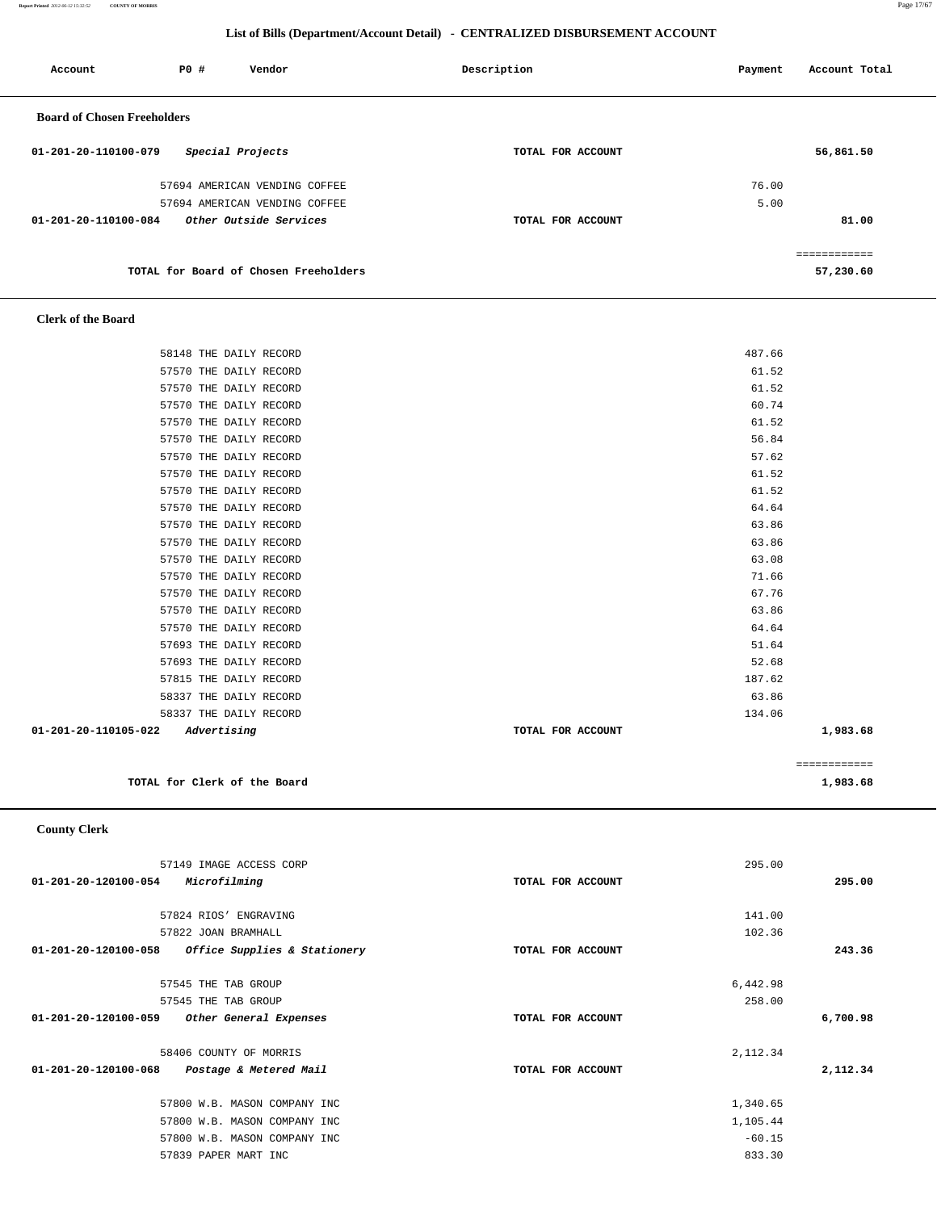**Report Printed** *2012-06-12 15:32:52* **COUNTY OF MORRIS** Page 17/67

## **List of Bills (Department/Account Detail) - CENTRALIZED DISBURSEMENT ACCOUNT**

| Account                            | PO# | Vendor                                | Description       | Payment | Account Total |
|------------------------------------|-----|---------------------------------------|-------------------|---------|---------------|
| <b>Board of Chosen Freeholders</b> |     |                                       |                   |         |               |
| 01-201-20-110100-079               |     | Special Projects                      | TOTAL FOR ACCOUNT |         | 56,861.50     |
|                                    |     | 57694 AMERICAN VENDING COFFEE         |                   | 76.00   |               |
|                                    |     | 57694 AMERICAN VENDING COFFEE         |                   | 5.00    |               |
| 01-201-20-110100-084               |     | Other Outside Services                | TOTAL FOR ACCOUNT |         | 81.00         |
|                                    |     |                                       |                   |         |               |
|                                    |     | TOTAL for Board of Chosen Freeholders |                   |         | 57,230.60     |

## **Clerk of the Board**

| 58148 THE DAILY RECORD              | 487.66            |              |
|-------------------------------------|-------------------|--------------|
| 57570 THE DAILY RECORD              | 61.52             |              |
|                                     |                   |              |
| 57570 THE DAILY RECORD              | 61.52             |              |
| 57570 THE DAILY RECORD              | 60.74             |              |
| 57570 THE DAILY RECORD              | 61.52             |              |
| 57570 THE DAILY RECORD              | 56.84             |              |
| 57570 THE DAILY RECORD              | 57.62             |              |
| 57570 THE DAILY RECORD              | 61.52             |              |
| 57570 THE DAILY RECORD              | 61.52             |              |
| 57570 THE DAILY RECORD              | 64.64             |              |
| 57570 THE DAILY RECORD              | 63.86             |              |
| 57570 THE DAILY RECORD              | 63.86             |              |
| 57570 THE DAILY RECORD              | 63.08             |              |
| 57570 THE DAILY RECORD              | 71.66             |              |
| 57570 THE DAILY RECORD              | 67.76             |              |
| 57570 THE DAILY RECORD              | 63.86             |              |
| 57570 THE DAILY RECORD              | 64.64             |              |
| 57693 THE DAILY RECORD              | 51.64             |              |
| 57693 THE DAILY RECORD              | 52.68             |              |
| 57815 THE DAILY RECORD              | 187.62            |              |
| 58337 THE DAILY RECORD              | 63.86             |              |
| 58337 THE DAILY RECORD              | 134.06            |              |
| 01-201-20-110105-022<br>Advertising | TOTAL FOR ACCOUNT | 1,983.68     |
|                                     |                   |              |
|                                     |                   | ============ |
| TOTAL for Clerk of the Board        |                   | 1,983.68     |

## **County Clerk**

|                      | 57149 IMAGE ACCESS CORP      |                   | 295.00   |          |
|----------------------|------------------------------|-------------------|----------|----------|
| 01-201-20-120100-054 | Microfilming                 | TOTAL FOR ACCOUNT |          | 295.00   |
|                      |                              |                   |          |          |
|                      | 57824 RIOS' ENGRAVING        |                   | 141.00   |          |
|                      | 57822 JOAN BRAMHALL          |                   | 102.36   |          |
| 01-201-20-120100-058 | Office Supplies & Stationery | TOTAL FOR ACCOUNT |          | 243.36   |
|                      |                              |                   |          |          |
|                      | 57545 THE TAB GROUP          |                   | 6,442.98 |          |
|                      | 57545 THE TAB GROUP          |                   | 258.00   |          |
| 01-201-20-120100-059 | Other General Expenses       | TOTAL FOR ACCOUNT |          | 6,700.98 |
|                      |                              |                   |          |          |
|                      | 58406 COUNTY OF MORRIS       |                   | 2,112.34 |          |
| 01-201-20-120100-068 | Postage & Metered Mail       | TOTAL FOR ACCOUNT |          | 2,112.34 |
|                      |                              |                   |          |          |
|                      | 57800 W.B. MASON COMPANY INC |                   | 1,340.65 |          |
|                      | 57800 W.B. MASON COMPANY INC |                   | 1,105.44 |          |
|                      | 57800 W.B. MASON COMPANY INC |                   | $-60.15$ |          |
|                      | 57839 PAPER MART INC         |                   | 833.30   |          |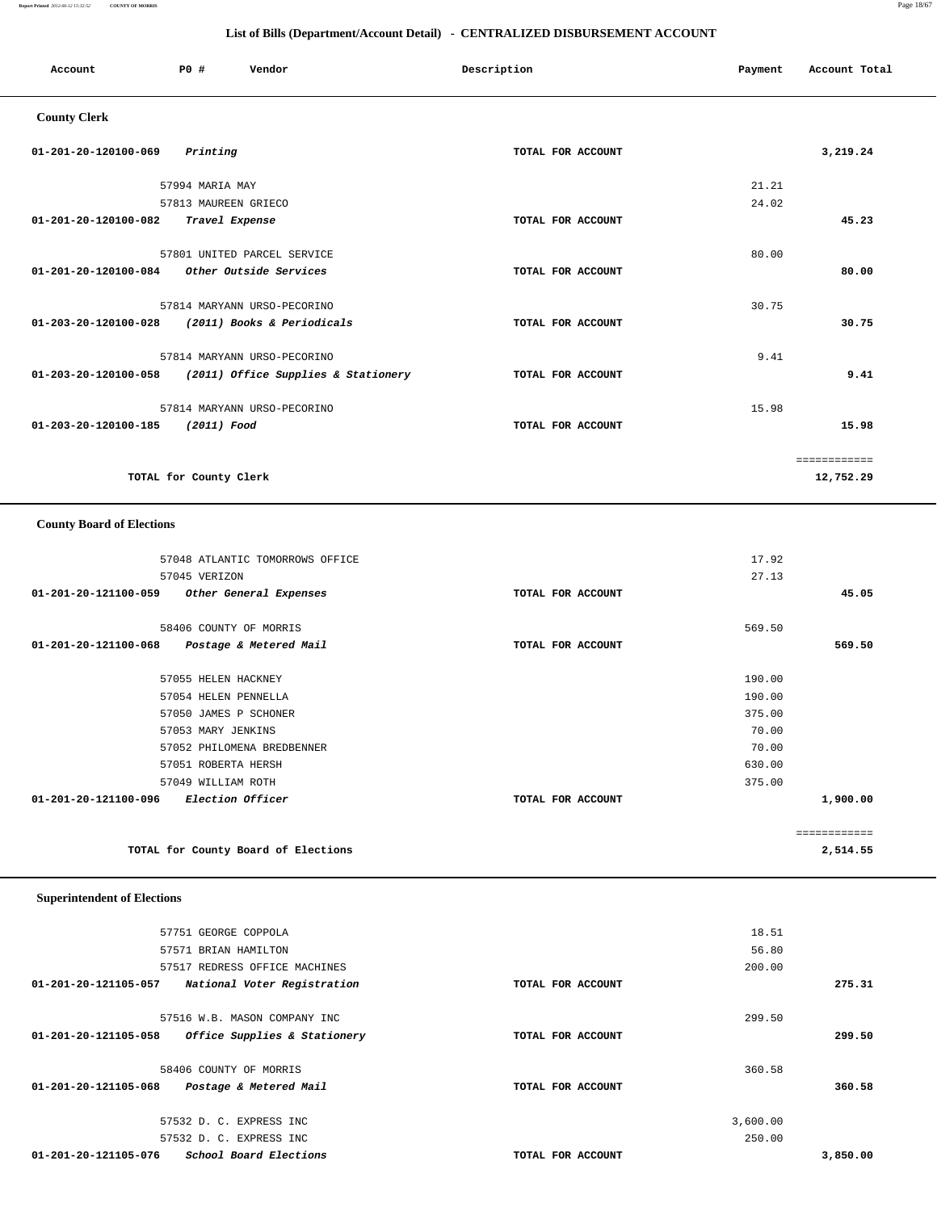**Report Printed** *2012-06-12 15:32:52* **COUNTY OF MORRIS** Page 18/67

## **List of Bills (Department/Account Detail) - CENTRALIZED DISBURSEMENT ACCOUNT**

| Account                          | P0#                    | Vendor                              | Description       | Payment | Account Total             |
|----------------------------------|------------------------|-------------------------------------|-------------------|---------|---------------------------|
| <b>County Clerk</b>              |                        |                                     |                   |         |                           |
| 01-201-20-120100-069             | Printing               |                                     | TOTAL FOR ACCOUNT |         | 3,219.24                  |
|                                  | 57994 MARIA MAY        |                                     |                   | 21.21   |                           |
|                                  | 57813 MAUREEN GRIECO   |                                     |                   | 24.02   |                           |
| $01 - 201 - 20 - 120100 - 082$   | Travel Expense         |                                     | TOTAL FOR ACCOUNT |         | 45.23                     |
|                                  |                        | 57801 UNITED PARCEL SERVICE         |                   | 80.00   |                           |
| $01 - 201 - 20 - 120100 - 084$   |                        | Other Outside Services              | TOTAL FOR ACCOUNT |         | 80.00                     |
|                                  |                        | 57814 MARYANN URSO-PECORINO         |                   | 30.75   |                           |
| 01-203-20-120100-028             |                        | (2011) Books & Periodicals          | TOTAL FOR ACCOUNT |         | 30.75                     |
|                                  |                        | 57814 MARYANN URSO-PECORINO         |                   | 9.41    |                           |
| 01-203-20-120100-058             |                        | (2011) Office Supplies & Stationery | TOTAL FOR ACCOUNT |         | 9.41                      |
|                                  |                        | 57814 MARYANN URSO-PECORINO         |                   | 15.98   |                           |
| 01-203-20-120100-185             | (2011) Food            |                                     | TOTAL FOR ACCOUNT |         | 15.98                     |
|                                  | TOTAL for County Clerk |                                     |                   |         | ============<br>12,752.29 |
| <b>County Board of Elections</b> |                        |                                     |                   |         |                           |

## 57048 ATLANTIC TOMORROWS OFFICE 17.92 57045 VERIZON 27.13  **01-201-20-121100-059 Other General Expenses TOTAL FOR ACCOUNT 45.05** 58406 COUNTY OF MORRIS 569.50  **01-201-20-121100-068 Postage & Metered Mail TOTAL FOR ACCOUNT 569.50** 57055 HELEN HACKNEY 190.00 57054 HELEN PENNELLA 190.00 57050 JAMES P SCHONER 375.00 57053 MARY JENKINS 70.00 57052 PHILOMENA BREDBENNER 70.00 57051 ROBERTA HERSH 630.00 57049 WILLIAM ROTH 375.00  **01-201-20-121100-096 Election Officer TOTAL FOR ACCOUNT 1,900.00** ============ **TOTAL for County Board of Elections 2,514.55**

## **Superintendent of Elections**

|          | 18.51    |                   | 57751 GEORGE COPPOLA          |                      |
|----------|----------|-------------------|-------------------------------|----------------------|
|          | 56.80    |                   | 57571 BRIAN HAMILTON          |                      |
|          | 200.00   |                   | 57517 REDRESS OFFICE MACHINES |                      |
| 275.31   |          | TOTAL FOR ACCOUNT | National Voter Registration   | 01-201-20-121105-057 |
|          | 299.50   |                   | 57516 W.B. MASON COMPANY INC  |                      |
| 299.50   |          | TOTAL FOR ACCOUNT | Office Supplies & Stationery  | 01-201-20-121105-058 |
|          | 360.58   |                   | 58406 COUNTY OF MORRIS        |                      |
| 360.58   |          | TOTAL FOR ACCOUNT | Postage & Metered Mail        | 01-201-20-121105-068 |
|          | 3,600.00 |                   | 57532 D. C. EXPRESS INC       |                      |
|          | 250.00   |                   | 57532 D. C. EXPRESS INC       |                      |
| 3,850,00 |          | TOTAL FOR ACCOUNT | School Board Elections        | 01-201-20-121105-076 |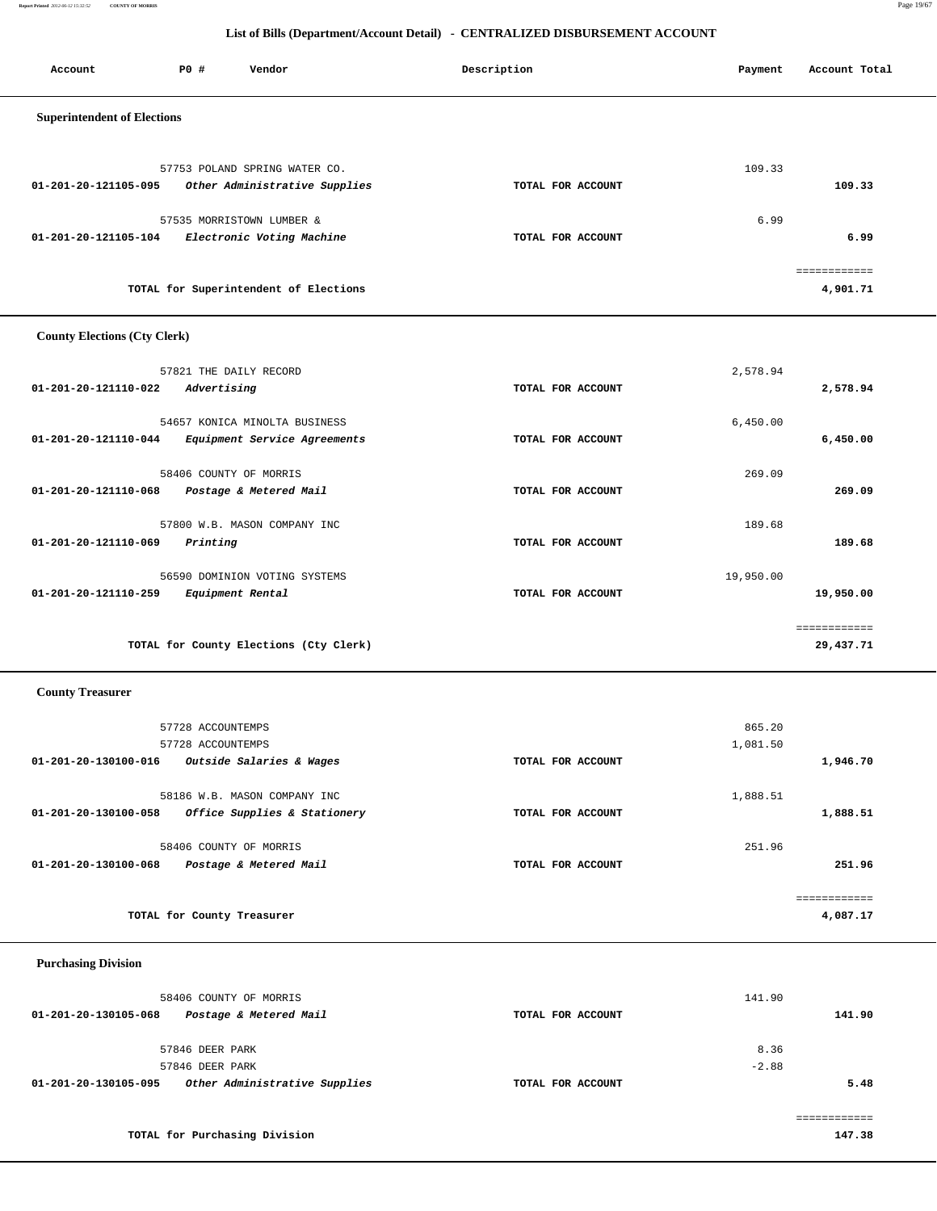**Report Printed** *2012-06-12 15:32:52* **COUNTY OF MORRIS** Page 19/67

## **List of Bills (Department/Account Detail) - CENTRALIZED DISBURSEMENT ACCOUNT**

| Account                            | <b>PO #</b> | Vendor                                | Description       | Payment | Account Total |
|------------------------------------|-------------|---------------------------------------|-------------------|---------|---------------|
| <b>Superintendent of Elections</b> |             |                                       |                   |         |               |
|                                    |             | 57753 POLAND SPRING WATER CO.         |                   | 109.33  |               |
| 01-201-20-121105-095               |             | Other Administrative Supplies         | TOTAL FOR ACCOUNT |         | 109.33        |
|                                    |             | 57535 MORRISTOWN LUMBER &             |                   | 6.99    |               |
| 01-201-20-121105-104               |             | Electronic Voting Machine             | TOTAL FOR ACCOUNT |         | 6.99          |
|                                    |             |                                       |                   |         | ============  |
|                                    |             | TOTAL for Superintendent of Elections |                   |         | 4,901.71      |

## **County Elections (Cty Clerk)**

| 57821 THE DAILY RECORD                                                                |                   | 2,578.94  |              |
|---------------------------------------------------------------------------------------|-------------------|-----------|--------------|
| 01-201-20-121110-022<br>Advertising                                                   | TOTAL FOR ACCOUNT |           | 2,578.94     |
| 54657 KONICA MINOLTA BUSINESS<br>01-201-20-121110-044<br>Equipment Service Agreements | TOTAL FOR ACCOUNT | 6,450.00  | 6,450.00     |
| 58406 COUNTY OF MORRIS<br>01-201-20-121110-068<br>Postage & Metered Mail              | TOTAL FOR ACCOUNT | 269.09    | 269.09       |
| 57800 W.B. MASON COMPANY INC<br>01-201-20-121110-069<br>Printing                      | TOTAL FOR ACCOUNT | 189.68    | 189.68       |
| 56590 DOMINION VOTING SYSTEMS<br>01-201-20-121110-259<br>Equipment Rental             | TOTAL FOR ACCOUNT | 19,950.00 | 19,950.00    |
|                                                                                       |                   |           | ============ |
| TOTAL for County Elections (Cty Clerk)                                                |                   |           | 29,437.71    |

## **County Treasurer**

|                      | 57728 ACCOUNTEMPS            |                   | 865.20   |          |
|----------------------|------------------------------|-------------------|----------|----------|
|                      | 57728 ACCOUNTEMPS            |                   | 1,081.50 |          |
| 01-201-20-130100-016 | Outside Salaries & Wages     | TOTAL FOR ACCOUNT |          | 1,946.70 |
|                      |                              |                   |          |          |
|                      | 58186 W.B. MASON COMPANY INC |                   | 1,888.51 |          |
| 01-201-20-130100-058 | Office Supplies & Stationery | TOTAL FOR ACCOUNT |          | 1,888.51 |
|                      |                              |                   |          |          |
|                      | 58406 COUNTY OF MORRIS       |                   | 251.96   |          |
| 01-201-20-130100-068 | Postage & Metered Mail       | TOTAL FOR ACCOUNT |          | 251.96   |
|                      |                              |                   |          |          |
|                      |                              |                   |          |          |
|                      | TOTAL for County Treasurer   |                   |          | 4,087.17 |

 **Purchasing Division** 

| 58406 COUNTY OF MORRIS<br>Postage & Metered Mail<br>01-201-20-130105-068 | TOTAL FOR ACCOUNT | 141.90<br>141.90 |
|--------------------------------------------------------------------------|-------------------|------------------|
| 57846 DEER PARK<br>57846 DEER PARK                                       |                   | 8.36<br>$-2.88$  |
| Other Administrative Supplies<br>01-201-20-130105-095                    | TOTAL FOR ACCOUNT | 5.48             |
|                                                                          |                   |                  |
| TOTAL for Purchasing Division                                            |                   | 147.38           |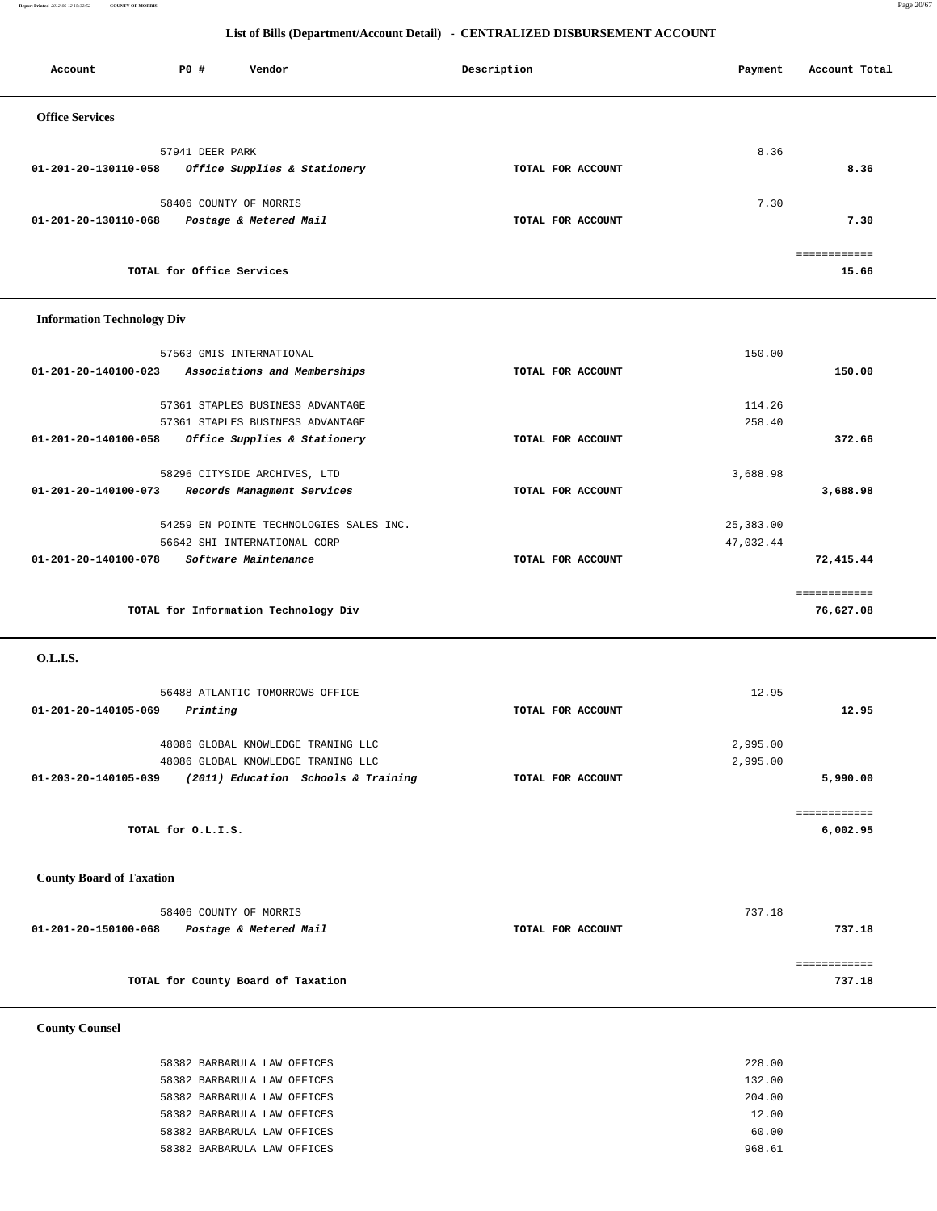**Report Printed** *2012-06-12 15:32:52* **COUNTY OF MORRIS** Page 20/67

## **List of Bills (Department/Account Detail) - CENTRALIZED DISBURSEMENT ACCOUNT**

| Account                           | P0 #                      | Vendor                                                                                                          | Description       | Payment                | Account Total             |
|-----------------------------------|---------------------------|-----------------------------------------------------------------------------------------------------------------|-------------------|------------------------|---------------------------|
| <b>Office Services</b>            |                           |                                                                                                                 |                   |                        |                           |
| 01-201-20-130110-058              | 57941 DEER PARK           | Office Supplies & Stationery                                                                                    | TOTAL FOR ACCOUNT | 8.36                   | 8.36                      |
| 01-201-20-130110-068              |                           | 58406 COUNTY OF MORRIS<br>Postage & Metered Mail                                                                | TOTAL FOR ACCOUNT | 7.30                   | 7.30                      |
|                                   | TOTAL for Office Services |                                                                                                                 |                   |                        | ============<br>15.66     |
| <b>Information Technology Div</b> |                           |                                                                                                                 |                   |                        |                           |
| 01-201-20-140100-023              |                           | 57563 GMIS INTERNATIONAL<br>Associations and Memberships                                                        | TOTAL FOR ACCOUNT | 150.00                 | 150.00                    |
|                                   |                           | 57361 STAPLES BUSINESS ADVANTAGE<br>57361 STAPLES BUSINESS ADVANTAGE                                            |                   | 114.26<br>258.40       |                           |
| 01-201-20-140100-058              |                           | Office Supplies & Stationery                                                                                    | TOTAL FOR ACCOUNT |                        | 372.66                    |
| 01-201-20-140100-073              |                           | 58296 CITYSIDE ARCHIVES, LTD<br>Records Managment Services                                                      | TOTAL FOR ACCOUNT | 3,688.98               | 3,688.98                  |
| 01-201-20-140100-078              |                           | 54259 EN POINTE TECHNOLOGIES SALES INC.<br>56642 SHI INTERNATIONAL CORP<br>Software Maintenance                 | TOTAL FOR ACCOUNT | 25,383.00<br>47,032.44 | 72,415.44                 |
|                                   |                           | TOTAL for Information Technology Div                                                                            |                   |                        | ============<br>76,627.08 |
| O.L.I.S.                          |                           |                                                                                                                 |                   |                        |                           |
| 01-201-20-140105-069              | Printing                  | 56488 ATLANTIC TOMORROWS OFFICE                                                                                 | TOTAL FOR ACCOUNT | 12.95                  | 12.95                     |
| 01-203-20-140105-039              |                           | 48086 GLOBAL KNOWLEDGE TRANING LLC<br>48086 GLOBAL KNOWLEDGE TRANING LLC<br>(2011) Education Schools & Training | TOTAL FOR ACCOUNT | 2,995.00<br>2,995.00   | 5,990.00                  |
|                                   |                           |                                                                                                                 |                   |                        | ============              |
|                                   | TOTAL for O.L.I.S.        |                                                                                                                 |                   |                        | 6,002.95                  |
| <b>County Board of Taxation</b>   |                           |                                                                                                                 |                   |                        |                           |
| 01-201-20-150100-068              |                           | 58406 COUNTY OF MORRIS<br>Postage & Metered Mail                                                                | TOTAL FOR ACCOUNT | 737.18                 | 737.18                    |
|                                   |                           | TOTAL for County Board of Taxation                                                                              |                   |                        | ============<br>737.18    |
| <b>County Counsel</b>             |                           |                                                                                                                 |                   |                        |                           |
|                                   |                           |                                                                                                                 |                   |                        |                           |

 58382 BARBARULA LAW OFFICES 228.00 58382 BARBARULA LAW OFFICES 132.00 58382 BARBARULA LAW OFFICES 204.00 58382 BARBARULA LAW OFFICES 12.00 58382 BARBARULA LAW OFFICES 60.00 58382 BARBARULA LAW OFFICES 968.61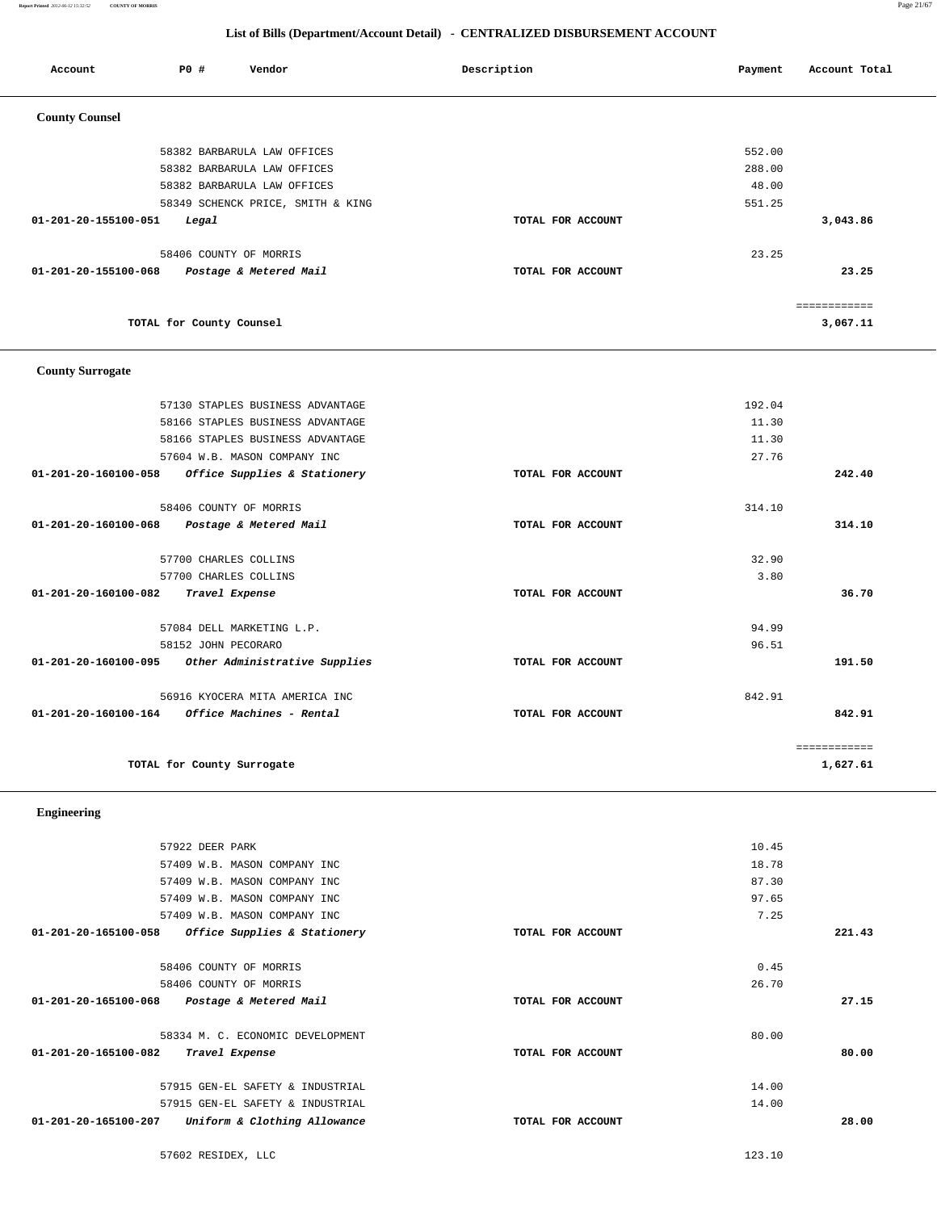**Report Printed** *2012-06-12 15:32:52* **COUNTY OF MORRIS** Page 21/67

## **List of Bills (Department/Account Detail) - CENTRALIZED DISBURSEMENT ACCOUNT**

| Account                 | PO#                      | Vendor                            | Description       | Payment | Account Total |
|-------------------------|--------------------------|-----------------------------------|-------------------|---------|---------------|
| <b>County Counsel</b>   |                          |                                   |                   |         |               |
|                         |                          | 58382 BARBARULA LAW OFFICES       |                   | 552.00  |               |
|                         |                          | 58382 BARBARULA LAW OFFICES       |                   | 288.00  |               |
|                         |                          | 58382 BARBARULA LAW OFFICES       |                   | 48.00   |               |
|                         |                          | 58349 SCHENCK PRICE, SMITH & KING |                   | 551.25  |               |
| 01-201-20-155100-051    | Legal                    |                                   | TOTAL FOR ACCOUNT |         | 3,043.86      |
|                         | 58406 COUNTY OF MORRIS   |                                   |                   | 23.25   |               |
| 01-201-20-155100-068    |                          | Postage & Metered Mail            | TOTAL FOR ACCOUNT |         | 23.25         |
|                         |                          |                                   |                   |         | ============  |
|                         | TOTAL for County Counsel |                                   |                   |         | 3,067.11      |
| <b>County Surrogate</b> |                          |                                   |                   |         |               |
|                         |                          | 57130 STAPLES BUSINESS ADVANTAGE  |                   | 192.04  |               |
|                         |                          | 58166 STAPLES BUSINESS ADVANTAGE  |                   | 11.30   |               |
|                         |                          | 58166 STAPLES BUSINESS ADVANTAGE  |                   | 11.30   |               |
|                         |                          | 57604 W.B. MASON COMPANY INC      |                   | 27.76   |               |
| 01-201-20-160100-058    |                          | Office Supplies & Stationery      | TOTAL FOR ACCOUNT |         | 242.40        |
|                         | 58406 COUNTY OF MORRIS   |                                   |                   | 314.10  |               |
| 01-201-20-160100-068    |                          | Postage & Metered Mail            | TOTAL FOR ACCOUNT |         | 314.10        |
|                         | 57700 CHARLES COLLINS    |                                   |                   | 32.90   |               |
|                         | 57700 CHARLES COLLINS    |                                   |                   | 3.80    |               |

 **01-201-20-160100-082 Travel Expense TOTAL FOR ACCOUNT 36.70**

 57084 DELL MARKETING L.P. 94.99 58152 JOHN PECORARO 96.51  **01-201-20-160100-095 Other Administrative Supplies TOTAL FOR ACCOUNT 191.50**

 56916 KYOCERA MITA AMERICA INC 842.91  **01-201-20-160100-164 Office Machines - Rental TOTAL FOR ACCOUNT 842.91**

TOTAL for County Surrogate 1,627.61

============

 **Engineering** 

| 57922 DEER PARK                                      |                   | 10.45 |        |
|------------------------------------------------------|-------------------|-------|--------|
| 57409 W.B. MASON COMPANY INC                         |                   | 18.78 |        |
| 57409 W.B. MASON COMPANY INC                         |                   | 87.30 |        |
| 57409 W.B. MASON COMPANY INC                         |                   | 97.65 |        |
| 57409 W.B. MASON COMPANY INC                         |                   | 7.25  |        |
| 01-201-20-165100-058<br>Office Supplies & Stationery | TOTAL FOR ACCOUNT |       | 221.43 |
| 58406 COUNTY OF MORRIS                               |                   | 0.45  |        |
| 58406 COUNTY OF MORRIS                               |                   | 26.70 |        |
| 01-201-20-165100-068<br>Postage & Metered Mail       | TOTAL FOR ACCOUNT |       | 27.15  |
| 58334 M. C. ECONOMIC DEVELOPMENT                     |                   | 80.00 |        |
| 01-201-20-165100-082<br>Travel Expense               | TOTAL FOR ACCOUNT |       | 80.00  |
| 57915 GEN-EL SAFETY & INDUSTRIAL                     |                   | 14.00 |        |
| 57915 GEN-EL SAFETY & INDUSTRIAL                     |                   | 14.00 |        |
| 01-201-20-165100-207<br>Uniform & Clothing Allowance | TOTAL FOR ACCOUNT |       | 28.00  |
|                                                      |                   |       |        |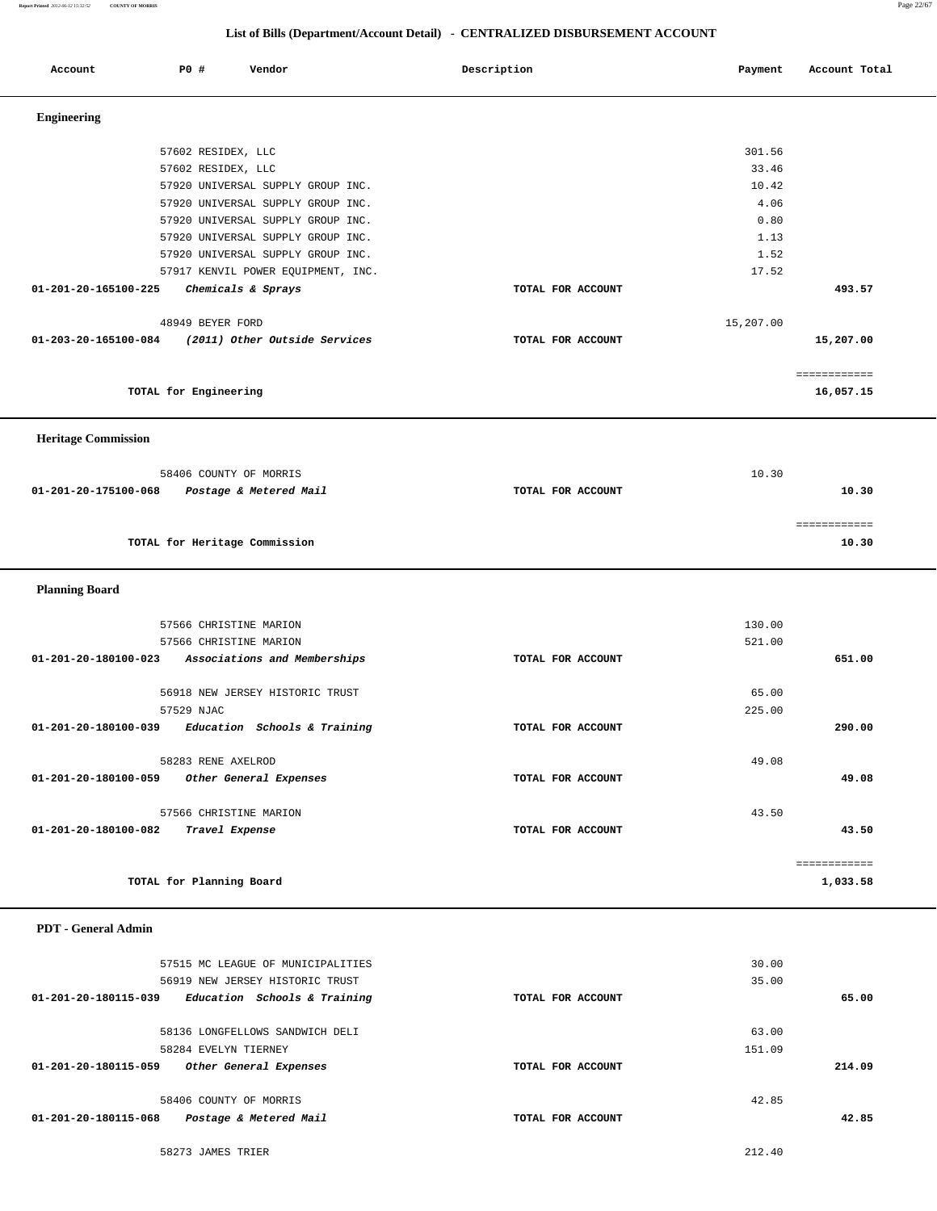**Report Printed** *2012-06-12 15:32:52* **COUNTY OF MORRIS** Page 22/67

## **List of Bills (Department/Account Detail) - CENTRALIZED DISBURSEMENT ACCOUNT**

| Account                    |                       | P0 # | Vendor                             | Description       | Payment   | Account Total |
|----------------------------|-----------------------|------|------------------------------------|-------------------|-----------|---------------|
| <b>Engineering</b>         |                       |      |                                    |                   |           |               |
|                            |                       |      |                                    |                   |           |               |
|                            |                       |      | 57602 RESIDEX, LLC                 |                   | 301.56    |               |
|                            |                       |      | 57602 RESIDEX, LLC                 |                   | 33.46     |               |
|                            |                       |      | 57920 UNIVERSAL SUPPLY GROUP INC.  |                   | 10.42     |               |
|                            |                       |      | 57920 UNIVERSAL SUPPLY GROUP INC.  |                   | 4.06      |               |
|                            |                       |      | 57920 UNIVERSAL SUPPLY GROUP INC.  |                   | 0.80      |               |
|                            |                       |      | 57920 UNIVERSAL SUPPLY GROUP INC.  |                   | 1.13      |               |
|                            |                       |      | 57920 UNIVERSAL SUPPLY GROUP INC.  |                   | 1.52      |               |
|                            |                       |      | 57917 KENVIL POWER EQUIPMENT, INC. |                   | 17.52     |               |
| 01-201-20-165100-225       |                       |      | Chemicals & Sprays                 | TOTAL FOR ACCOUNT |           | 493.57        |
|                            |                       |      | 48949 BEYER FORD                   |                   | 15,207.00 |               |
| 01-203-20-165100-084       |                       |      | (2011) Other Outside Services      | TOTAL FOR ACCOUNT |           | 15,207.00     |
|                            |                       |      |                                    |                   |           | ============  |
|                            | TOTAL for Engineering |      |                                    |                   |           | 16,057.15     |
| <b>Heritage Commission</b> |                       |      |                                    |                   |           |               |
|                            |                       |      |                                    |                   |           |               |
|                            |                       |      | 58406 COUNTY OF MORRIS             |                   | 10.30     |               |
| 01-201-20-175100-068       |                       |      | Postage & Metered Mail             | TOTAL FOR ACCOUNT |           | 10.30         |
|                            |                       |      |                                    |                   |           | ============  |
|                            |                       |      | TOTAL for Heritage Commission      |                   |           | 10.30         |
| <b>Planning Board</b>      |                       |      |                                    |                   |           |               |
|                            |                       |      | 57566 CHRISTINE MARION             |                   | 130.00    |               |
|                            |                       |      | 57566 CHRISTINE MARION             |                   | 521.00    |               |
| 01-201-20-180100-023       |                       |      | Associations and Memberships       | TOTAL FOR ACCOUNT |           | 651.00        |
|                            |                       |      |                                    |                   |           |               |
|                            |                       |      | 56918 NEW JERSEY HISTORIC TRUST    |                   | 65.00     |               |
|                            | 57529 NJAC            |      |                                    |                   | 225.00    |               |
| 01-201-20-180100-039       |                       |      | Education Schools & Training       | TOTAL FOR ACCOUNT |           | 290.00        |
|                            |                       |      | 58283 RENE AXELROD                 |                   | 49.08     |               |
| 01-201-20-180100-059       |                       |      | Other General Expenses             | TOTAL FOR ACCOUNT |           | 49.08         |
|                            |                       |      |                                    |                   |           |               |
|                            |                       |      | 57566 CHRISTINE MARION             |                   | 43.50     |               |
| 01-201-20-180100-082       |                       |      | Travel Expense                     | TOTAL FOR ACCOUNT |           | 43.50         |
|                            |                       |      |                                    |                   |           | ============  |
|                            |                       |      | TOTAL for Planning Board           |                   |           | 1,033.58      |
| <b>PDT</b> - General Admin |                       |      |                                    |                   |           |               |
|                            |                       |      |                                    |                   |           |               |
|                            |                       |      | 57515 MC LEAGUE OF MUNICIPALITIES  |                   | 30.00     |               |
|                            |                       |      | 56919 NEW JERSEY HISTORIC TRUST    |                   | 35.00     |               |
| 01-201-20-180115-039       |                       |      | Education Schools & Training       | TOTAL FOR ACCOUNT |           | 65.00         |
|                            |                       |      | 58136 LONGFELLOWS SANDWICH DELI    |                   | 63.00     |               |
|                            |                       |      | 58284 EVELYN TIERNEY               |                   | 151.09    |               |
| 01-201-20-180115-059       |                       |      | Other General Expenses             | TOTAL FOR ACCOUNT |           | 214.09        |
|                            |                       |      | 58406 COUNTY OF MORRIS             |                   | 42.85     |               |
| 01-201-20-180115-068       |                       |      | Postage & Metered Mail             | TOTAL FOR ACCOUNT |           | 42.85         |

58273 JAMES TRIER 212.40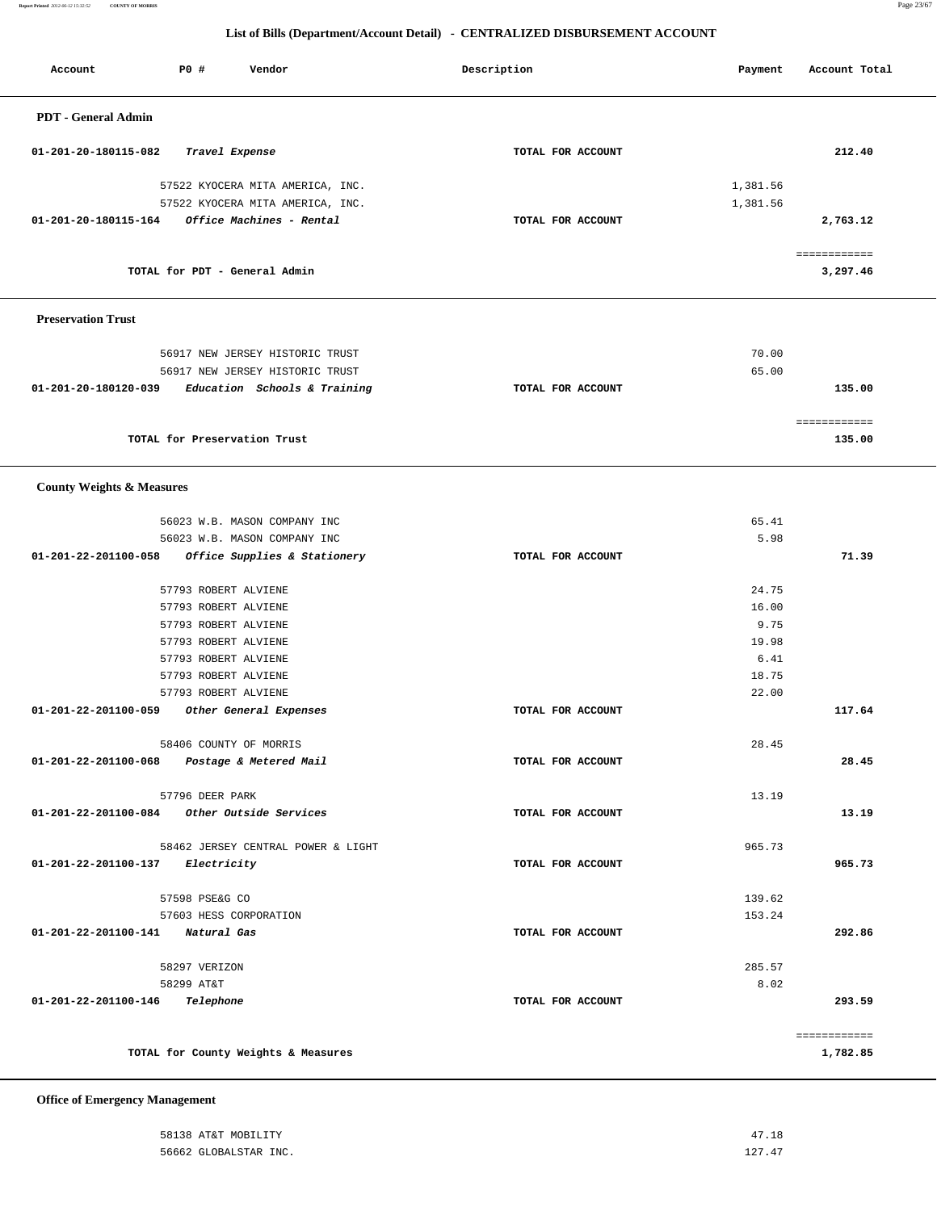**Report Printed** *2012-06-12 15:32:52* **COUNTY OF MORRIS** Page 23/67

## **List of Bills (Department/Account Detail) - CENTRALIZED DISBURSEMENT ACCOUNT**

| Account                                     | <b>PO #</b>     | Vendor                                       | Description       | Payment       | Account Total            |
|---------------------------------------------|-----------------|----------------------------------------------|-------------------|---------------|--------------------------|
| <b>PDT</b> - General Admin                  |                 |                                              |                   |               |                          |
| 01-201-20-180115-082                        |                 | Travel Expense                               | TOTAL FOR ACCOUNT |               | 212.40                   |
|                                             |                 | 57522 KYOCERA MITA AMERICA, INC.             |                   | 1,381.56      |                          |
|                                             |                 | 57522 KYOCERA MITA AMERICA, INC.             |                   | 1,381.56      |                          |
| 01-201-20-180115-164                        |                 | Office Machines - Rental                     | TOTAL FOR ACCOUNT |               | 2,763.12                 |
|                                             |                 | TOTAL for PDT - General Admin                |                   |               | ============<br>3,297.46 |
| <b>Preservation Trust</b>                   |                 |                                              |                   |               |                          |
|                                             |                 | 56917 NEW JERSEY HISTORIC TRUST              |                   | 70.00         |                          |
|                                             |                 | 56917 NEW JERSEY HISTORIC TRUST              |                   | 65.00         |                          |
| 01-201-20-180120-039                        |                 | Education Schools & Training                 | TOTAL FOR ACCOUNT |               | 135.00                   |
|                                             |                 | TOTAL for Preservation Trust                 |                   |               | ============<br>135.00   |
| <b>County Weights &amp; Measures</b>        |                 |                                              |                   |               |                          |
|                                             |                 | 56023 W.B. MASON COMPANY INC                 |                   | 65.41         |                          |
|                                             |                 | 56023 W.B. MASON COMPANY INC                 |                   | 5.98          |                          |
| 01-201-22-201100-058                        |                 | Office Supplies & Stationery                 | TOTAL FOR ACCOUNT |               | 71.39                    |
|                                             |                 | 57793 ROBERT ALVIENE                         |                   | 24.75         |                          |
|                                             |                 | 57793 ROBERT ALVIENE                         |                   | 16.00         |                          |
|                                             |                 | 57793 ROBERT ALVIENE                         |                   | 9.75          |                          |
|                                             |                 | 57793 ROBERT ALVIENE<br>57793 ROBERT ALVIENE |                   | 19.98<br>6.41 |                          |
|                                             |                 | 57793 ROBERT ALVIENE                         |                   | 18.75         |                          |
|                                             |                 | 57793 ROBERT ALVIENE                         |                   | 22.00         |                          |
| 01-201-22-201100-059                        |                 | Other General Expenses                       | TOTAL FOR ACCOUNT |               | 117.64                   |
|                                             |                 | 58406 COUNTY OF MORRIS                       |                   | 28.45         |                          |
| 01-201-22-201100-068                        |                 | Postage & Metered Mail                       | TOTAL FOR ACCOUNT |               | 28.45                    |
|                                             | 57796 DEER PARK |                                              |                   | 13.19         |                          |
| 01-201-22-201100-084 Other Outside Services |                 |                                              | TOTAL FOR ACCOUNT |               | 13.19                    |
|                                             |                 | 58462 JERSEY CENTRAL POWER & LIGHT           |                   | 965.73        |                          |
| 01-201-22-201100-137 Electricity            |                 |                                              | TOTAL FOR ACCOUNT |               | 965.73                   |
|                                             | 57598 PSE&G CO  |                                              |                   | 139.62        |                          |
|                                             |                 | 57603 HESS CORPORATION                       |                   | 153.24        |                          |
| 01-201-22-201100-141 Natural Gas            |                 |                                              | TOTAL FOR ACCOUNT |               | 292.86                   |
|                                             | 58297 VERIZON   |                                              |                   | 285.57        |                          |
|                                             | 58299 AT&T      |                                              |                   | 8.02          |                          |
| 01-201-22-201100-146                        | Telephone       |                                              | TOTAL FOR ACCOUNT |               | 293.59                   |
|                                             |                 | TOTAL for County Weights & Measures          |                   |               | ============<br>1,782.85 |

 **Office of Emergency Management**

| 58138 AT&T MOBILITY   | 47<br>$\overline{1}$ $\overline{0}$                      |
|-----------------------|----------------------------------------------------------|
| 56662 GLOBALSTAR INC. | 12747<br>the contract of the contract of the contract of |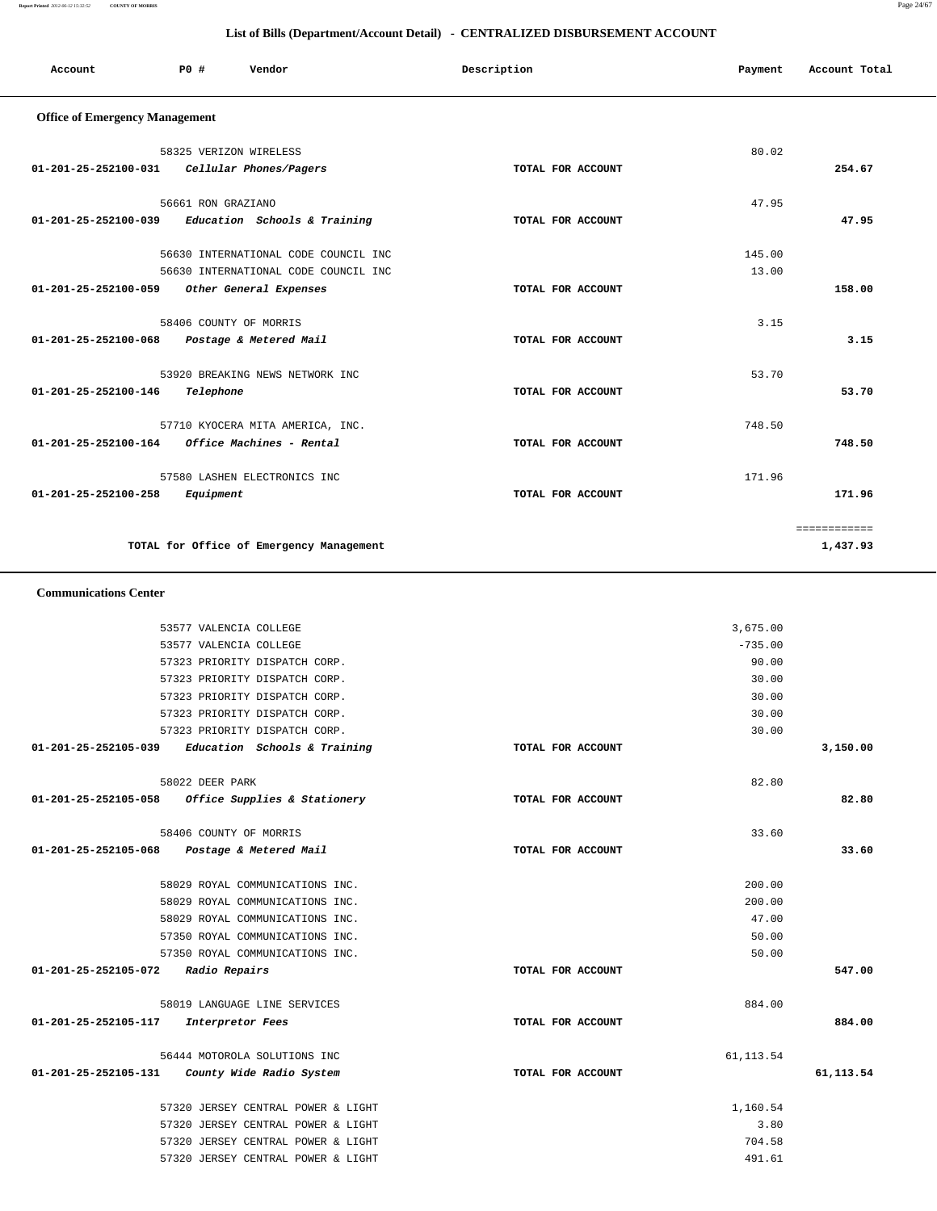## **Report Printed** *2012-06-12 15:32:52* **COUNTY OF MORRIS** Page 24/67

| Account                                     | P0 #                   | Vendor                                   | Description |                   | Payment   | Account Total |
|---------------------------------------------|------------------------|------------------------------------------|-------------|-------------------|-----------|---------------|
| <b>Office of Emergency Management</b>       |                        |                                          |             |                   |           |               |
|                                             | 58325 VERIZON WIRELESS |                                          |             |                   | 80.02     |               |
| 01-201-25-252100-031                        |                        | Cellular Phones/Pagers                   |             | TOTAL FOR ACCOUNT |           | 254.67        |
|                                             |                        |                                          |             |                   |           |               |
|                                             | 56661 RON GRAZIANO     |                                          |             |                   | 47.95     |               |
| 01-201-25-252100-039                        |                        | Education Schools & Training             |             | TOTAL FOR ACCOUNT |           | 47.95         |
|                                             |                        |                                          |             |                   |           |               |
|                                             |                        | 56630 INTERNATIONAL CODE COUNCIL INC     |             |                   | 145.00    |               |
|                                             |                        | 56630 INTERNATIONAL CODE COUNCIL INC     |             |                   | 13.00     |               |
| 01-201-25-252100-059                        |                        | Other General Expenses                   |             | TOTAL FOR ACCOUNT |           | 158.00        |
|                                             |                        |                                          |             |                   |           |               |
|                                             | 58406 COUNTY OF MORRIS |                                          |             |                   | 3.15      |               |
| 01-201-25-252100-068                        |                        | Postage & Metered Mail                   |             | TOTAL FOR ACCOUNT |           | 3.15          |
|                                             |                        |                                          |             |                   |           |               |
| 01-201-25-252100-146                        |                        | 53920 BREAKING NEWS NETWORK INC          |             |                   | 53.70     |               |
|                                             | Telephone              |                                          |             | TOTAL FOR ACCOUNT |           | 53.70         |
|                                             |                        | 57710 KYOCERA MITA AMERICA, INC.         |             |                   | 748.50    |               |
| 01-201-25-252100-164                        |                        | Office Machines - Rental                 |             | TOTAL FOR ACCOUNT |           | 748.50        |
|                                             |                        |                                          |             |                   |           |               |
|                                             |                        | 57580 LASHEN ELECTRONICS INC             |             |                   | 171.96    |               |
| 01-201-25-252100-258                        | Equipment              |                                          |             | TOTAL FOR ACCOUNT |           | 171.96        |
|                                             |                        |                                          |             |                   |           |               |
|                                             |                        |                                          |             |                   |           | ============  |
|                                             |                        | TOTAL for Office of Emergency Management |             |                   |           | 1,437.93      |
| <b>Communications Center</b>                |                        |                                          |             |                   |           |               |
|                                             |                        |                                          |             |                   |           |               |
|                                             | 53577 VALENCIA COLLEGE |                                          |             |                   | 3,675.00  |               |
|                                             | 53577 VALENCIA COLLEGE |                                          |             |                   | $-735.00$ |               |
|                                             |                        | 57323 PRIORITY DISPATCH CORP.            |             |                   | 90.00     |               |
|                                             |                        | 57323 PRIORITY DISPATCH CORP.            |             |                   | 30.00     |               |
|                                             |                        | 57323 PRIORITY DISPATCH CORP.            |             |                   | 30.00     |               |
|                                             |                        | 57323 PRIORITY DISPATCH CORP.            |             |                   | 30.00     |               |
|                                             |                        | 57323 PRIORITY DISPATCH CORP.            |             |                   | 30.00     |               |
| 01-201-25-252105-039                        |                        | Education Schools & Training             |             | TOTAL FOR ACCOUNT |           | 3,150.00      |
|                                             | 58022 DEER PARK        |                                          |             |                   | 82.80     |               |
| 01-201-25-252105-058                        |                        | Office Supplies & Stationery             |             | TOTAL FOR ACCOUNT |           | 82.80         |
|                                             |                        |                                          |             |                   |           |               |
|                                             | 58406 COUNTY OF MORRIS |                                          |             |                   | 33.60     |               |
| 01-201-25-252105-068 Postage & Metered Mail |                        |                                          |             | TOTAL FOR ACCOUNT |           | 33.60         |
|                                             |                        |                                          |             |                   |           |               |
|                                             |                        | 58029 ROYAL COMMUNICATIONS INC.          |             |                   | 200.00    |               |
|                                             |                        | 58029 ROYAL COMMUNICATIONS INC.          |             |                   | 200.00    |               |
|                                             |                        | 58029 ROYAL COMMUNICATIONS INC.          |             |                   | 47.00     |               |
|                                             |                        | 57350 ROYAL COMMUNICATIONS INC.          |             |                   | 50.00     |               |
|                                             |                        | 57350 ROYAL COMMUNICATIONS INC.          |             |                   | 50.00     |               |
| 01-201-25-252105-072 Radio Repairs          |                        |                                          |             | TOTAL FOR ACCOUNT |           | 547.00        |
|                                             |                        | 58019 LANGUAGE LINE SERVICES             |             |                   | 884.00    |               |
| 01-201-25-252105-117                        |                        | Interpretor Fees                         |             | TOTAL FOR ACCOUNT |           | 884.00        |
|                                             |                        |                                          |             |                   |           |               |
|                                             |                        | 56444 MOTOROLA SOLUTIONS INC             |             |                   | 61,113.54 |               |
| 01-201-25-252105-131                        |                        | County Wide Radio System                 |             | TOTAL FOR ACCOUNT |           | 61, 113.54    |
|                                             |                        |                                          |             |                   |           |               |
|                                             |                        | 57320 JERSEY CENTRAL POWER & LIGHT       |             |                   | 1,160.54  |               |
|                                             |                        | 57320 JERSEY CENTRAL POWER & LIGHT       |             |                   | 3.80      |               |
|                                             |                        | 57320 JERSEY CENTRAL POWER & LIGHT       |             |                   | 704.58    |               |
|                                             |                        | 57320 JERSEY CENTRAL POWER & LIGHT       |             |                   | 491.61    |               |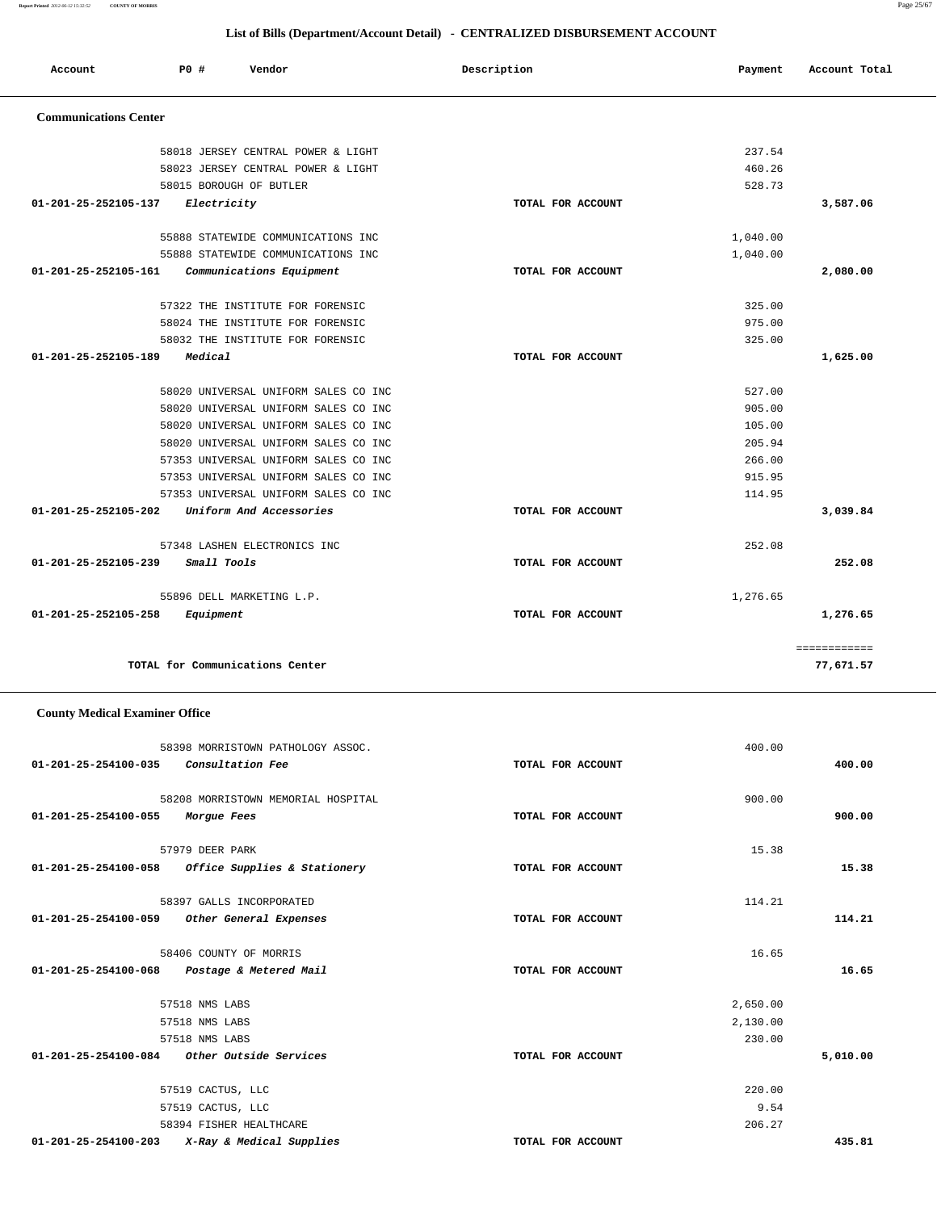**Report Printed** *2012-06-12 15:32:52* **COUNTY OF MORRIS** Page 25/67

## **List of Bills (Department/Account Detail) - CENTRALIZED DISBURSEMENT ACCOUNT**

| Account                      | P0#         | Vendor                               | Description       | Payment  | Account Total |
|------------------------------|-------------|--------------------------------------|-------------------|----------|---------------|
| <b>Communications Center</b> |             |                                      |                   |          |               |
|                              |             | 58018 JERSEY CENTRAL POWER & LIGHT   |                   | 237.54   |               |
|                              |             | 58023 JERSEY CENTRAL POWER & LIGHT   |                   | 460.26   |               |
|                              |             | 58015 BOROUGH OF BUTLER              |                   | 528.73   |               |
| 01-201-25-252105-137         | Electricity |                                      | TOTAL FOR ACCOUNT |          | 3,587.06      |
|                              |             | 55888 STATEWIDE COMMUNICATIONS INC   |                   | 1,040.00 |               |
|                              |             | 55888 STATEWIDE COMMUNICATIONS INC   |                   | 1,040.00 |               |
| 01-201-25-252105-161         |             | Communications Equipment             | TOTAL FOR ACCOUNT |          | 2,080.00      |
|                              |             | 57322 THE INSTITUTE FOR FORENSIC     |                   | 325.00   |               |
|                              |             | 58024 THE INSTITUTE FOR FORENSIC     |                   | 975.00   |               |
|                              |             | 58032 THE INSTITUTE FOR FORENSIC     |                   | 325.00   |               |
| 01-201-25-252105-189         | Medical     |                                      | TOTAL FOR ACCOUNT |          | 1,625.00      |
|                              |             | 58020 UNIVERSAL UNIFORM SALES CO INC |                   | 527.00   |               |
|                              |             | 58020 UNIVERSAL UNIFORM SALES CO INC |                   | 905.00   |               |
|                              |             | 58020 UNIVERSAL UNIFORM SALES CO INC |                   | 105.00   |               |
|                              |             | 58020 UNIVERSAL UNIFORM SALES CO INC |                   | 205.94   |               |
|                              |             | 57353 UNIVERSAL UNIFORM SALES CO INC |                   | 266.00   |               |
|                              |             | 57353 UNIVERSAL UNIFORM SALES CO INC |                   | 915.95   |               |
|                              |             | 57353 UNIVERSAL UNIFORM SALES CO INC |                   | 114.95   |               |
| 01-201-25-252105-202         |             | Uniform And Accessories              | TOTAL FOR ACCOUNT |          | 3,039.84      |
|                              |             | 57348 LASHEN ELECTRONICS INC         |                   | 252.08   |               |
| 01-201-25-252105-239         | Small Tools |                                      | TOTAL FOR ACCOUNT |          | 252.08        |
|                              |             | 55896 DELL MARKETING L.P.            |                   | 1,276.65 |               |
| 01-201-25-252105-258         | Equipment   |                                      | TOTAL FOR ACCOUNT |          | 1,276.65      |
|                              |             |                                      |                   |          | ============  |
|                              |             | TOTAL for Communications Center      |                   |          | 77,671.57     |

## **County Medical Examiner Office**

|                                               | 58398 MORRISTOWN PATHOLOGY ASSOC.  |                   | 400.00   |          |
|-----------------------------------------------|------------------------------------|-------------------|----------|----------|
| 01-201-25-254100-035                          | <i>Consultation Fee</i>            | TOTAL FOR ACCOUNT |          | 400.00   |
|                                               | 58208 MORRISTOWN MEMORIAL HOSPITAL |                   | 900.00   |          |
| 01-201-25-254100-055                          | Morgue Fees                        | TOTAL FOR ACCOUNT |          | 900.00   |
|                                               | 57979 DEER PARK                    |                   | 15.38    |          |
| 01-201-25-254100-058                          | Office Supplies & Stationery       | TOTAL FOR ACCOUNT |          | 15.38    |
|                                               | 58397 GALLS INCORPORATED           |                   | 114.21   |          |
| 01-201-25-254100-059                          | Other General Expenses             | TOTAL FOR ACCOUNT |          | 114.21   |
|                                               | 58406 COUNTY OF MORRIS             |                   | 16.65    |          |
| 01-201-25-254100-068 Postage & Metered Mail   |                                    | TOTAL FOR ACCOUNT |          | 16.65    |
|                                               | 57518 NMS LABS                     |                   | 2,650.00 |          |
|                                               | 57518 NMS LABS                     |                   | 2,130.00 |          |
|                                               | 57518 NMS LABS                     |                   | 230.00   |          |
| $01-201-25-254100-084$ Other Outside Services |                                    | TOTAL FOR ACCOUNT |          | 5,010.00 |
|                                               | 57519 CACTUS, LLC                  |                   | 220.00   |          |
|                                               | 57519 CACTUS, LLC                  |                   | 9.54     |          |
|                                               | 58394 FISHER HEALTHCARE            |                   | 206.27   |          |
| $01 - 201 - 25 - 254100 - 203$                | X-Ray & Medical Supplies           | TOTAL FOR ACCOUNT |          | 435.81   |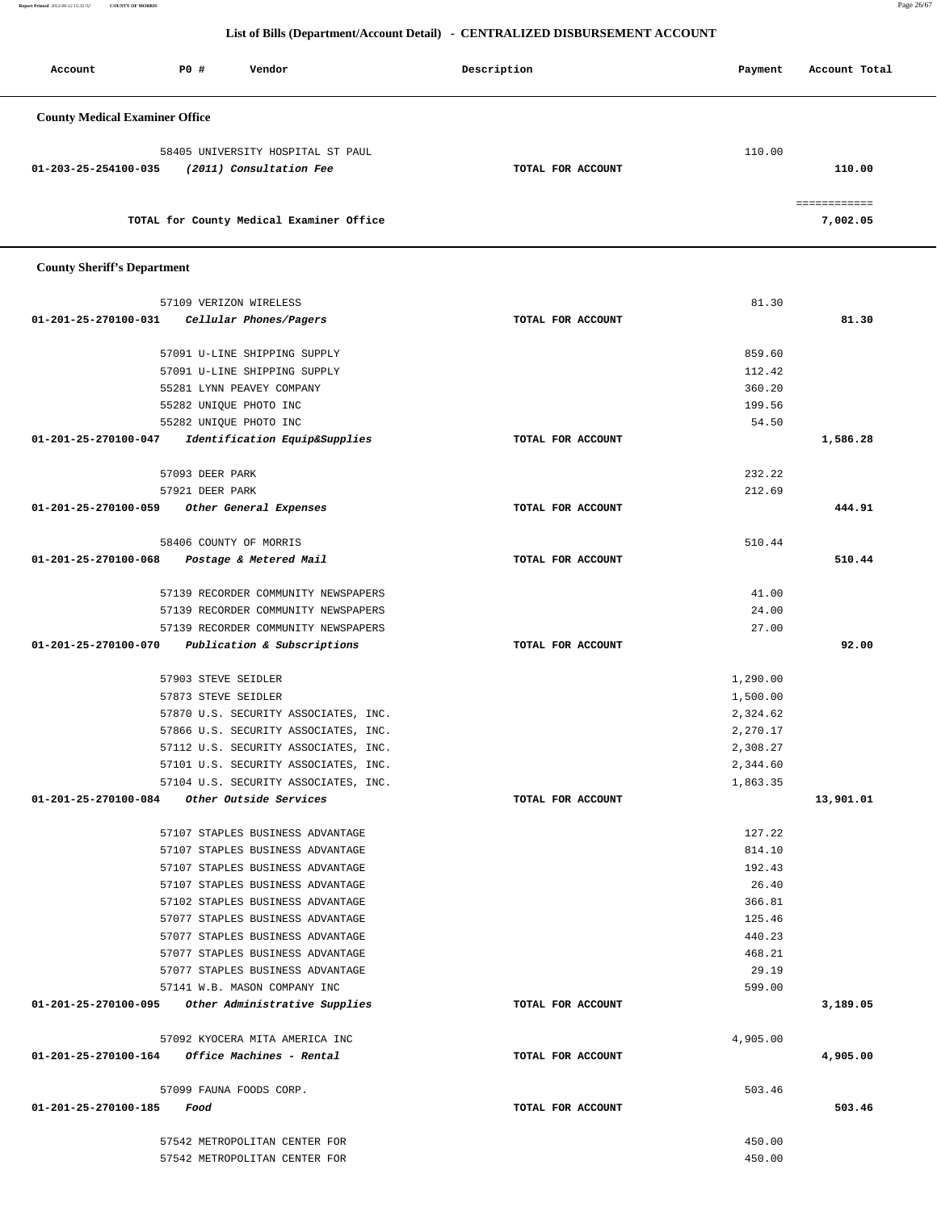**Report Printed** *2012-06-12 15:32:52* **COUNTY OF MORRIS** Page 26/67

## **List of Bills (Department/Account Detail) - CENTRALIZED DISBURSEMENT ACCOUNT**

| Account                                                                              | PO# | Vendor                                   | Description       | Payment | Account Total           |
|--------------------------------------------------------------------------------------|-----|------------------------------------------|-------------------|---------|-------------------------|
| <b>County Medical Examiner Office</b>                                                |     |                                          |                   |         |                         |
| 58405 UNIVERSITY HOSPITAL ST PAUL<br>(2011) Consultation Fee<br>01-203-25-254100-035 |     |                                          | TOTAL FOR ACCOUNT | 110.00  | 110.00                  |
|                                                                                      |     | TOTAL for County Medical Examiner Office |                   |         | ___________<br>7,002.05 |

## **County Sheriff's Department**

|                      | 57109 VERIZON WIRELESS                             |                   | 81.30    |           |
|----------------------|----------------------------------------------------|-------------------|----------|-----------|
|                      | 01-201-25-270100-031 Cellular Phones/Pagers        | TOTAL FOR ACCOUNT |          | 81.30     |
|                      | 57091 U-LINE SHIPPING SUPPLY                       |                   | 859.60   |           |
|                      | 57091 U-LINE SHIPPING SUPPLY                       |                   | 112.42   |           |
|                      | 55281 LYNN PEAVEY COMPANY                          |                   | 360.20   |           |
|                      | 55282 UNIQUE PHOTO INC                             |                   | 199.56   |           |
|                      | 55282 UNIQUE PHOTO INC                             |                   | 54.50    |           |
|                      | 01-201-25-270100-047 Identification Equip&Supplies | TOTAL FOR ACCOUNT |          | 1,586.28  |
|                      |                                                    |                   |          |           |
|                      | 57093 DEER PARK                                    |                   | 232.22   |           |
|                      | 57921 DEER PARK                                    |                   | 212.69   |           |
|                      | 01-201-25-270100-059 Other General Expenses        | TOTAL FOR ACCOUNT |          | 444.91    |
|                      | 58406 COUNTY OF MORRIS                             |                   | 510.44   |           |
|                      | 01-201-25-270100-068 Postage & Metered Mail        | TOTAL FOR ACCOUNT |          | 510.44    |
|                      |                                                    |                   |          |           |
|                      | 57139 RECORDER COMMUNITY NEWSPAPERS                |                   | 41.00    |           |
|                      | 57139 RECORDER COMMUNITY NEWSPAPERS                |                   | 24.00    |           |
|                      | 57139 RECORDER COMMUNITY NEWSPAPERS                |                   | 27.00    |           |
|                      | 01-201-25-270100-070 Publication & Subscriptions   | TOTAL FOR ACCOUNT |          | 92.00     |
|                      | 57903 STEVE SEIDLER                                |                   | 1,290.00 |           |
|                      | 57873 STEVE SEIDLER                                |                   | 1,500.00 |           |
|                      | 57870 U.S. SECURITY ASSOCIATES, INC.               |                   | 2,324.62 |           |
|                      | 57866 U.S. SECURITY ASSOCIATES, INC.               |                   | 2,270.17 |           |
|                      | 57112 U.S. SECURITY ASSOCIATES, INC.               |                   | 2,308.27 |           |
|                      | 57101 U.S. SECURITY ASSOCIATES, INC.               |                   | 2,344.60 |           |
|                      | 57104 U.S. SECURITY ASSOCIATES, INC.               |                   | 1,863.35 |           |
|                      | 01-201-25-270100-084 Other Outside Services        | TOTAL FOR ACCOUNT |          | 13,901.01 |
|                      |                                                    |                   |          |           |
|                      | 57107 STAPLES BUSINESS ADVANTAGE                   |                   | 127.22   |           |
|                      | 57107 STAPLES BUSINESS ADVANTAGE                   |                   | 814.10   |           |
|                      | 57107 STAPLES BUSINESS ADVANTAGE                   |                   | 192.43   |           |
|                      | 57107 STAPLES BUSINESS ADVANTAGE                   |                   | 26.40    |           |
|                      | 57102 STAPLES BUSINESS ADVANTAGE                   |                   | 366.81   |           |
|                      | 57077 STAPLES BUSINESS ADVANTAGE                   |                   | 125.46   |           |
|                      | 57077 STAPLES BUSINESS ADVANTAGE                   |                   | 440.23   |           |
|                      | 57077 STAPLES BUSINESS ADVANTAGE                   |                   | 468.21   |           |
|                      | 57077 STAPLES BUSINESS ADVANTAGE                   |                   | 29.19    |           |
|                      | 57141 W.B. MASON COMPANY INC                       |                   | 599.00   |           |
| 01-201-25-270100-095 | Other Administrative Supplies                      | TOTAL FOR ACCOUNT |          | 3,189.05  |
|                      | 57092 KYOCERA MITA AMERICA INC                     |                   | 4,905.00 |           |
| 01-201-25-270100-164 | <i>Office Machines - Rental</i>                    | TOTAL FOR ACCOUNT |          | 4,905.00  |
|                      | 57099 FAUNA FOODS CORP.                            |                   | 503.46   |           |
| 01-201-25-270100-185 | Food                                               | TOTAL FOR ACCOUNT |          | 503.46    |
|                      |                                                    |                   |          |           |
|                      | 57542 METROPOLITAN CENTER FOR                      |                   | 450.00   |           |
|                      | 57542 METROPOLITAN CENTER FOR                      |                   | 450.00   |           |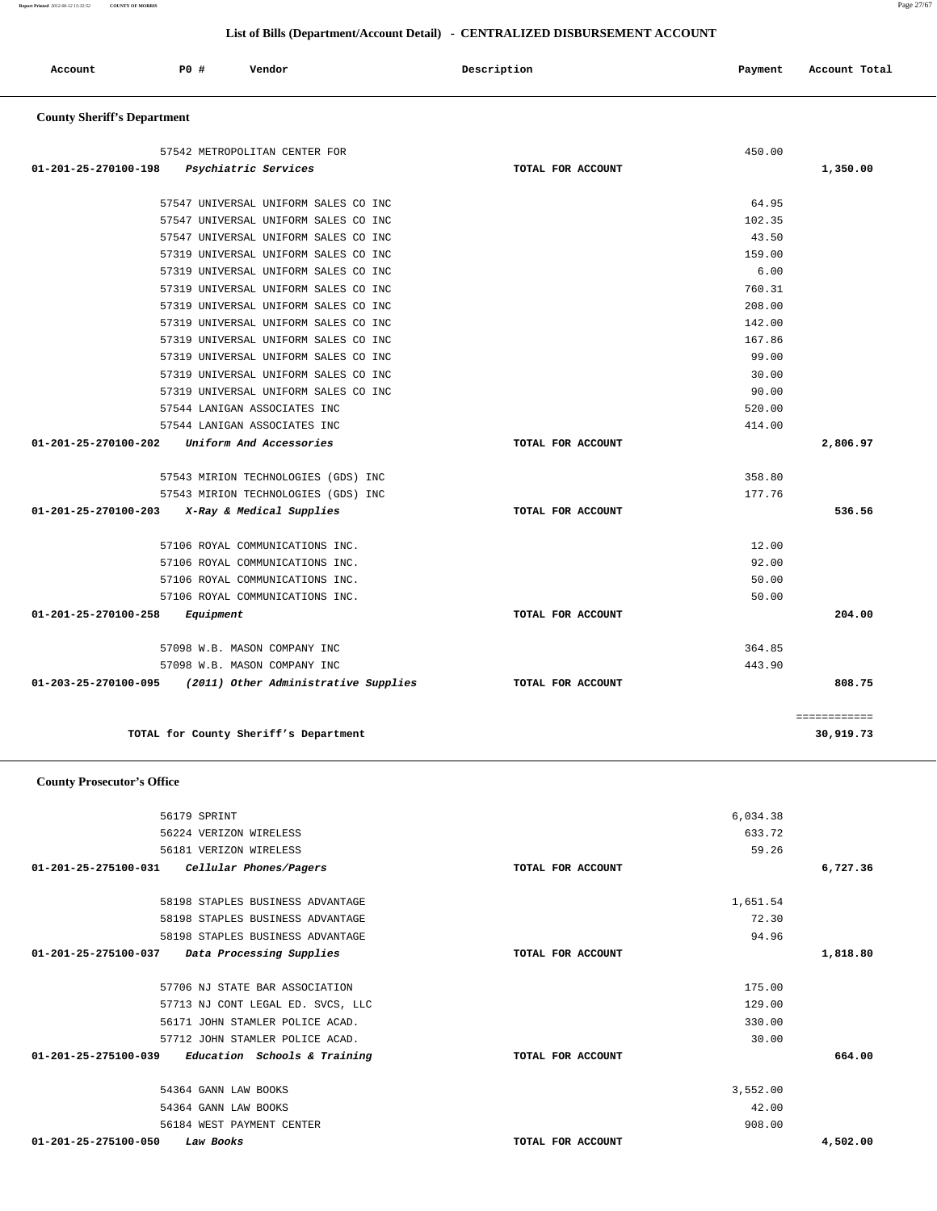|                      | 56179 SPRINT                      |                   | 6,034.38 |          |
|----------------------|-----------------------------------|-------------------|----------|----------|
|                      | 56224 VERIZON WIRELESS            |                   | 633.72   |          |
|                      | 56181 VERIZON WIRELESS            |                   | 59.26    |          |
| 01-201-25-275100-031 | Cellular Phones/Pagers            | TOTAL FOR ACCOUNT |          | 6,727.36 |
|                      | 58198 STAPLES BUSINESS ADVANTAGE  |                   | 1,651.54 |          |
|                      | 58198 STAPLES BUSINESS ADVANTAGE  |                   | 72.30    |          |
|                      | 58198 STAPLES BUSINESS ADVANTAGE  |                   | 94.96    |          |
| 01-201-25-275100-037 | Data Processing Supplies          | TOTAL FOR ACCOUNT |          | 1,818.80 |
|                      | 57706 NJ STATE BAR ASSOCIATION    |                   | 175.00   |          |
|                      | 57713 NJ CONT LEGAL ED. SVCS, LLC |                   | 129.00   |          |
|                      | 56171 JOHN STAMLER POLICE ACAD.   |                   | 330.00   |          |
|                      | 57712 JOHN STAMLER POLICE ACAD.   |                   | 30.00    |          |
| 01-201-25-275100-039 | Education Schools & Training      | TOTAL FOR ACCOUNT |          | 664.00   |
|                      | 54364 GANN LAW BOOKS              |                   | 3,552.00 |          |
|                      | 54364 GANN LAW BOOKS              |                   | 42.00    |          |
|                      | 56184 WEST PAYMENT CENTER         |                   | 908.00   |          |
| 01-201-25-275100-050 | Law Books                         | TOTAL FOR ACCOUNT |          | 4,502.00 |

## **County Prosecutor's Office**

| 57547 UNIVERSAL UNIFORM SALES CO INC                        |                   | 64.95  |              |
|-------------------------------------------------------------|-------------------|--------|--------------|
| 57547 UNIVERSAL UNIFORM SALES CO INC                        |                   | 102.35 |              |
| 57547 UNIVERSAL UNIFORM SALES CO INC                        |                   | 43.50  |              |
| 57319 UNIVERSAL UNIFORM SALES CO INC                        |                   | 159.00 |              |
| 57319 UNIVERSAL UNIFORM SALES CO INC                        |                   | 6.00   |              |
| 57319 UNIVERSAL UNIFORM SALES CO INC                        |                   | 760.31 |              |
| 57319 UNIVERSAL UNIFORM SALES CO INC                        |                   | 208.00 |              |
| 57319 UNIVERSAL UNIFORM SALES CO INC                        |                   | 142.00 |              |
| 57319 UNIVERSAL UNIFORM SALES CO INC                        |                   | 167.86 |              |
| 57319 UNIVERSAL UNIFORM SALES CO INC                        |                   | 99.00  |              |
| 57319 UNIVERSAL UNIFORM SALES CO INC                        |                   | 30.00  |              |
| 57319 UNIVERSAL UNIFORM SALES CO INC                        |                   | 90.00  |              |
| 57544 LANIGAN ASSOCIATES INC                                |                   | 520.00 |              |
| 57544 LANIGAN ASSOCIATES INC                                |                   | 414.00 |              |
| 01-201-25-270100-202<br>Uniform And Accessories             | TOTAL FOR ACCOUNT |        | 2,806.97     |
| 57543 MIRION TECHNOLOGIES (GDS) INC                         |                   | 358.80 |              |
| 57543 MIRION TECHNOLOGIES (GDS) INC                         |                   | 177.76 |              |
| $01-201-25-270100-203$ X-Ray & Medical Supplies             | TOTAL FOR ACCOUNT |        | 536.56       |
| 57106 ROYAL COMMUNICATIONS INC.                             |                   | 12.00  |              |
| 57106 ROYAL COMMUNICATIONS INC.                             |                   | 92.00  |              |
| 57106 ROYAL COMMUNICATIONS INC.                             |                   | 50.00  |              |
| 57106 ROYAL COMMUNICATIONS INC.                             |                   | 50.00  |              |
| 01-201-25-270100-258<br>Equipment                           | TOTAL FOR ACCOUNT |        | 204.00       |
| 57098 W.B. MASON COMPANY INC                                |                   | 364.85 |              |
| 57098 W.B. MASON COMPANY INC                                |                   | 443.90 |              |
| $01-203-25-270100-095$ (2011) Other Administrative Supplies | TOTAL FOR ACCOUNT |        | 808.75       |
|                                                             |                   |        | ============ |
| TOTAL for County Sheriff's Department                       |                   |        | 30,919.73    |

## **County Sheriff's Department**

# Account **PO #** Vendor **Payment Payment Payment** Payment Payment Payment Account Total

 **List of Bills (Department/Account Detail) - CENTRALIZED DISBURSEMENT ACCOUNT**

 57542 METROPOLITAN CENTER FOR 450.00  **01-201-25-270100-198 Psychiatric Services TOTAL FOR ACCOUNT 1,350.00**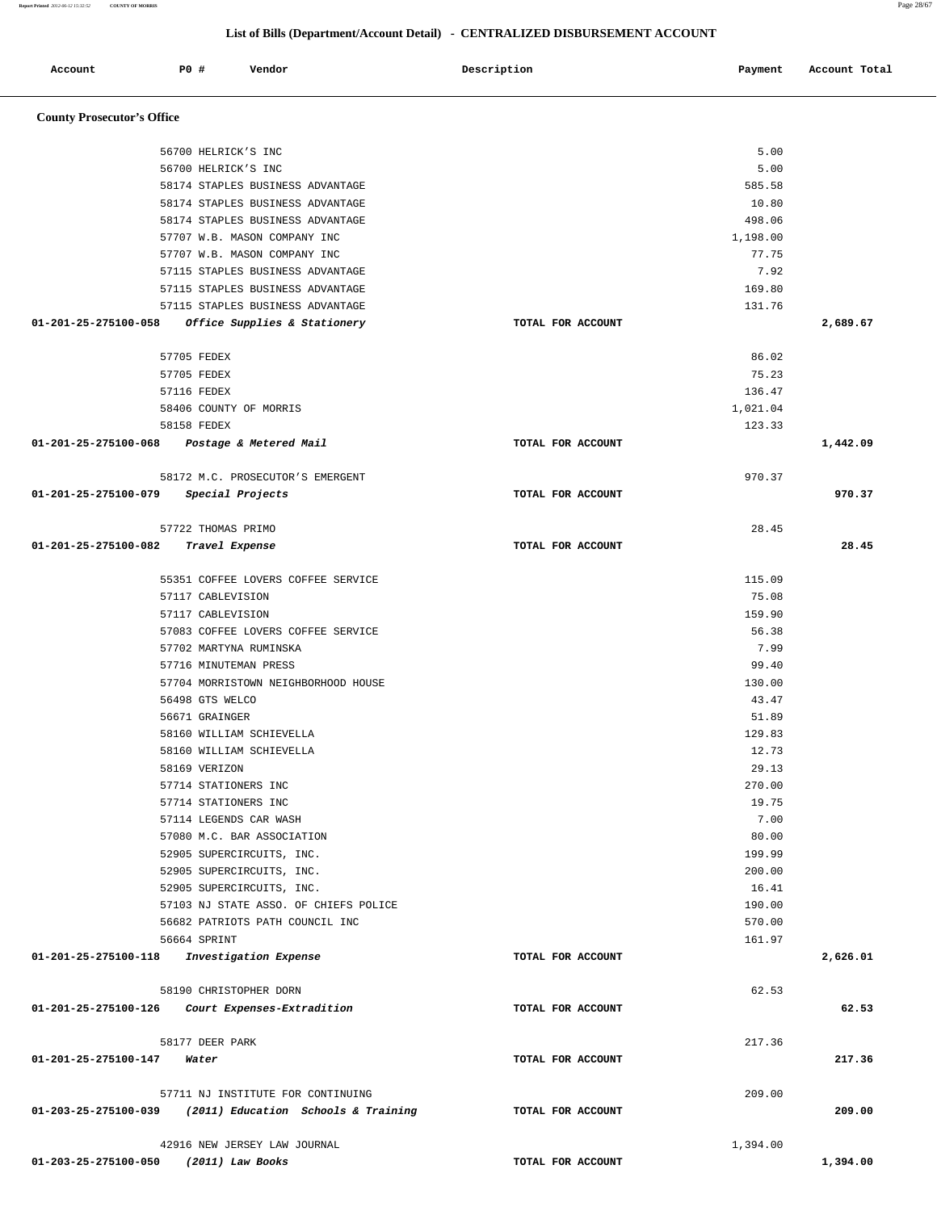| Account                                         | PO#                   | Vendor                             |                                       | Description |                   | Payment        | Account Total |
|-------------------------------------------------|-----------------------|------------------------------------|---------------------------------------|-------------|-------------------|----------------|---------------|
| <b>County Prosecutor's Office</b>               |                       |                                    |                                       |             |                   |                |               |
|                                                 | 56700 HELRICK'S INC   |                                    |                                       |             |                   | 5.00           |               |
|                                                 | 56700 HELRICK'S INC   |                                    |                                       |             |                   | 5.00           |               |
|                                                 |                       | 58174 STAPLES BUSINESS ADVANTAGE   |                                       |             |                   | 585.58         |               |
|                                                 |                       | 58174 STAPLES BUSINESS ADVANTAGE   |                                       |             |                   | 10.80          |               |
|                                                 |                       | 58174 STAPLES BUSINESS ADVANTAGE   |                                       |             |                   | 498.06         |               |
|                                                 |                       | 57707 W.B. MASON COMPANY INC       |                                       |             |                   | 1,198.00       |               |
|                                                 |                       | 57707 W.B. MASON COMPANY INC       |                                       |             |                   | 77.75          |               |
|                                                 |                       | 57115 STAPLES BUSINESS ADVANTAGE   |                                       |             |                   | 7.92           |               |
|                                                 |                       | 57115 STAPLES BUSINESS ADVANTAGE   |                                       |             |                   | 169.80         |               |
|                                                 |                       | 57115 STAPLES BUSINESS ADVANTAGE   |                                       |             |                   | 131.76         |               |
| 01-201-25-275100-058                            |                       | Office Supplies & Stationery       |                                       |             | TOTAL FOR ACCOUNT |                | 2,689.67      |
|                                                 | 57705 FEDEX           |                                    |                                       |             |                   | 86.02          |               |
|                                                 | 57705 FEDEX           |                                    |                                       |             |                   | 75.23          |               |
|                                                 | 57116 FEDEX           |                                    |                                       |             |                   | 136.47         |               |
|                                                 |                       | 58406 COUNTY OF MORRIS             |                                       |             |                   | 1,021.04       |               |
|                                                 | 58158 FEDEX           |                                    |                                       |             |                   | 123.33         |               |
| 01-201-25-275100-068                            |                       | Postage & Metered Mail             |                                       |             | TOTAL FOR ACCOUNT |                | 1,442.09      |
|                                                 |                       | 58172 M.C. PROSECUTOR'S EMERGENT   |                                       |             |                   | 970.37         |               |
| 01-201-25-275100-079                            | Special Projects      |                                    |                                       |             | TOTAL FOR ACCOUNT |                | 970.37        |
|                                                 | 57722 THOMAS PRIMO    |                                    |                                       |             |                   | 28.45          |               |
| 01-201-25-275100-082                            | Travel Expense        |                                    |                                       |             | TOTAL FOR ACCOUNT |                | 28.45         |
|                                                 |                       | 55351 COFFEE LOVERS COFFEE SERVICE |                                       |             |                   | 115.09         |               |
|                                                 | 57117 CABLEVISION     |                                    |                                       |             |                   | 75.08          |               |
|                                                 | 57117 CABLEVISION     |                                    |                                       |             |                   | 159.90         |               |
|                                                 |                       | 57083 COFFEE LOVERS COFFEE SERVICE |                                       |             |                   | 56.38          |               |
|                                                 |                       | 57702 MARTYNA RUMINSKA             |                                       |             |                   | 7.99           |               |
|                                                 | 57716 MINUTEMAN PRESS |                                    |                                       |             |                   | 99.40          |               |
|                                                 |                       |                                    | 57704 MORRISTOWN NEIGHBORHOOD HOUSE   |             |                   | 130.00         |               |
|                                                 | 56498 GTS WELCO       |                                    |                                       |             |                   | 43.47          |               |
|                                                 | 56671 GRAINGER        |                                    |                                       |             |                   | 51.89          |               |
|                                                 |                       | 58160 WILLIAM SCHIEVELLA           |                                       |             |                   | 129.83         |               |
|                                                 | 58169 VERIZON         | 58160 WILLIAM SCHIEVELLA           |                                       |             |                   | 12.73<br>29.13 |               |
|                                                 | 57714 STATIONERS INC  |                                    |                                       |             |                   | 270.00         |               |
|                                                 | 57714 STATIONERS INC  |                                    |                                       |             |                   | 19.75          |               |
|                                                 |                       | 57114 LEGENDS CAR WASH             |                                       |             |                   | 7.00           |               |
|                                                 |                       | 57080 M.C. BAR ASSOCIATION         |                                       |             |                   | 80.00          |               |
|                                                 |                       | 52905 SUPERCIRCUITS, INC.          |                                       |             |                   | 199.99         |               |
|                                                 |                       | 52905 SUPERCIRCUITS, INC.          |                                       |             |                   | 200.00         |               |
|                                                 |                       | 52905 SUPERCIRCUITS, INC.          |                                       |             |                   | 16.41          |               |
|                                                 |                       |                                    | 57103 NJ STATE ASSO. OF CHIEFS POLICE |             |                   | 190.00         |               |
|                                                 |                       | 56682 PATRIOTS PATH COUNCIL INC    |                                       |             |                   | 570.00         |               |
| 01-201-25-275100-118                            | 56664 SPRINT          | Investigation Expense              |                                       |             | TOTAL FOR ACCOUNT | 161.97         | 2,626.01      |
|                                                 |                       |                                    |                                       |             |                   |                |               |
|                                                 |                       | 58190 CHRISTOPHER DORN             |                                       |             |                   | 62.53          |               |
| 01-201-25-275100-126 Court Expenses-Extradition |                       |                                    |                                       |             | TOTAL FOR ACCOUNT |                | 62.53         |
|                                                 | 58177 DEER PARK       |                                    |                                       |             |                   | 217.36         |               |
| 01-201-25-275100-147                            | Water                 |                                    |                                       |             | TOTAL FOR ACCOUNT |                | 217.36        |
|                                                 |                       | 57711 NJ INSTITUTE FOR CONTINUING  |                                       |             |                   | 209.00         |               |
| 01-203-25-275100-039                            |                       |                                    | (2011) Education Schools & Training   |             | TOTAL FOR ACCOUNT |                | 209.00        |
|                                                 |                       | 42916 NEW JERSEY LAW JOURNAL       |                                       |             |                   | 1,394.00       |               |

 **01-203-25-275100-050 (2011) Law Books TOTAL FOR ACCOUNT 1,394.00**

## **List of Bills (Department/Account Detail) - CENTRALIZED DISBURSEMENT ACCOUNT**

**Report Printed** *2012-06-12 15:32:52* **COUNTY OF MORRIS** Page 28/67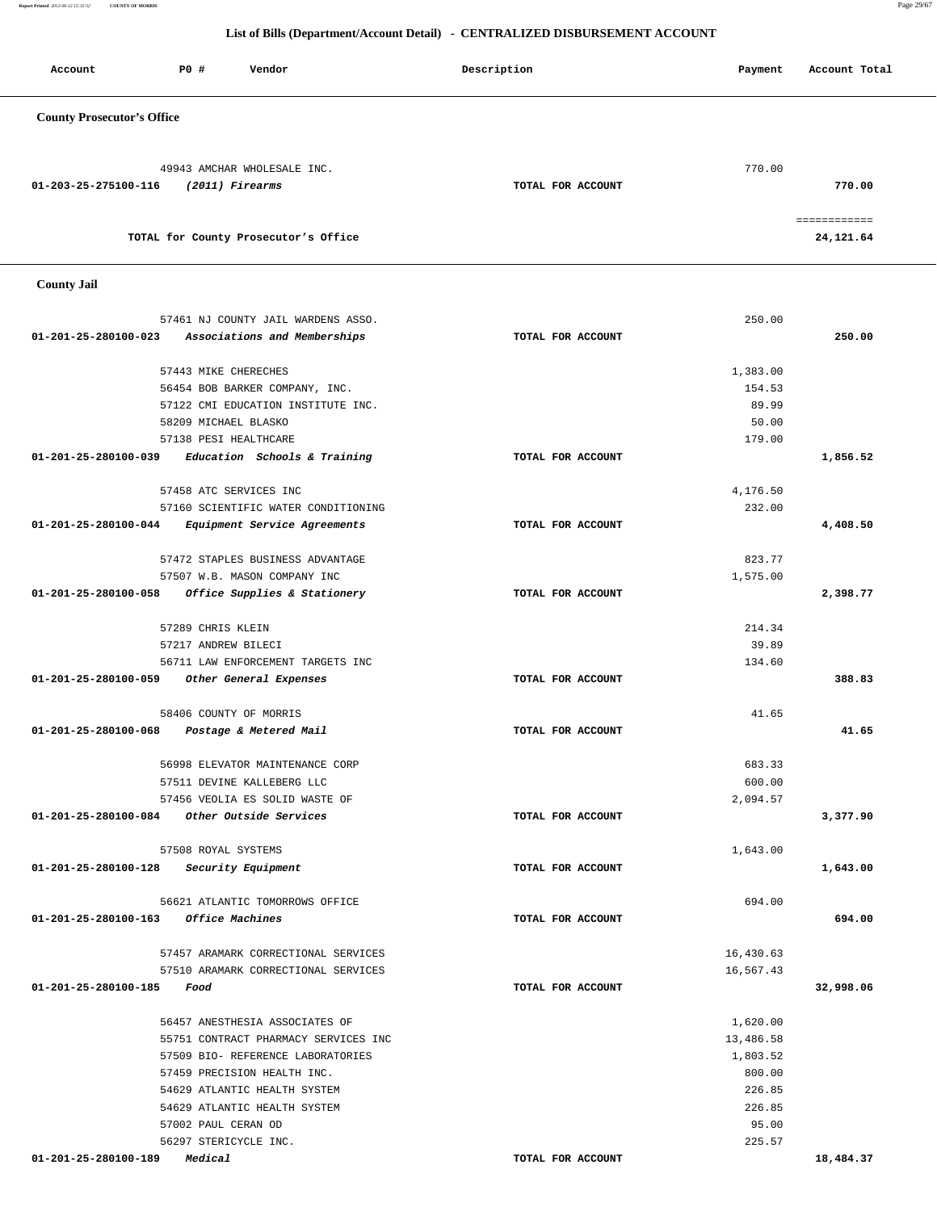**Report Printed** *2012-06-12 15:32:52* **COUNTY OF MORRIS** Page 29/67

| Account                           | P0 #<br>Vendor                                                      | Description       | Payment            | Account Total             |
|-----------------------------------|---------------------------------------------------------------------|-------------------|--------------------|---------------------------|
| <b>County Prosecutor's Office</b> |                                                                     |                   |                    |                           |
| 01-203-25-275100-116              | 49943 AMCHAR WHOLESALE INC.<br>(2011) Firearms                      | TOTAL FOR ACCOUNT | 770.00             | 770.00                    |
|                                   | TOTAL for County Prosecutor's Office                                |                   |                    | ============<br>24,121.64 |
| <b>County Jail</b>                |                                                                     |                   |                    |                           |
| 01-201-25-280100-023              | 57461 NJ COUNTY JAIL WARDENS ASSO.<br>Associations and Memberships  | TOTAL FOR ACCOUNT | 250.00             | 250.00                    |
|                                   | 57443 MIKE CHERECHES                                                |                   | 1,383.00           |                           |
|                                   | 56454 BOB BARKER COMPANY, INC.                                      |                   | 154.53             |                           |
|                                   | 57122 CMI EDUCATION INSTITUTE INC.                                  |                   | 89.99              |                           |
|                                   | 58209 MICHAEL BLASKO                                                |                   | 50.00              |                           |
|                                   | 57138 PESI HEALTHCARE                                               |                   | 179.00             |                           |
| 01-201-25-280100-039              | Education Schools & Training                                        | TOTAL FOR ACCOUNT |                    | 1,856.52                  |
|                                   |                                                                     |                   |                    |                           |
|                                   | 57458 ATC SERVICES INC                                              |                   | 4,176.50<br>232.00 |                           |
| 01-201-25-280100-044              | 57160 SCIENTIFIC WATER CONDITIONING<br>Equipment Service Agreements | TOTAL FOR ACCOUNT |                    | 4,408.50                  |
|                                   |                                                                     |                   |                    |                           |
|                                   | 57472 STAPLES BUSINESS ADVANTAGE                                    |                   | 823.77             |                           |
|                                   | 57507 W.B. MASON COMPANY INC                                        |                   | 1,575.00           |                           |
| 01-201-25-280100-058              | Office Supplies & Stationery                                        | TOTAL FOR ACCOUNT |                    | 2,398.77                  |
|                                   |                                                                     |                   | 214.34             |                           |
|                                   | 57289 CHRIS KLEIN<br>57217 ANDREW BILECI                            |                   | 39.89              |                           |
|                                   | 56711 LAW ENFORCEMENT TARGETS INC                                   |                   | 134.60             |                           |
| 01-201-25-280100-059              | Other General Expenses                                              | TOTAL FOR ACCOUNT |                    | 388.83                    |
|                                   |                                                                     |                   |                    |                           |
|                                   | 58406 COUNTY OF MORRIS                                              |                   | 41.65              |                           |
| 01-201-25-280100-068              | Postage & Metered Mail                                              | TOTAL FOR ACCOUNT |                    | 41.65                     |
|                                   | 56998 ELEVATOR MAINTENANCE CORP                                     |                   | 683.33             |                           |
|                                   | 57511 DEVINE KALLEBERG LLC                                          |                   | 600.00             |                           |
|                                   | 57456 VEOLIA ES SOLID WASTE OF                                      |                   | 2,094.57           |                           |
| 01-201-25-280100-084              | Other Outside Services                                              | TOTAL FOR ACCOUNT |                    | 3,377.90                  |
|                                   |                                                                     |                   |                    |                           |
|                                   | 57508 ROYAL SYSTEMS                                                 |                   | 1,643.00           |                           |
| 01-201-25-280100-128              | Security Equipment                                                  | TOTAL FOR ACCOUNT |                    | 1,643.00                  |
|                                   | 56621 ATLANTIC TOMORROWS OFFICE                                     |                   | 694.00             |                           |
| 01-201-25-280100-163              | Office Machines                                                     | TOTAL FOR ACCOUNT |                    | 694.00                    |
|                                   |                                                                     |                   |                    |                           |
|                                   | 57457 ARAMARK CORRECTIONAL SERVICES                                 |                   | 16,430.63          |                           |
|                                   | 57510 ARAMARK CORRECTIONAL SERVICES                                 |                   | 16,567.43          |                           |
| 01-201-25-280100-185              | Food                                                                | TOTAL FOR ACCOUNT |                    | 32,998.06                 |
|                                   |                                                                     |                   |                    |                           |
|                                   | 56457 ANESTHESIA ASSOCIATES OF                                      |                   | 1,620.00           |                           |
|                                   | 55751 CONTRACT PHARMACY SERVICES INC                                |                   | 13,486.58          |                           |
|                                   | 57509 BIO- REFERENCE LABORATORIES<br>57459 PRECISION HEALTH INC.    |                   | 1,803.52<br>800.00 |                           |
|                                   | 54629 ATLANTIC HEALTH SYSTEM                                        |                   | 226.85             |                           |
|                                   | 54629 ATLANTIC HEALTH SYSTEM                                        |                   | 226.85             |                           |
|                                   | 57002 PAUL CERAN OD                                                 |                   | 95.00              |                           |
|                                   | 56297 STERICYCLE INC.                                               |                   | 225.57             |                           |
| 01-201-25-280100-189              | Medical                                                             | TOTAL FOR ACCOUNT |                    | 18,484.37                 |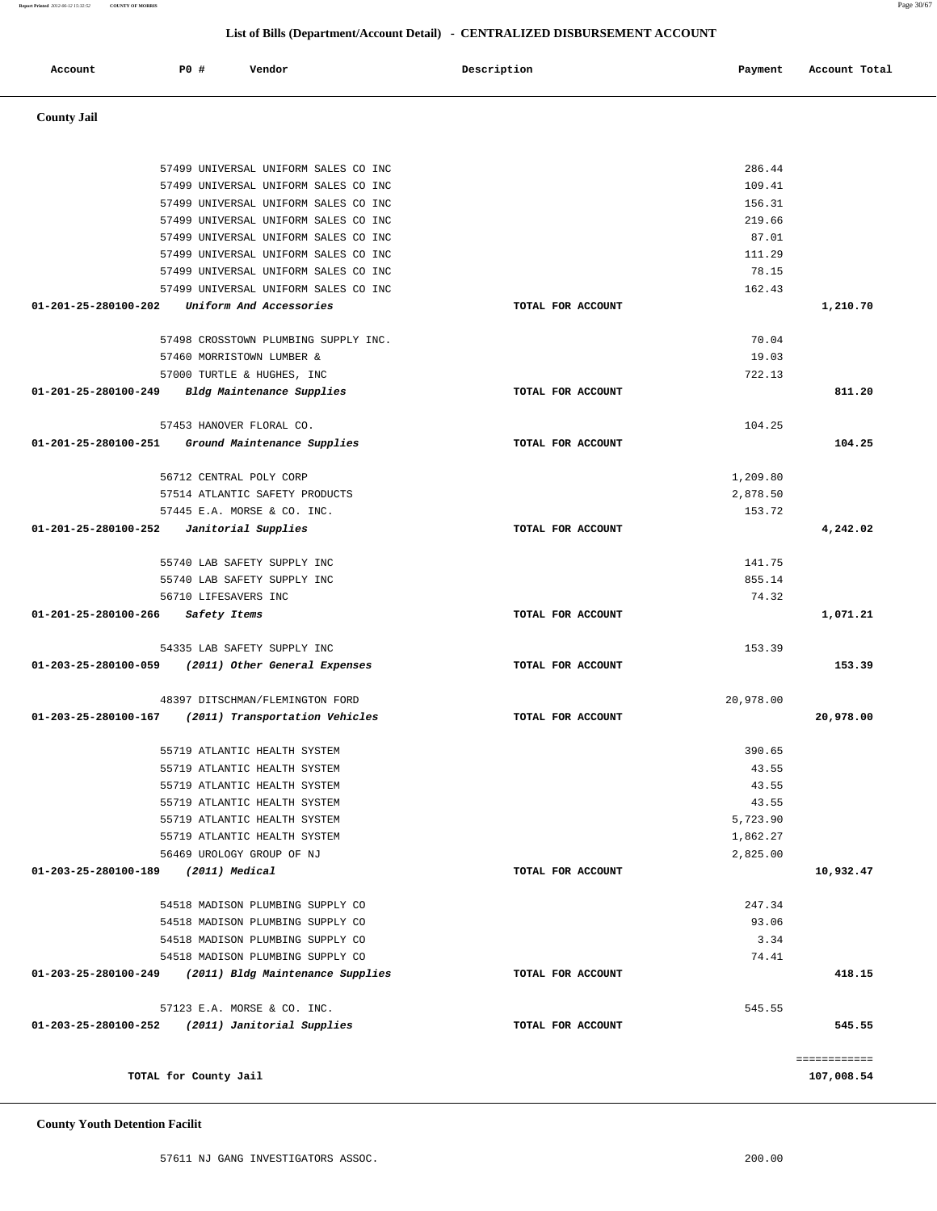## **County Youth Detention Facilit**

|                                            | 57499 UNIVERSAL UNIFORM SALES CO INC               |                   | 286.44    |              |
|--------------------------------------------|----------------------------------------------------|-------------------|-----------|--------------|
|                                            | 57499 UNIVERSAL UNIFORM SALES CO INC               |                   | 109.41    |              |
|                                            | 57499 UNIVERSAL UNIFORM SALES CO INC               |                   | 156.31    |              |
|                                            | 57499 UNIVERSAL UNIFORM SALES CO INC               |                   | 219.66    |              |
|                                            | 57499 UNIVERSAL UNIFORM SALES CO INC               |                   | 87.01     |              |
|                                            | 57499 UNIVERSAL UNIFORM SALES CO INC               |                   | 111.29    |              |
|                                            | 57499 UNIVERSAL UNIFORM SALES CO INC               |                   | 78.15     |              |
|                                            | 57499 UNIVERSAL UNIFORM SALES CO INC               |                   | 162.43    |              |
| 01-201-25-280100-202                       | Uniform And Accessories                            | TOTAL FOR ACCOUNT |           | 1,210.70     |
|                                            | 57498 CROSSTOWN PLUMBING SUPPLY INC.               |                   | 70.04     |              |
|                                            | 57460 MORRISTOWN LUMBER &                          |                   | 19.03     |              |
|                                            | 57000 TURTLE & HUGHES, INC                         |                   | 722.13    |              |
| 01-201-25-280100-249                       | Bldg Maintenance Supplies                          | TOTAL FOR ACCOUNT |           | 811.20       |
|                                            | 57453 HANOVER FLORAL CO.                           |                   | 104.25    |              |
|                                            | 01-201-25-280100-251 Ground Maintenance Supplies   | TOTAL FOR ACCOUNT |           | 104.25       |
|                                            | 56712 CENTRAL POLY CORP                            |                   | 1,209.80  |              |
|                                            | 57514 ATLANTIC SAFETY PRODUCTS                     |                   | 2,878.50  |              |
|                                            | 57445 E.A. MORSE & CO. INC.                        |                   | 153.72    |              |
| $01-201-25-280100-252$ Janitorial Supplies |                                                    | TOTAL FOR ACCOUNT |           | 4,242.02     |
|                                            | 55740 LAB SAFETY SUPPLY INC                        |                   | 141.75    |              |
|                                            | 55740 LAB SAFETY SUPPLY INC                        |                   | 855.14    |              |
|                                            | 56710 LIFESAVERS INC                               |                   | 74.32     |              |
| 01-201-25-280100-266 Safety Items          |                                                    | TOTAL FOR ACCOUNT |           | 1,071.21     |
|                                            | 54335 LAB SAFETY SUPPLY INC                        |                   | 153.39    |              |
|                                            | 01-203-25-280100-059 (2011) Other General Expenses | TOTAL FOR ACCOUNT |           | 153.39       |
|                                            | 48397 DITSCHMAN/FLEMINGTON FORD                    |                   | 20,978.00 |              |
| 01-203-25-280100-167                       | (2011) Transportation Vehicles                     | TOTAL FOR ACCOUNT |           | 20,978.00    |
|                                            | 55719 ATLANTIC HEALTH SYSTEM                       |                   | 390.65    |              |
|                                            | 55719 ATLANTIC HEALTH SYSTEM                       |                   | 43.55     |              |
|                                            | 55719 ATLANTIC HEALTH SYSTEM                       |                   | 43.55     |              |
|                                            | 55719 ATLANTIC HEALTH SYSTEM                       |                   | 43.55     |              |
|                                            | 55719 ATLANTIC HEALTH SYSTEM                       |                   | 5,723.90  |              |
|                                            | 55719 ATLANTIC HEALTH SYSTEM                       |                   | 1,862.27  |              |
|                                            | 56469 UROLOGY GROUP OF NJ                          |                   | 2,825.00  |              |
| 01-203-25-280100-189                       | (2011) Medical                                     | TOTAL FOR ACCOUNT |           | 10,932.47    |
|                                            | 54518 MADISON PLUMBING SUPPLY CO                   |                   | 247.34    |              |
|                                            | 54518 MADISON PLUMBING SUPPLY CO                   |                   | 93.06     |              |
|                                            | 54518 MADISON PLUMBING SUPPLY CO                   |                   | 3.34      |              |
|                                            | 54518 MADISON PLUMBING SUPPLY CO                   |                   | 74.41     |              |
| 01-203-25-280100-249                       | (2011) Bldg Maintenance Supplies                   | TOTAL FOR ACCOUNT |           | 418.15       |
|                                            | 57123 E.A. MORSE & CO. INC.                        |                   | 545.55    |              |
| 01-203-25-280100-252                       | (2011) Janitorial Supplies                         | TOTAL FOR ACCOUNT |           | 545.55       |
|                                            |                                                    |                   |           | ============ |
|                                            | TOTAL for County Jail                              |                   |           | 107,008.54   |

## **County Jail**

|               |     |        | List of Bills (Department/Account Detail) - CENTRALIZED DISBURSEMENT ACCOUNT |         |               |
|---------------|-----|--------|------------------------------------------------------------------------------|---------|---------------|
| Account       | PO# | Vendor | Description                                                                  | Payment | Account Total |
| County Jail - |     |        |                                                                              |         |               |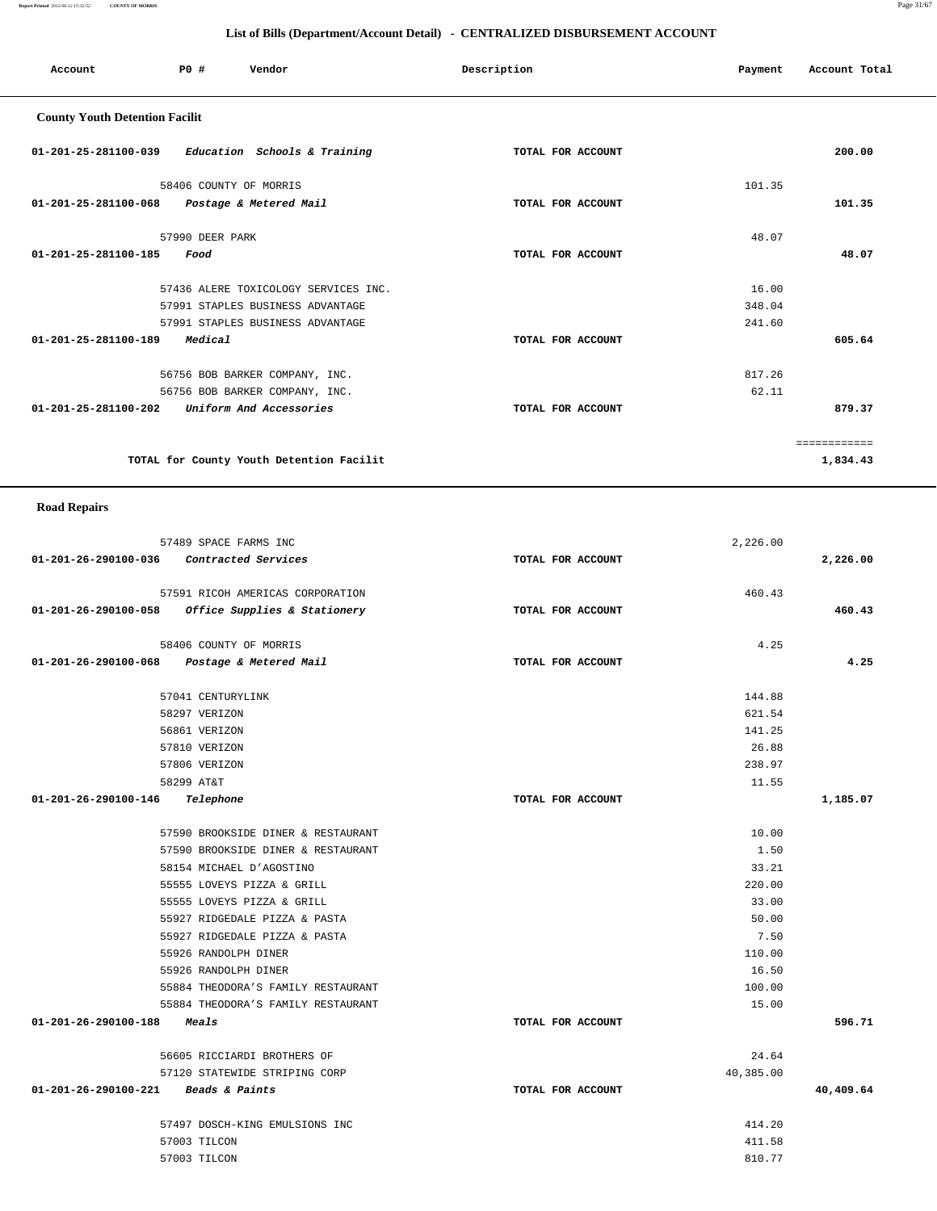**Report Printed** *2012-06-12 15:32:52* **COUNTY OF MORRIS** Page 31/67

## **List of Bills (Department/Account Detail) - CENTRALIZED DISBURSEMENT ACCOUNT**

| Account                               | PO#                    | Vendor                                   | Description       | Payment | Account Total |
|---------------------------------------|------------------------|------------------------------------------|-------------------|---------|---------------|
| <b>County Youth Detention Facilit</b> |                        |                                          |                   |         |               |
| 01-201-25-281100-039                  |                        | Education Schools & Training             | TOTAL FOR ACCOUNT |         | 200.00        |
|                                       | 58406 COUNTY OF MORRIS |                                          |                   | 101.35  |               |
| $01 - 201 - 25 - 281100 - 068$        |                        | Postage & Metered Mail                   | TOTAL FOR ACCOUNT |         | 101.35        |
|                                       | 57990 DEER PARK        |                                          |                   | 48.07   |               |
| 01-201-25-281100-185                  | Food                   |                                          | TOTAL FOR ACCOUNT |         | 48.07         |
|                                       |                        | 57436 ALERE TOXICOLOGY SERVICES INC.     |                   | 16.00   |               |
|                                       |                        | 57991 STAPLES BUSINESS ADVANTAGE         |                   | 348.04  |               |
|                                       |                        | 57991 STAPLES BUSINESS ADVANTAGE         |                   | 241.60  |               |
| 01-201-25-281100-189                  | Medical                |                                          | TOTAL FOR ACCOUNT |         | 605.64        |
|                                       |                        | 56756 BOB BARKER COMPANY, INC.           |                   | 817.26  |               |
|                                       |                        | 56756 BOB BARKER COMPANY, INC.           |                   | 62.11   |               |
| 01-201-25-281100-202                  |                        | Uniform And Accessories                  | TOTAL FOR ACCOUNT |         | 879.37        |
|                                       |                        |                                          |                   |         | ============  |
|                                       |                        | TOTAL for County Youth Detention Facilit |                   |         | 1,834.43      |

## **Road Repairs**

| 57489 SPACE FARMS INC                             |                   | 2,226.00  |           |
|---------------------------------------------------|-------------------|-----------|-----------|
| 01-201-26-290100-036 Contracted Services          | TOTAL FOR ACCOUNT |           | 2,226.00  |
| 57591 RICOH AMERICAS CORPORATION                  |                   | 460.43    |           |
| 01-201-26-290100-058 Office Supplies & Stationery | TOTAL FOR ACCOUNT |           | 460.43    |
| 58406 COUNTY OF MORRIS                            |                   | 4.25      |           |
| 01-201-26-290100-068 Postage & Metered Mail       | TOTAL FOR ACCOUNT |           | 4.25      |
| 57041 CENTURYLINK                                 |                   | 144.88    |           |
| 58297 VERIZON                                     |                   | 621.54    |           |
| 56861 VERIZON                                     |                   | 141.25    |           |
| 57810 VERIZON                                     |                   | 26.88     |           |
| 57806 VERIZON                                     |                   | 238.97    |           |
| 58299 AT&T                                        |                   | 11.55     |           |
| Telephone<br>01-201-26-290100-146                 | TOTAL FOR ACCOUNT |           | 1,185.07  |
| 57590 BROOKSIDE DINER & RESTAURANT                |                   | 10.00     |           |
| 57590 BROOKSIDE DINER & RESTAURANT                |                   | 1.50      |           |
| 58154 MICHAEL D'AGOSTINO                          |                   | 33.21     |           |
| 55555 LOVEYS PIZZA & GRILL                        |                   | 220.00    |           |
| 55555 LOVEYS PIZZA & GRILL                        |                   | 33.00     |           |
| 55927 RIDGEDALE PIZZA & PASTA                     |                   | 50.00     |           |
| 55927 RIDGEDALE PIZZA & PASTA                     |                   | 7.50      |           |
| 55926 RANDOLPH DINER                              |                   | 110.00    |           |
| 55926 RANDOLPH DINER                              |                   | 16.50     |           |
| 55884 THEODORA'S FAMILY RESTAURANT                |                   | 100.00    |           |
| 55884 THEODORA'S FAMILY RESTAURANT                |                   | 15.00     |           |
| 01-201-26-290100-188 Meals                        | TOTAL FOR ACCOUNT |           | 596.71    |
| 56605 RICCIARDI BROTHERS OF                       |                   | 24.64     |           |
| 57120 STATEWIDE STRIPING CORP                     |                   | 40,385.00 |           |
| 01-201-26-290100-221 Beads & Paints               | TOTAL FOR ACCOUNT |           | 40,409.64 |
| 57497 DOSCH-KING EMULSIONS INC                    |                   | 414.20    |           |
| 57003 TILCON                                      |                   | 411.58    |           |
| 57003 TILCON                                      |                   | 810.77    |           |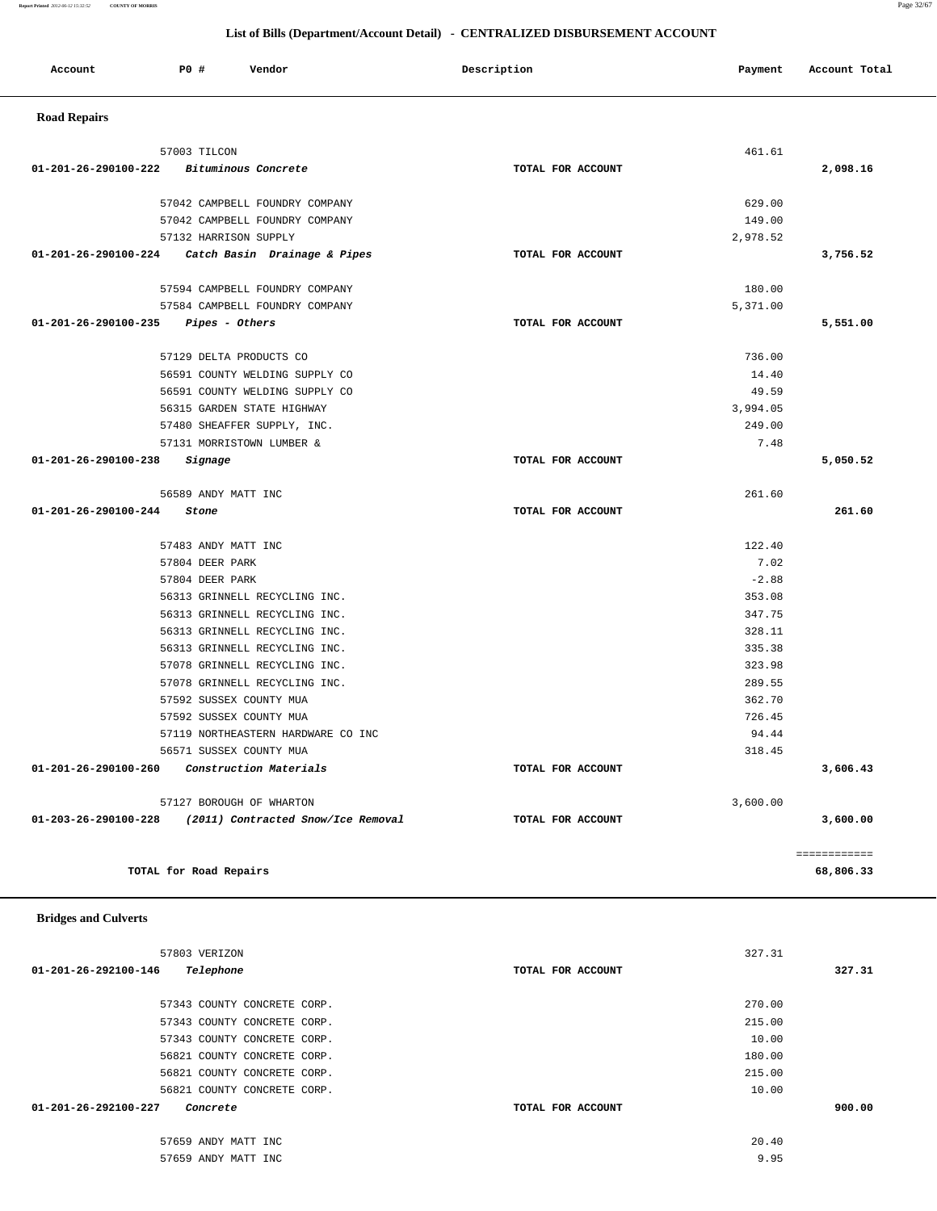## **Report Printed** *2012-06-12 15:32:52* **COUNTY OF MORRIS** Page 32/67

|                      |                        |                                    | List of Bills (Department/Account Detail) - CENTRALIZED DISBURSEMENT ACCOUNT |          |               |
|----------------------|------------------------|------------------------------------|------------------------------------------------------------------------------|----------|---------------|
| Account              | P0 #                   | Vendor                             | Description                                                                  | Payment  | Account Total |
| <b>Road Repairs</b>  |                        |                                    |                                                                              |          |               |
|                      | 57003 TILCON           |                                    |                                                                              | 461.61   |               |
| 01-201-26-290100-222 |                        | Bituminous Concrete                | TOTAL FOR ACCOUNT                                                            |          | 2,098.16      |
|                      |                        |                                    |                                                                              |          |               |
|                      |                        | 57042 CAMPBELL FOUNDRY COMPANY     |                                                                              | 629.00   |               |
|                      |                        | 57042 CAMPBELL FOUNDRY COMPANY     |                                                                              | 149.00   |               |
|                      |                        | 57132 HARRISON SUPPLY              |                                                                              | 2,978.52 |               |
| 01-201-26-290100-224 |                        | Catch Basin Drainage & Pipes       | TOTAL FOR ACCOUNT                                                            |          | 3,756.52      |
|                      |                        | 57594 CAMPBELL FOUNDRY COMPANY     |                                                                              | 180.00   |               |
|                      |                        | 57584 CAMPBELL FOUNDRY COMPANY     |                                                                              | 5,371.00 |               |
| 01-201-26-290100-235 |                        | Pipes - Others                     | TOTAL FOR ACCOUNT                                                            |          | 5,551.00      |
|                      |                        | 57129 DELTA PRODUCTS CO            |                                                                              | 736.00   |               |
|                      |                        | 56591 COUNTY WELDING SUPPLY CO     |                                                                              | 14.40    |               |
|                      |                        | 56591 COUNTY WELDING SUPPLY CO     |                                                                              | 49.59    |               |
|                      |                        | 56315 GARDEN STATE HIGHWAY         |                                                                              | 3,994.05 |               |
|                      |                        | 57480 SHEAFFER SUPPLY, INC.        |                                                                              | 249.00   |               |
|                      |                        | 57131 MORRISTOWN LUMBER &          |                                                                              | 7.48     |               |
| 01-201-26-290100-238 | Signage                |                                    | TOTAL FOR ACCOUNT                                                            |          | 5,050.52      |
|                      |                        | 56589 ANDY MATT INC                |                                                                              | 261.60   |               |
| 01-201-26-290100-244 | Stone                  |                                    | TOTAL FOR ACCOUNT                                                            |          | 261.60        |
|                      |                        | 57483 ANDY MATT INC                |                                                                              | 122.40   |               |
|                      | 57804 DEER PARK        |                                    |                                                                              | 7.02     |               |
|                      | 57804 DEER PARK        |                                    |                                                                              | $-2.88$  |               |
|                      |                        | 56313 GRINNELL RECYCLING INC.      |                                                                              | 353.08   |               |
|                      |                        | 56313 GRINNELL RECYCLING INC.      |                                                                              | 347.75   |               |
|                      |                        | 56313 GRINNELL RECYCLING INC.      |                                                                              | 328.11   |               |
|                      |                        | 56313 GRINNELL RECYCLING INC.      |                                                                              | 335.38   |               |
|                      |                        | 57078 GRINNELL RECYCLING INC.      |                                                                              | 323.98   |               |
|                      |                        | 57078 GRINNELL RECYCLING INC.      |                                                                              | 289.55   |               |
|                      |                        | 57592 SUSSEX COUNTY MUA            |                                                                              | 362.70   |               |
|                      |                        | 57592 SUSSEX COUNTY MUA            |                                                                              | 726.45   |               |
|                      |                        | 57119 NORTHEASTERN HARDWARE CO INC |                                                                              | 94.44    |               |
|                      |                        | 56571 SUSSEX COUNTY MUA            |                                                                              | 318.45   |               |
| 01-201-26-290100-260 |                        | Construction Materials             | TOTAL FOR ACCOUNT                                                            |          | 3,606.43      |
|                      |                        | 57127 BOROUGH OF WHARTON           |                                                                              | 3,600.00 |               |
| 01-203-26-290100-228 |                        | (2011) Contracted Snow/Ice Removal | TOTAL FOR ACCOUNT                                                            |          | 3,600.00      |
|                      |                        |                                    |                                                                              |          | ============  |
|                      | TOTAL for Road Repairs |                                    |                                                                              |          | 68,806.33     |

## **Bridges and Culverts**

| 57803 VERIZON                              | 327.31            |        |
|--------------------------------------------|-------------------|--------|
| 01-201-26-292100-146<br>Telephone          | TOTAL FOR ACCOUNT | 327.31 |
|                                            |                   |        |
| 57343 COUNTY CONCRETE CORP.                | 270.00            |        |
| 57343 COUNTY CONCRETE CORP.                | 215.00            |        |
| 57343 COUNTY CONCRETE CORP.                | 10.00             |        |
| 56821 COUNTY CONCRETE CORP.                | 180.00            |        |
| 56821 COUNTY CONCRETE CORP.                | 215.00            |        |
| 56821 COUNTY CONCRETE CORP.                | 10.00             |        |
| $01 - 201 - 26 - 292100 - 227$<br>Concrete | TOTAL FOR ACCOUNT | 900.00 |
|                                            |                   |        |
| 57659 ANDY MATT INC                        | 20.40             |        |
| 57659 ANDY MATT INC                        | 9.95              |        |
|                                            |                   |        |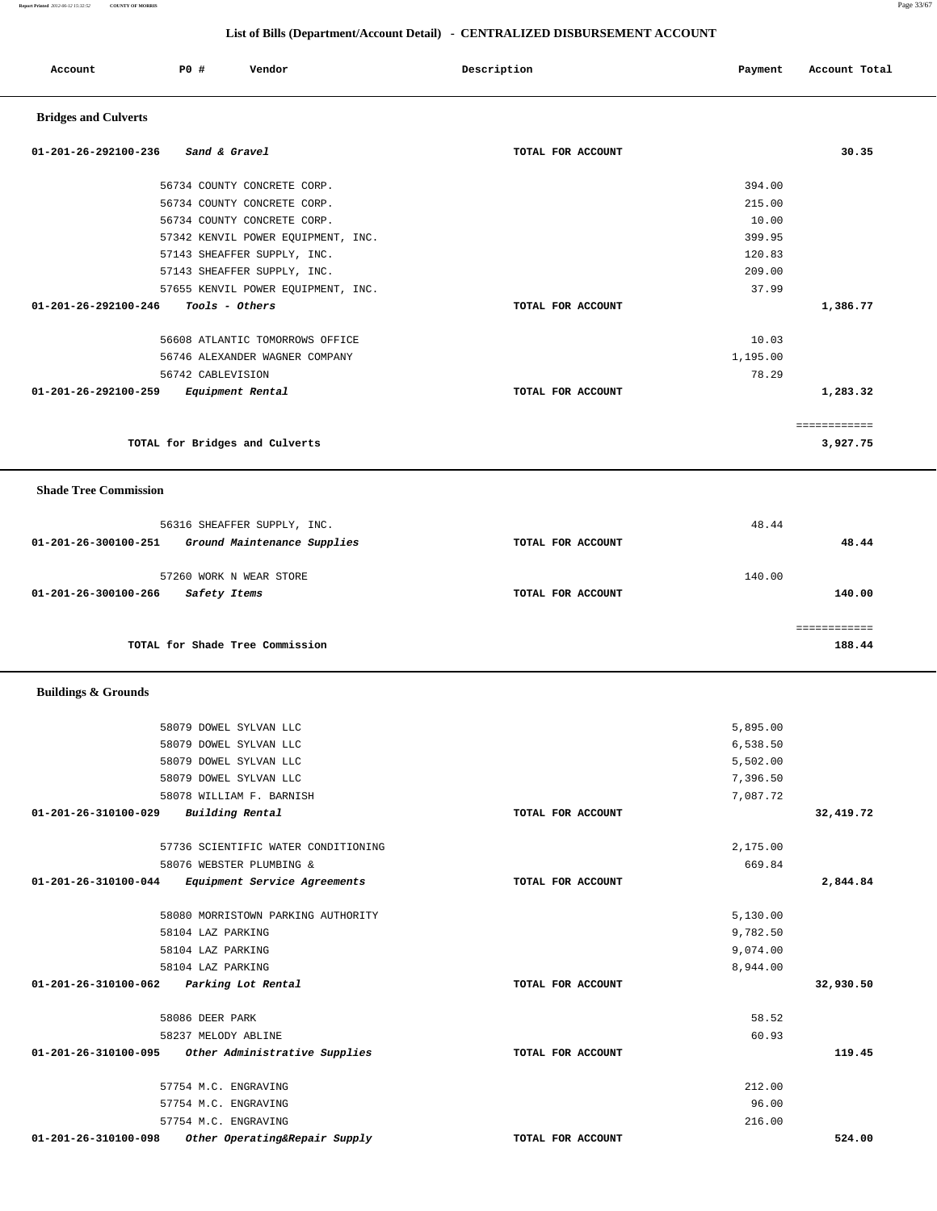| Account                        | <b>PO #</b>          | Vendor                              | Description       | Payment  | Account Total            |
|--------------------------------|----------------------|-------------------------------------|-------------------|----------|--------------------------|
| <b>Bridges and Culverts</b>    |                      |                                     |                   |          |                          |
| 01-201-26-292100-236           | Sand & Gravel        |                                     | TOTAL FOR ACCOUNT |          | 30.35                    |
|                                |                      | 56734 COUNTY CONCRETE CORP.         |                   | 394.00   |                          |
|                                |                      | 56734 COUNTY CONCRETE CORP.         |                   | 215.00   |                          |
|                                |                      | 56734 COUNTY CONCRETE CORP.         |                   | 10.00    |                          |
|                                |                      | 57342 KENVIL POWER EQUIPMENT, INC.  |                   | 399.95   |                          |
|                                |                      | 57143 SHEAFFER SUPPLY, INC.         |                   | 120.83   |                          |
|                                |                      | 57143 SHEAFFER SUPPLY, INC.         |                   | 209.00   |                          |
|                                |                      | 57655 KENVIL POWER EQUIPMENT, INC.  |                   | 37.99    |                          |
| 01-201-26-292100-246           | Tools - Others       |                                     | TOTAL FOR ACCOUNT |          | 1,386.77                 |
|                                |                      | 56608 ATLANTIC TOMORROWS OFFICE     |                   | 10.03    |                          |
|                                |                      | 56746 ALEXANDER WAGNER COMPANY      |                   | 1,195.00 |                          |
|                                | 56742 CABLEVISION    |                                     |                   | 78.29    |                          |
| 01-201-26-292100-259           |                      | Equipment Rental                    | TOTAL FOR ACCOUNT |          | 1,283.32                 |
|                                |                      | TOTAL for Bridges and Culverts      |                   |          | ============<br>3,927.75 |
|                                |                      |                                     |                   |          |                          |
| <b>Shade Tree Commission</b>   |                      |                                     |                   |          |                          |
|                                |                      | 56316 SHEAFFER SUPPLY, INC.         |                   | 48.44    |                          |
| 01-201-26-300100-251           |                      | Ground Maintenance Supplies         | TOTAL FOR ACCOUNT |          | 48.44                    |
|                                |                      | 57260 WORK N WEAR STORE             |                   | 140.00   |                          |
| 01-201-26-300100-266           | Safety Items         |                                     | TOTAL FOR ACCOUNT |          | 140.00                   |
|                                |                      |                                     |                   |          | ============             |
|                                |                      | TOTAL for Shade Tree Commission     |                   |          | 188.44                   |
| <b>Buildings &amp; Grounds</b> |                      |                                     |                   |          |                          |
|                                |                      | 58079 DOWEL SYLVAN LLC              |                   | 5,895.00 |                          |
|                                |                      | 58079 DOWEL SYLVAN LLC              |                   | 6,538.50 |                          |
|                                |                      | 58079 DOWEL SYLVAN LLC              |                   | 5,502.00 |                          |
|                                |                      | 58079 DOWEL SYLVAN LLC              |                   | 7,396.50 |                          |
|                                |                      | 58078 WILLIAM F. BARNISH            |                   | 7,087.72 |                          |
| 01-201-26-310100-029           | Building Rental      |                                     | TOTAL FOR ACCOUNT |          | 32,419.72                |
|                                |                      | 57736 SCIENTIFIC WATER CONDITIONING |                   | 2,175.00 |                          |
|                                |                      | 58076 WEBSTER PLUMBING &            |                   | 669.84   |                          |
| 01-201-26-310100-044           |                      | Equipment Service Agreements        | TOTAL FOR ACCOUNT |          | 2,844.84                 |
|                                |                      | 58080 MORRISTOWN PARKING AUTHORITY  |                   | 5,130.00 |                          |
|                                | 58104 LAZ PARKING    |                                     |                   | 9,782.50 |                          |
|                                | 58104 LAZ PARKING    |                                     |                   | 9,074.00 |                          |
|                                | 58104 LAZ PARKING    |                                     |                   | 8,944.00 |                          |
| 01-201-26-310100-062           |                      | Parking Lot Rental                  | TOTAL FOR ACCOUNT |          | 32,930.50                |
|                                | 58086 DEER PARK      |                                     |                   | 58.52    |                          |
|                                | 58237 MELODY ABLINE  |                                     |                   | 60.93    |                          |
| 01-201-26-310100-095           |                      | Other Administrative Supplies       | TOTAL FOR ACCOUNT |          | 119.45                   |
|                                | 57754 M.C. ENGRAVING |                                     |                   | 212.00   |                          |
|                                | 57754 M.C. ENGRAVING |                                     |                   | 96.00    |                          |
|                                | 57754 M.C. ENGRAVING |                                     |                   | 216.00   |                          |
| 01-201-26-310100-098           |                      | Other Operating&Repair Supply       | TOTAL FOR ACCOUNT |          | 524.00                   |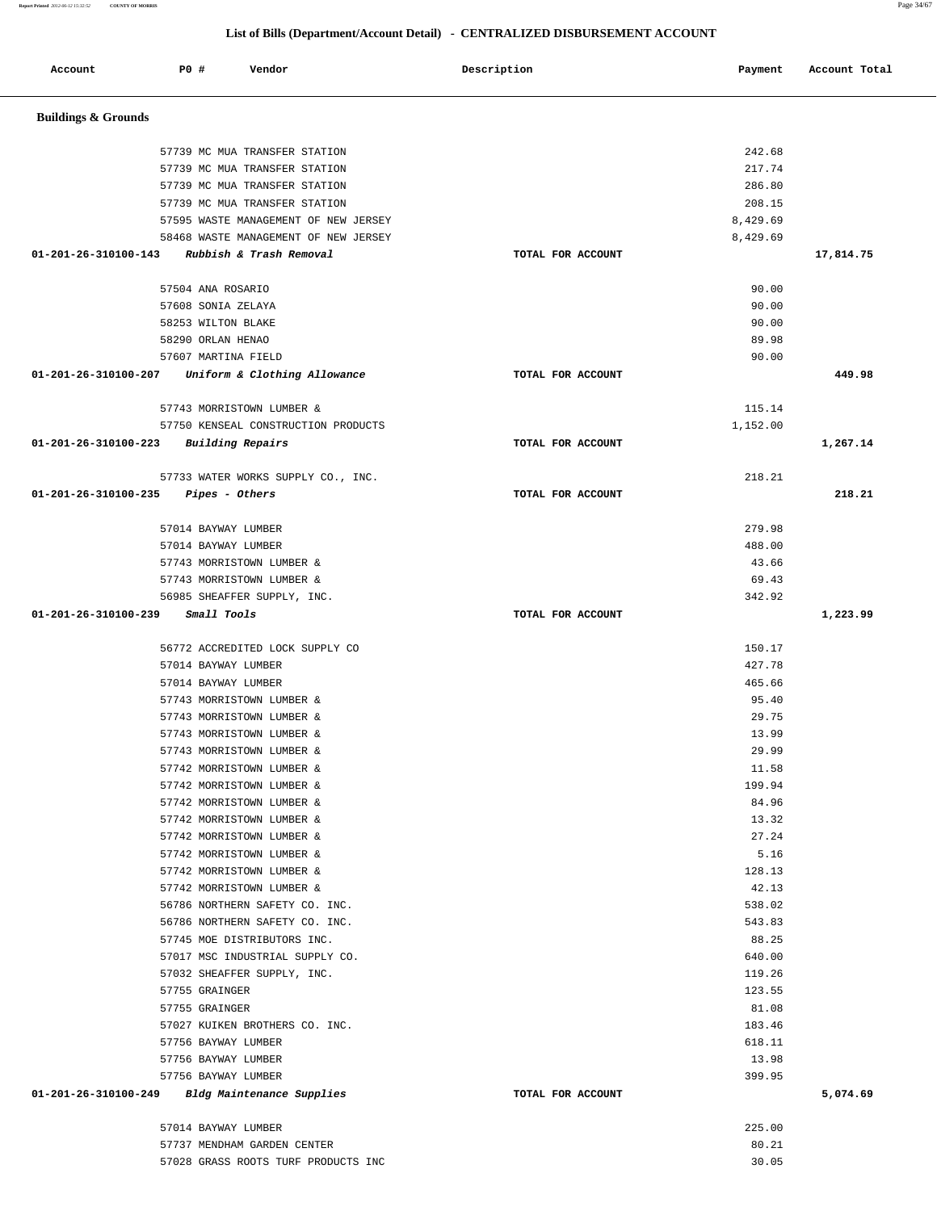57014 BAYWAY LUMBER 225.00 57737 MENDHAM GARDEN CENTER 80.21 57028 GRASS ROOTS TURF PRODUCTS INC 30.05

| Account                        | <b>PO #</b><br>Vendor                                  | Description       | Payment          | Account Total |
|--------------------------------|--------------------------------------------------------|-------------------|------------------|---------------|
| <b>Buildings &amp; Grounds</b> |                                                        |                   |                  |               |
|                                | 57739 MC MUA TRANSFER STATION                          |                   | 242.68           |               |
|                                | 57739 MC MUA TRANSFER STATION                          |                   | 217.74           |               |
|                                | 57739 MC MUA TRANSFER STATION                          |                   | 286.80           |               |
|                                | 57739 MC MUA TRANSFER STATION                          |                   | 208.15           |               |
|                                | 57595 WASTE MANAGEMENT OF NEW JERSEY                   |                   | 8,429.69         |               |
|                                | 58468 WASTE MANAGEMENT OF NEW JERSEY                   |                   | 8,429.69         |               |
| 01-201-26-310100-143           | Rubbish & Trash Removal                                | TOTAL FOR ACCOUNT |                  | 17,814.75     |
|                                | 57504 ANA ROSARIO                                      |                   | 90.00            |               |
|                                | 57608 SONIA ZELAYA                                     |                   | 90.00            |               |
|                                | 58253 WILTON BLAKE                                     |                   | 90.00            |               |
|                                | 58290 ORLAN HENAO                                      |                   | 89.98            |               |
|                                | 57607 MARTINA FIELD                                    |                   | 90.00            |               |
| 01-201-26-310100-207           | Uniform & Clothing Allowance                           | TOTAL FOR ACCOUNT |                  | 449.98        |
|                                | 57743 MORRISTOWN LUMBER &                              |                   | 115.14           |               |
|                                | 57750 KENSEAL CONSTRUCTION PRODUCTS                    |                   | 1,152.00         |               |
| 01-201-26-310100-223           | <b>Building Repairs</b>                                | TOTAL FOR ACCOUNT |                  | 1,267.14      |
|                                | 57733 WATER WORKS SUPPLY CO., INC.                     |                   | 218.21           |               |
| 01-201-26-310100-235           | Pipes - Others                                         | TOTAL FOR ACCOUNT |                  | 218.21        |
|                                | 57014 BAYWAY LUMBER                                    |                   | 279.98           |               |
|                                | 57014 BAYWAY LUMBER                                    |                   | 488.00           |               |
|                                | 57743 MORRISTOWN LUMBER &                              |                   | 43.66            |               |
|                                | 57743 MORRISTOWN LUMBER &                              |                   | 69.43            |               |
|                                | 56985 SHEAFFER SUPPLY, INC.                            |                   | 342.92           |               |
| 01-201-26-310100-239           | Small Tools                                            | TOTAL FOR ACCOUNT |                  | 1,223.99      |
|                                | 56772 ACCREDITED LOCK SUPPLY CO                        |                   | 150.17           |               |
|                                | 57014 BAYWAY LUMBER                                    |                   | 427.78           |               |
|                                | 57014 BAYWAY LUMBER                                    |                   | 465.66           |               |
|                                | 57743 MORRISTOWN LUMBER &                              |                   | 95.40            |               |
|                                | 57743 MORRISTOWN LUMBER &                              |                   | 29.75            |               |
|                                | 57743 MORRISTOWN LUMBER &                              |                   | 13.99            |               |
|                                | 57743 MORRISTOWN LUMBER &<br>57742 MORRISTOWN LUMBER & |                   | 29.99<br>11.58   |               |
|                                | 57742 MORRISTOWN LUMBER &                              |                   | 199.94           |               |
|                                | 57742 MORRISTOWN LUMBER &                              |                   | 84.96            |               |
|                                | 57742 MORRISTOWN LUMBER &                              |                   | 13.32            |               |
|                                | 57742 MORRISTOWN LUMBER &                              |                   | 27.24            |               |
|                                | 57742 MORRISTOWN LUMBER &                              |                   | 5.16             |               |
|                                | 57742 MORRISTOWN LUMBER &                              |                   | 128.13           |               |
|                                | 57742 MORRISTOWN LUMBER &                              |                   | 42.13            |               |
|                                | 56786 NORTHERN SAFETY CO. INC.                         |                   | 538.02           |               |
|                                | 56786 NORTHERN SAFETY CO. INC.                         |                   | 543.83           |               |
|                                | 57745 MOE DISTRIBUTORS INC.                            |                   | 88.25            |               |
|                                | 57017 MSC INDUSTRIAL SUPPLY CO.                        |                   | 640.00           |               |
|                                | 57032 SHEAFFER SUPPLY, INC.                            |                   | 119.26           |               |
|                                | 57755 GRAINGER                                         |                   | 123.55           |               |
|                                | 57755 GRAINGER                                         |                   | 81.08            |               |
|                                | 57027 KUIKEN BROTHERS CO. INC.<br>57756 BAYWAY LUMBER  |                   | 183.46<br>618.11 |               |
|                                | 57756 BAYWAY LUMBER                                    |                   | 13.98            |               |
|                                | 57756 BAYWAY LUMBER                                    |                   | 399.95           |               |
|                                | 01-201-26-310100-249 Bldg Maintenance Supplies         | TOTAL FOR ACCOUNT |                  | 5,074.69      |
|                                |                                                        |                   |                  |               |
|                                | 57014 BAYWAY LUMBER                                    |                   | 225.00           |               |

## **List of Bills (Department/Account Detail) - CENTRALIZED DISBURSEMENT ACCOUNT**

**Report Printed** *2012-06-12 15:32:52* **COUNTY OF MORRIS** Page 34/67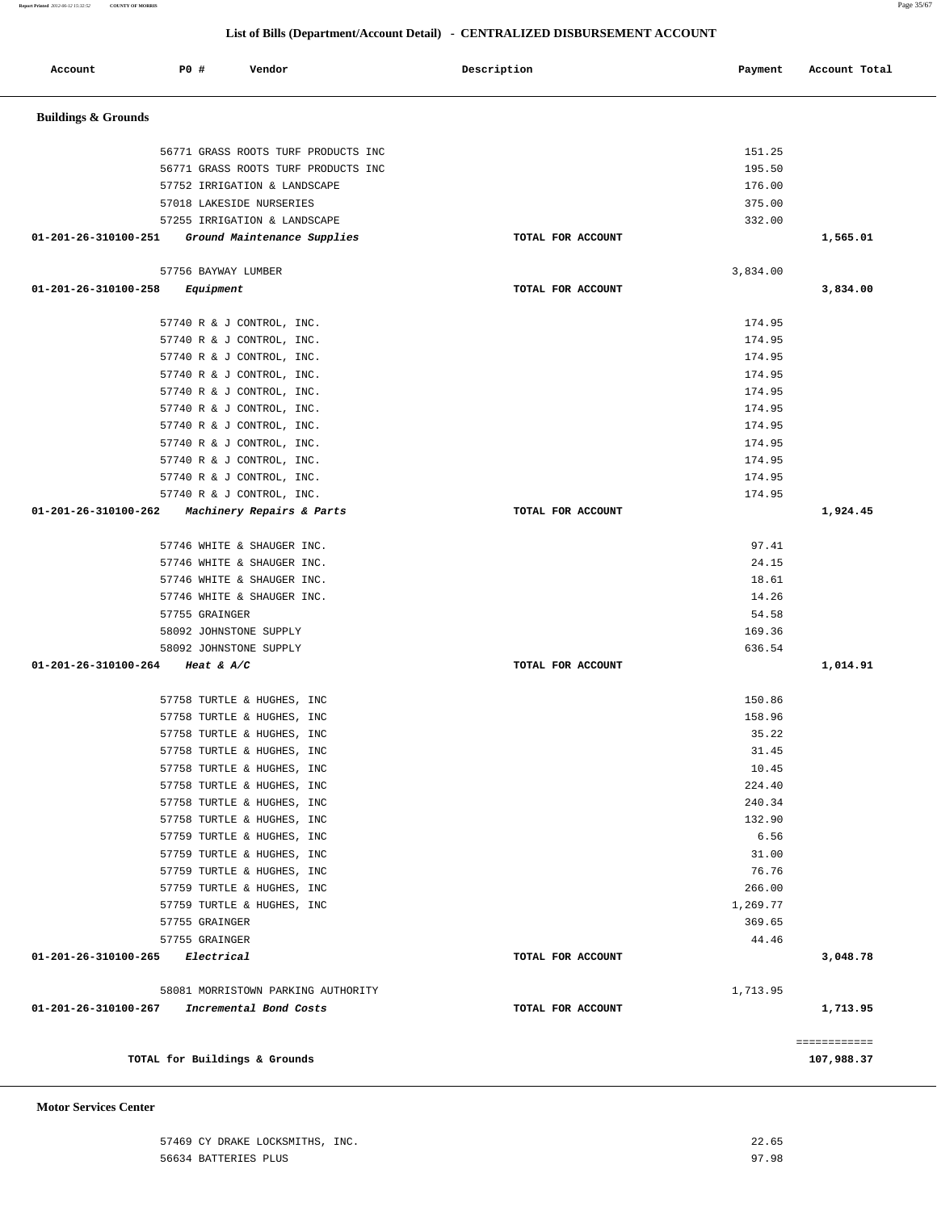## **Motor Services Center**

| 01-201-26-310100-262 Machinery Repairs & Parts |                                    | TOTAL FOR ACCOUNT |          | 1,924.45     |
|------------------------------------------------|------------------------------------|-------------------|----------|--------------|
|                                                | 57746 WHITE & SHAUGER INC.         |                   | 97.41    |              |
|                                                | 57746 WHITE & SHAUGER INC.         |                   | 24.15    |              |
|                                                | 57746 WHITE & SHAUGER INC.         |                   | 18.61    |              |
|                                                | 57746 WHITE & SHAUGER INC.         |                   | 14.26    |              |
|                                                | 57755 GRAINGER                     |                   | 54.58    |              |
|                                                | 58092 JOHNSTONE SUPPLY             |                   | 169.36   |              |
|                                                | 58092 JOHNSTONE SUPPLY             |                   | 636.54   |              |
| 01-201-26-310100-264 Heat & A/C                |                                    | TOTAL FOR ACCOUNT |          | 1,014.91     |
|                                                | 57758 TURTLE & HUGHES, INC         |                   | 150.86   |              |
|                                                | 57758 TURTLE & HUGHES, INC         |                   | 158.96   |              |
|                                                | 57758 TURTLE & HUGHES, INC         |                   | 35.22    |              |
|                                                | 57758 TURTLE & HUGHES, INC         |                   | 31.45    |              |
|                                                | 57758 TURTLE & HUGHES, INC         |                   | 10.45    |              |
|                                                | 57758 TURTLE & HUGHES, INC         |                   | 224.40   |              |
|                                                | 57758 TURTLE & HUGHES, INC         |                   | 240.34   |              |
|                                                | 57758 TURTLE & HUGHES, INC         |                   | 132.90   |              |
|                                                | 57759 TURTLE & HUGHES, INC         |                   | 6.56     |              |
|                                                | 57759 TURTLE & HUGHES, INC         |                   | 31.00    |              |
|                                                | 57759 TURTLE & HUGHES, INC         |                   | 76.76    |              |
|                                                | 57759 TURTLE & HUGHES, INC         |                   | 266.00   |              |
|                                                | 57759 TURTLE & HUGHES, INC         |                   | 1,269.77 |              |
|                                                | 57755 GRAINGER                     |                   | 369.65   |              |
|                                                | 57755 GRAINGER                     |                   | 44.46    |              |
| 01-201-26-310100-265 Electrical                |                                    | TOTAL FOR ACCOUNT |          | 3,048.78     |
|                                                | 58081 MORRISTOWN PARKING AUTHORITY |                   | 1,713.95 |              |
| 01-201-26-310100-267                           | Incremental Bond Costs             | TOTAL FOR ACCOUNT |          | 1,713.95     |
|                                                |                                    |                   |          | ============ |

|                      | 56771 GRASS ROOTS TURF PRODUCTS INC              |                   | 151.25   |          |
|----------------------|--------------------------------------------------|-------------------|----------|----------|
|                      | 56771 GRASS ROOTS TURF PRODUCTS INC              |                   | 195.50   |          |
|                      | 57752 IRRIGATION & LANDSCAPE                     |                   | 176.00   |          |
|                      | 57018 LAKESIDE NURSERIES                         |                   | 375.00   |          |
|                      | 57255 IRRIGATION & LANDSCAPE                     |                   | 332.00   |          |
|                      | 01-201-26-310100-251 Ground Maintenance Supplies | TOTAL FOR ACCOUNT |          | 1,565.01 |
|                      | 57756 BAYWAY LUMBER                              |                   | 3,834.00 |          |
| 01-201-26-310100-258 | Equipment                                        | TOTAL FOR ACCOUNT |          | 3,834.00 |
|                      | 57740 R & J CONTROL, INC.                        |                   | 174.95   |          |
|                      | 57740 R & J CONTROL, INC.                        |                   | 174.95   |          |
|                      | 57740 R & J CONTROL, INC.                        |                   | 174.95   |          |
|                      | 57740 R & J CONTROL, INC.                        |                   | 174.95   |          |
|                      | 57740 R & J CONTROL, INC.                        |                   | 174.95   |          |
|                      | 57740 R & J CONTROL, INC.                        |                   | 174.95   |          |
|                      | 57740 R & J CONTROL, INC.                        |                   | 174.95   |          |
|                      | 57740 R & J CONTROL, INC.                        |                   | 174.95   |          |
|                      | 57740 R & J CONTROL, INC.                        |                   | 174.95   |          |
|                      | 57740 R & J CONTROL, INC.                        |                   | 174.95   |          |
|                      | 57740 R & J CONTROL, INC.                        |                   | 174.95   |          |
| 01-201-26-310100-262 | Machinery Repairs & Parts                        | TOTAL FOR ACCOUNT |          | 1,924.45 |
|                      |                                                  |                   |          |          |

# **Buildings & Grounds**

| 57469 CY DRAKE LOCKSMITHS, INC. | 22.65 |
|---------------------------------|-------|
| 56634 BATTERIES PLUS            | 97.98 |
|                                 |       |

**TOTAL for Buildings & Grounds 107,988.37**

## **List of Bills (Department/Account Detail) - CENTRALIZED DISBURSEMENT ACCOUNT**

Account **PO #** Vendor **Payment Payment Payment** Payment Payment Payment Account Total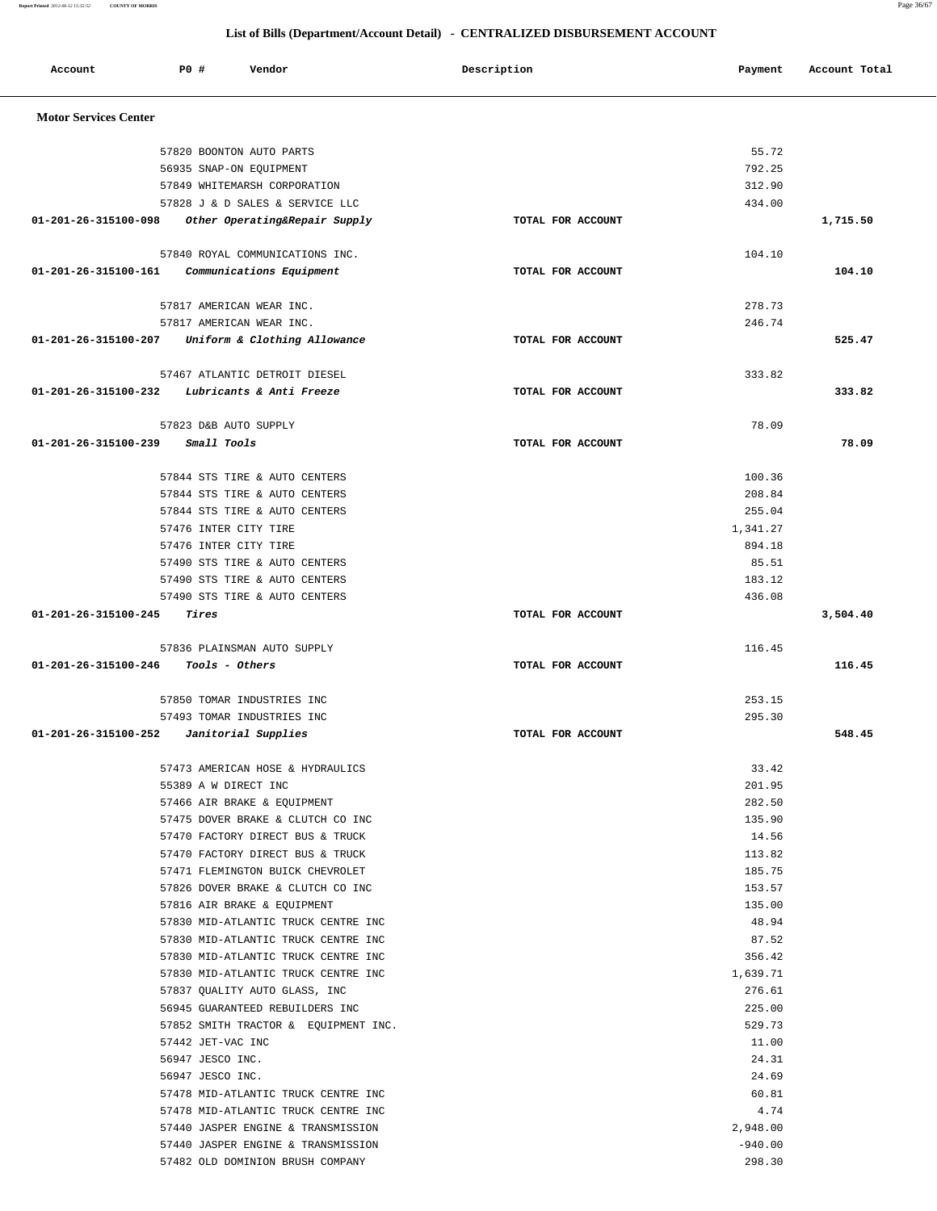**Report Printed** *2012-06-12 15:32:52* **COUNTY OF MORRIS** Page 36/67

| Account                                       | PO#                                   | Vendor                                                                | Description       | Payment            | Account Total |
|-----------------------------------------------|---------------------------------------|-----------------------------------------------------------------------|-------------------|--------------------|---------------|
| <b>Motor Services Center</b>                  |                                       |                                                                       |                   |                    |               |
|                                               |                                       | 57820 BOONTON AUTO PARTS                                              |                   | 55.72              |               |
|                                               |                                       | 56935 SNAP-ON EQUIPMENT                                               |                   | 792.25             |               |
|                                               |                                       | 57849 WHITEMARSH CORPORATION                                          |                   | 312.90             |               |
|                                               |                                       | 57828 J & D SALES & SERVICE LLC                                       |                   | 434.00             |               |
|                                               |                                       | 01-201-26-315100-098 Other Operating&Repair Supply                    | TOTAL FOR ACCOUNT |                    | 1,715.50      |
|                                               |                                       | 57840 ROYAL COMMUNICATIONS INC.                                       |                   | 104.10             |               |
| 01-201-26-315100-161 Communications Equipment |                                       |                                                                       | TOTAL FOR ACCOUNT |                    | 104.10        |
|                                               |                                       | 57817 AMERICAN WEAR INC.                                              |                   | 278.73             |               |
|                                               |                                       | 57817 AMERICAN WEAR INC.                                              |                   | 246.74             |               |
|                                               |                                       | 01-201-26-315100-207 Uniform & Clothing Allowance                     | TOTAL FOR ACCOUNT |                    | 525.47        |
|                                               |                                       | 57467 ATLANTIC DETROIT DIESEL                                         |                   | 333.82             |               |
| 01-201-26-315100-232                          |                                       | Lubricants & Anti Freeze                                              | TOTAL FOR ACCOUNT |                    | 333.82        |
|                                               | 57823 D&B AUTO SUPPLY                 |                                                                       |                   | 78.09              |               |
| 01-201-26-315100-239                          | Small Tools                           |                                                                       | TOTAL FOR ACCOUNT |                    | 78.09         |
|                                               |                                       |                                                                       |                   |                    |               |
|                                               |                                       | 57844 STS TIRE & AUTO CENTERS                                         |                   | 100.36             |               |
|                                               |                                       | 57844 STS TIRE & AUTO CENTERS                                         |                   | 208.84             |               |
|                                               | 57476 INTER CITY TIRE                 | 57844 STS TIRE & AUTO CENTERS                                         |                   | 255.04<br>1,341.27 |               |
|                                               | 57476 INTER CITY TIRE                 |                                                                       |                   | 894.18             |               |
|                                               |                                       | 57490 STS TIRE & AUTO CENTERS                                         |                   | 85.51              |               |
|                                               |                                       | 57490 STS TIRE & AUTO CENTERS                                         |                   | 183.12             |               |
|                                               |                                       | 57490 STS TIRE & AUTO CENTERS                                         |                   | 436.08             |               |
| 01-201-26-315100-245                          | Tires                                 |                                                                       | TOTAL FOR ACCOUNT |                    | 3,504.40      |
|                                               |                                       | 57836 PLAINSMAN AUTO SUPPLY                                           |                   | 116.45             |               |
| 01-201-26-315100-246                          |                                       | Tools - Others                                                        | TOTAL FOR ACCOUNT |                    | 116.45        |
|                                               |                                       | 57850 TOMAR INDUSTRIES INC                                            |                   | 253.15             |               |
|                                               |                                       | 57493 TOMAR INDUSTRIES INC                                            |                   | 295.30             |               |
| $01-201-26-315100-252$ Janitorial Supplies    |                                       |                                                                       | TOTAL FOR ACCOUNT |                    | 548.45        |
|                                               |                                       | 57473 AMERICAN HOSE & HYDRAULICS                                      |                   | 33.42              |               |
|                                               | 55389 A W DIRECT INC                  |                                                                       |                   | 201.95             |               |
|                                               |                                       | 57466 AIR BRAKE & EQUIPMENT                                           |                   | 282.50             |               |
|                                               |                                       | 57475 DOVER BRAKE & CLUTCH CO INC                                     |                   | 135.90             |               |
|                                               |                                       | 57470 FACTORY DIRECT BUS & TRUCK                                      |                   | 14.56              |               |
|                                               |                                       | 57470 FACTORY DIRECT BUS & TRUCK                                      |                   | 113.82             |               |
|                                               |                                       | 57471 FLEMINGTON BUICK CHEVROLET<br>57826 DOVER BRAKE & CLUTCH CO INC |                   | 185.75<br>153.57   |               |
|                                               |                                       | 57816 AIR BRAKE & EQUIPMENT                                           |                   | 135.00             |               |
|                                               |                                       | 57830 MID-ATLANTIC TRUCK CENTRE INC                                   |                   | 48.94              |               |
|                                               |                                       | 57830 MID-ATLANTIC TRUCK CENTRE INC                                   |                   | 87.52              |               |
|                                               |                                       | 57830 MID-ATLANTIC TRUCK CENTRE INC                                   |                   | 356.42             |               |
|                                               |                                       | 57830 MID-ATLANTIC TRUCK CENTRE INC                                   |                   | 1,639.71           |               |
|                                               |                                       | 57837 QUALITY AUTO GLASS, INC                                         |                   | 276.61             |               |
|                                               |                                       | 56945 GUARANTEED REBUILDERS INC                                       |                   | 225.00             |               |
|                                               |                                       | 57852 SMITH TRACTOR & EQUIPMENT INC.                                  |                   | 529.73             |               |
|                                               | 57442 JET-VAC INC<br>56947 JESCO INC. |                                                                       |                   | 11.00<br>24.31     |               |
|                                               | 56947 JESCO INC.                      |                                                                       |                   | 24.69              |               |
|                                               |                                       | 57478 MID-ATLANTIC TRUCK CENTRE INC                                   |                   | 60.81              |               |
|                                               |                                       | 57478 MID-ATLANTIC TRUCK CENTRE INC                                   |                   | 4.74               |               |
|                                               |                                       | 57440 JASPER ENGINE & TRANSMISSION                                    |                   | 2,948.00           |               |
|                                               |                                       | 57440 JASPER ENGINE & TRANSMISSION                                    |                   | $-940.00$          |               |
|                                               |                                       | 57482 OLD DOMINION BRUSH COMPANY                                      |                   | 298.30             |               |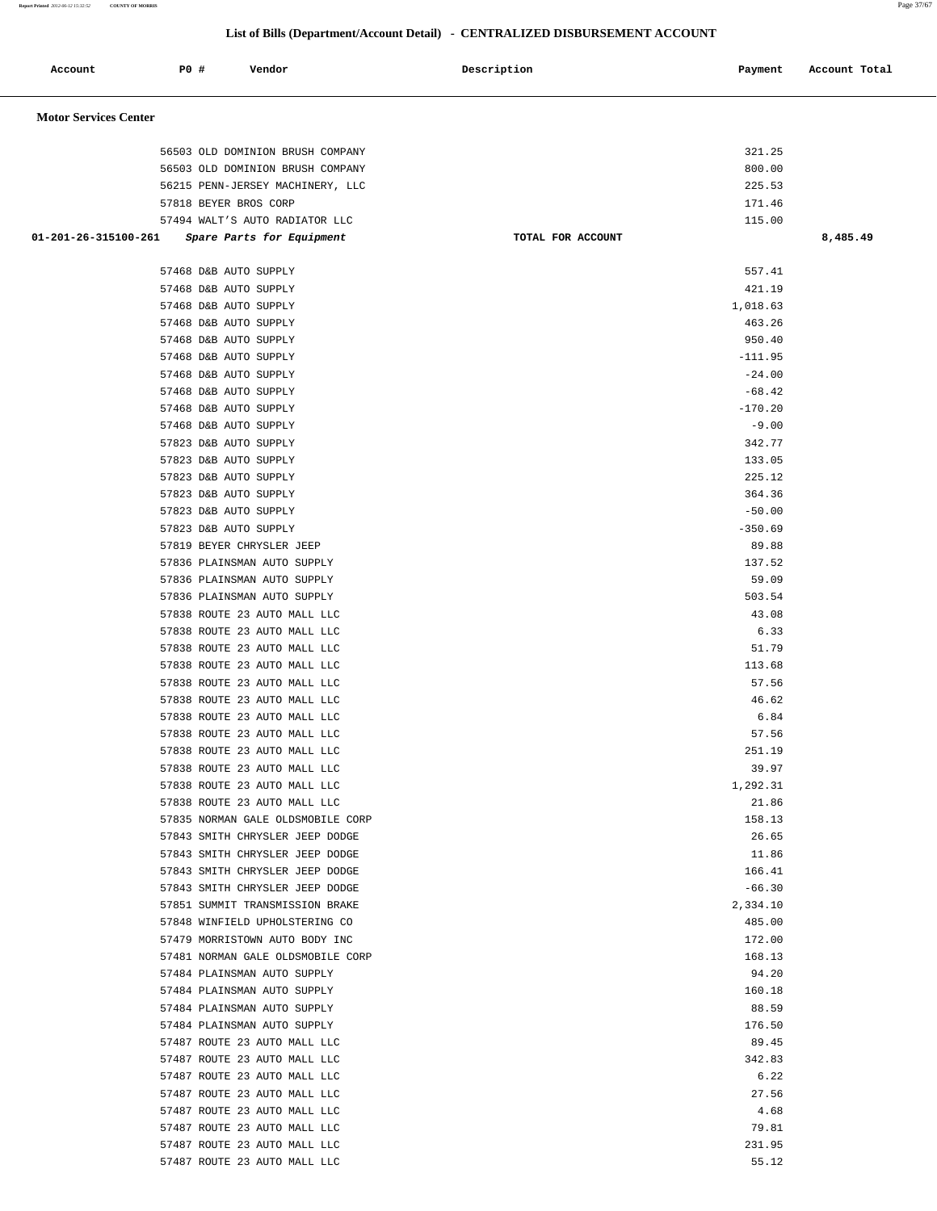**Report Printed** *2012-06-12 15:32:52* **COUNTY OF MORRIS** Page 37/67

| Account                      | P0 # | Vendor                                                       |                                   | Description       | Payment           | Account Total |
|------------------------------|------|--------------------------------------------------------------|-----------------------------------|-------------------|-------------------|---------------|
| <b>Motor Services Center</b> |      |                                                              |                                   |                   |                   |               |
|                              |      | 56503 OLD DOMINION BRUSH COMPANY                             |                                   |                   | 321.25            |               |
|                              |      | 56503 OLD DOMINION BRUSH COMPANY                             |                                   |                   | 800.00            |               |
|                              |      | 56215 PENN-JERSEY MACHINERY, LLC                             |                                   |                   | 225.53            |               |
|                              |      | 57818 BEYER BROS CORP                                        |                                   |                   | 171.46            |               |
|                              |      | 57494 WALT'S AUTO RADIATOR LLC                               |                                   |                   | 115.00            |               |
| 01-201-26-315100-261         |      | Spare Parts for Equipment                                    |                                   | TOTAL FOR ACCOUNT |                   | 8,485.49      |
|                              |      | 57468 D&B AUTO SUPPLY                                        |                                   |                   | 557.41            |               |
|                              |      | 57468 D&B AUTO SUPPLY                                        |                                   |                   | 421.19            |               |
|                              |      | 57468 D&B AUTO SUPPLY                                        |                                   |                   | 1,018.63          |               |
|                              |      | 57468 D&B AUTO SUPPLY                                        |                                   |                   | 463.26            |               |
|                              |      | 57468 D&B AUTO SUPPLY                                        |                                   |                   | 950.40            |               |
|                              |      | 57468 D&B AUTO SUPPLY                                        |                                   |                   | $-111.95$         |               |
|                              |      | 57468 D&B AUTO SUPPLY                                        |                                   |                   | $-24.00$          |               |
|                              |      | 57468 D&B AUTO SUPPLY                                        |                                   |                   | $-68.42$          |               |
|                              |      | 57468 D&B AUTO SUPPLY                                        |                                   |                   | $-170.20$         |               |
|                              |      | 57468 D&B AUTO SUPPLY                                        |                                   |                   | $-9.00$           |               |
|                              |      | 57823 D&B AUTO SUPPLY<br>57823 D&B AUTO SUPPLY               |                                   |                   | 342.77<br>133.05  |               |
|                              |      | 57823 D&B AUTO SUPPLY                                        |                                   |                   | 225.12            |               |
|                              |      | 57823 D&B AUTO SUPPLY                                        |                                   |                   | 364.36            |               |
|                              |      | 57823 D&B AUTO SUPPLY                                        |                                   |                   | $-50.00$          |               |
|                              |      | 57823 D&B AUTO SUPPLY                                        |                                   |                   | $-350.69$         |               |
|                              |      | 57819 BEYER CHRYSLER JEEP                                    |                                   |                   | 89.88             |               |
|                              |      | 57836 PLAINSMAN AUTO SUPPLY                                  |                                   |                   | 137.52            |               |
|                              |      | 57836 PLAINSMAN AUTO SUPPLY                                  |                                   |                   | 59.09             |               |
|                              |      | 57836 PLAINSMAN AUTO SUPPLY                                  |                                   |                   | 503.54            |               |
|                              |      | 57838 ROUTE 23 AUTO MALL LLC                                 |                                   |                   | 43.08             |               |
|                              |      | 57838 ROUTE 23 AUTO MALL LLC                                 |                                   |                   | 6.33              |               |
|                              |      | 57838 ROUTE 23 AUTO MALL LLC                                 |                                   |                   | 51.79             |               |
|                              |      | 57838 ROUTE 23 AUTO MALL LLC                                 |                                   |                   | 113.68            |               |
|                              |      | 57838 ROUTE 23 AUTO MALL LLC                                 |                                   |                   | 57.56             |               |
|                              |      | 57838 ROUTE 23 AUTO MALL LLC                                 |                                   |                   | 46.62             |               |
|                              |      | 57838 ROUTE 23 AUTO MALL LLC                                 |                                   |                   | 6.84              |               |
|                              |      | 57838 ROUTE 23 AUTO MALL LLC                                 |                                   |                   | 57.56             |               |
|                              |      | 57838 ROUTE 23 AUTO MALL LLC                                 |                                   |                   | 251.19            |               |
|                              |      | 57838 ROUTE 23 AUTO MALL LLC                                 |                                   |                   | 39.97             |               |
|                              |      | 57838 ROUTE 23 AUTO MALL LLC<br>57838 ROUTE 23 AUTO MALL LLC |                                   |                   | 1,292.31<br>21.86 |               |
|                              |      |                                                              | 57835 NORMAN GALE OLDSMOBILE CORP |                   | 158.13            |               |
|                              |      | 57843 SMITH CHRYSLER JEEP DODGE                              |                                   |                   | 26.65             |               |
|                              |      | 57843 SMITH CHRYSLER JEEP DODGE                              |                                   |                   | 11.86             |               |
|                              |      | 57843 SMITH CHRYSLER JEEP DODGE                              |                                   |                   | 166.41            |               |
|                              |      | 57843 SMITH CHRYSLER JEEP DODGE                              |                                   |                   | $-66.30$          |               |
|                              |      | 57851 SUMMIT TRANSMISSION BRAKE                              |                                   |                   | 2,334.10          |               |
|                              |      | 57848 WINFIELD UPHOLSTERING CO                               |                                   |                   | 485.00            |               |
|                              |      | 57479 MORRISTOWN AUTO BODY INC                               |                                   |                   | 172.00            |               |
|                              |      |                                                              | 57481 NORMAN GALE OLDSMOBILE CORP |                   | 168.13            |               |
|                              |      | 57484 PLAINSMAN AUTO SUPPLY                                  |                                   |                   | 94.20             |               |
|                              |      | 57484 PLAINSMAN AUTO SUPPLY                                  |                                   |                   | 160.18            |               |
|                              |      | 57484 PLAINSMAN AUTO SUPPLY                                  |                                   |                   | 88.59             |               |
|                              |      | 57484 PLAINSMAN AUTO SUPPLY                                  |                                   |                   | 176.50            |               |
|                              |      | 57487 ROUTE 23 AUTO MALL LLC                                 |                                   |                   | 89.45             |               |
|                              |      | 57487 ROUTE 23 AUTO MALL LLC                                 |                                   |                   | 342.83            |               |
|                              |      | 57487 ROUTE 23 AUTO MALL LLC                                 |                                   |                   | 6.22              |               |
|                              |      | 57487 ROUTE 23 AUTO MALL LLC                                 |                                   |                   | 27.56             |               |
|                              |      | 57487 ROUTE 23 AUTO MALL LLC                                 |                                   |                   | 4.68              |               |
|                              |      | 57487 ROUTE 23 AUTO MALL LLC<br>57487 ROUTE 23 AUTO MALL LLC |                                   |                   | 79.81<br>231.95   |               |
|                              |      | 57487 ROUTE 23 AUTO MALL LLC                                 |                                   |                   | 55.12             |               |
|                              |      |                                                              |                                   |                   |                   |               |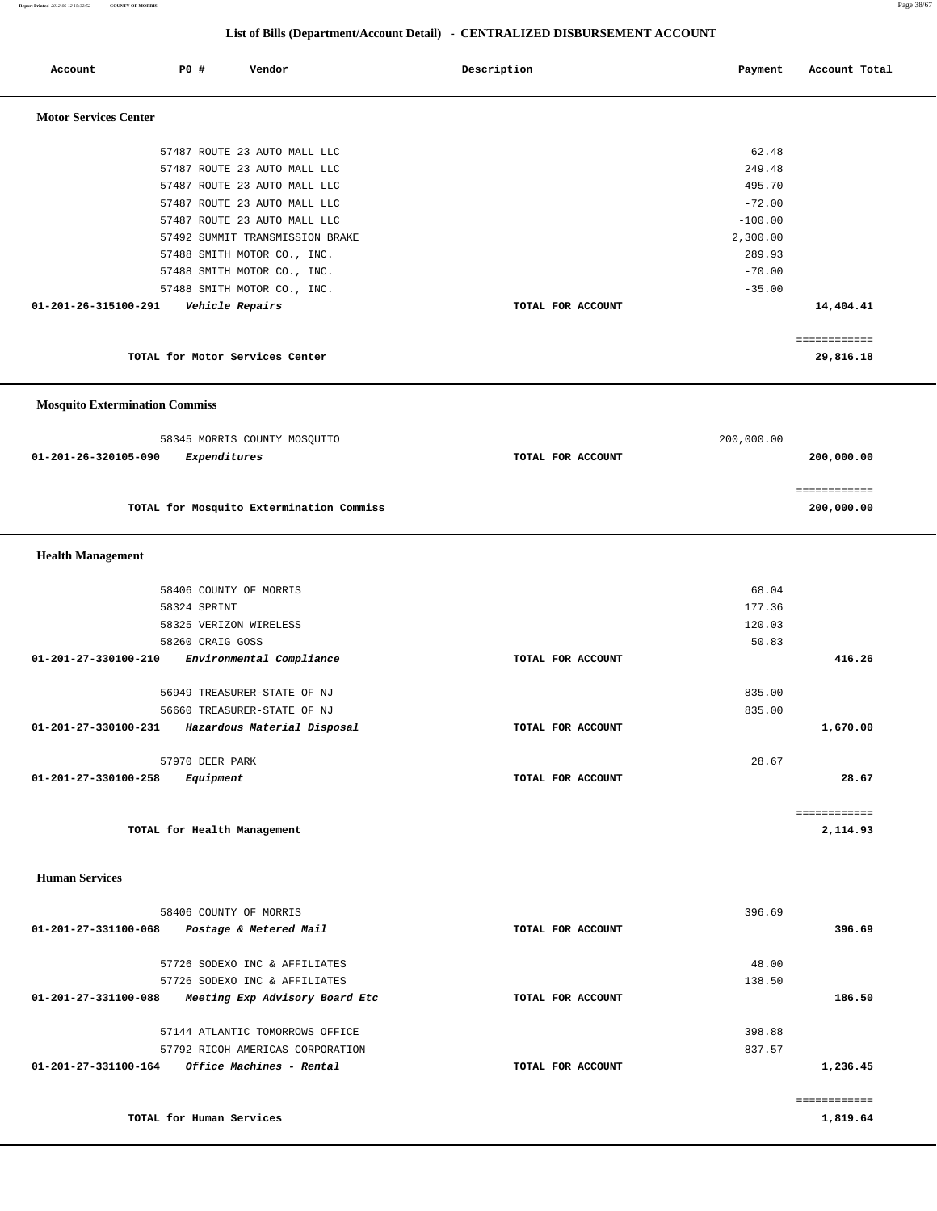**Report Printed** *2012-06-12 15:32:52* **COUNTY OF MORRIS** Page 38/67

| Account                               | P0 #<br>Vendor                                               | Description<br>Payment | Account Total |
|---------------------------------------|--------------------------------------------------------------|------------------------|---------------|
|                                       |                                                              |                        |               |
| <b>Motor Services Center</b>          |                                                              |                        |               |
|                                       |                                                              |                        |               |
|                                       | 57487 ROUTE 23 AUTO MALL LLC                                 | 62.48                  |               |
|                                       | 57487 ROUTE 23 AUTO MALL LLC                                 | 249.48                 |               |
|                                       | 57487 ROUTE 23 AUTO MALL LLC                                 | 495.70                 |               |
|                                       | 57487 ROUTE 23 AUTO MALL LLC<br>57487 ROUTE 23 AUTO MALL LLC | $-72.00$<br>$-100.00$  |               |
|                                       | 57492 SUMMIT TRANSMISSION BRAKE                              | 2,300.00               |               |
|                                       | 57488 SMITH MOTOR CO., INC.                                  | 289.93                 |               |
|                                       | 57488 SMITH MOTOR CO., INC.                                  | $-70.00$               |               |
|                                       | 57488 SMITH MOTOR CO., INC.                                  | $-35.00$               |               |
| 01-201-26-315100-291                  | Vehicle Repairs                                              | TOTAL FOR ACCOUNT      | 14,404.41     |
|                                       |                                                              |                        |               |
|                                       |                                                              |                        | ============  |
|                                       | TOTAL for Motor Services Center                              |                        | 29,816.18     |
|                                       |                                                              |                        |               |
| <b>Mosquito Extermination Commiss</b> |                                                              |                        |               |
|                                       |                                                              |                        |               |
|                                       | 58345 MORRIS COUNTY MOSQUITO                                 | 200,000.00             |               |
| 01-201-26-320105-090                  | Expenditures                                                 | TOTAL FOR ACCOUNT      | 200,000.00    |
|                                       |                                                              |                        |               |
|                                       |                                                              |                        | ============  |
|                                       | TOTAL for Mosquito Extermination Commiss                     |                        | 200,000.00    |
|                                       |                                                              |                        |               |
| <b>Health Management</b>              |                                                              |                        |               |
|                                       |                                                              |                        |               |
|                                       | 58406 COUNTY OF MORRIS                                       | 68.04                  |               |
|                                       | 58324 SPRINT                                                 | 177.36                 |               |
|                                       | 58325 VERIZON WIRELESS                                       | 120.03                 |               |
| $01 - 201 - 27 - 330100 - 210$        | 58260 CRAIG GOSS                                             | 50.83                  |               |
|                                       | Environmental Compliance                                     | TOTAL FOR ACCOUNT      | 416.26        |
|                                       | 56949 TREASURER-STATE OF NJ                                  | 835.00                 |               |
|                                       | 56660 TREASURER-STATE OF NJ                                  | 835.00                 |               |
| 01-201-27-330100-231                  | Hazardous Material Disposal                                  | TOTAL FOR ACCOUNT      | 1,670.00      |
|                                       |                                                              |                        |               |
|                                       | 57970 DEER PARK                                              | 28.67                  |               |
| 01-201-27-330100-258                  | Equipment                                                    | TOTAL FOR ACCOUNT      | 28.67         |
|                                       |                                                              |                        |               |
|                                       |                                                              |                        | ============  |
|                                       | TOTAL for Health Management                                  |                        | 2,114.93      |
|                                       |                                                              |                        |               |
| <b>Human Services</b>                 |                                                              |                        |               |
|                                       |                                                              |                        |               |
|                                       | 58406 COUNTY OF MORRIS                                       | 396.69                 |               |
| 01-201-27-331100-068                  | Postage & Metered Mail                                       | TOTAL FOR ACCOUNT      | 396.69        |
|                                       | 57726 SODEXO INC & AFFILIATES                                | 48.00                  |               |
|                                       | 57726 SODEXO INC & AFFILIATES                                | 138.50                 |               |
| 01-201-27-331100-088                  | Meeting Exp Advisory Board Etc                               | TOTAL FOR ACCOUNT      | 186.50        |
|                                       |                                                              |                        |               |
|                                       | 57144 ATLANTIC TOMORROWS OFFICE                              | 398.88                 |               |
|                                       | 57792 RICOH AMERICAS CORPORATION                             | 837.57                 |               |
| 01-201-27-331100-164                  | Office Machines - Rental                                     | TOTAL FOR ACCOUNT      | 1,236.45      |
|                                       |                                                              |                        |               |
|                                       |                                                              |                        | ============  |
|                                       | TOTAL for Human Services                                     |                        | 1,819.64      |
|                                       |                                                              |                        |               |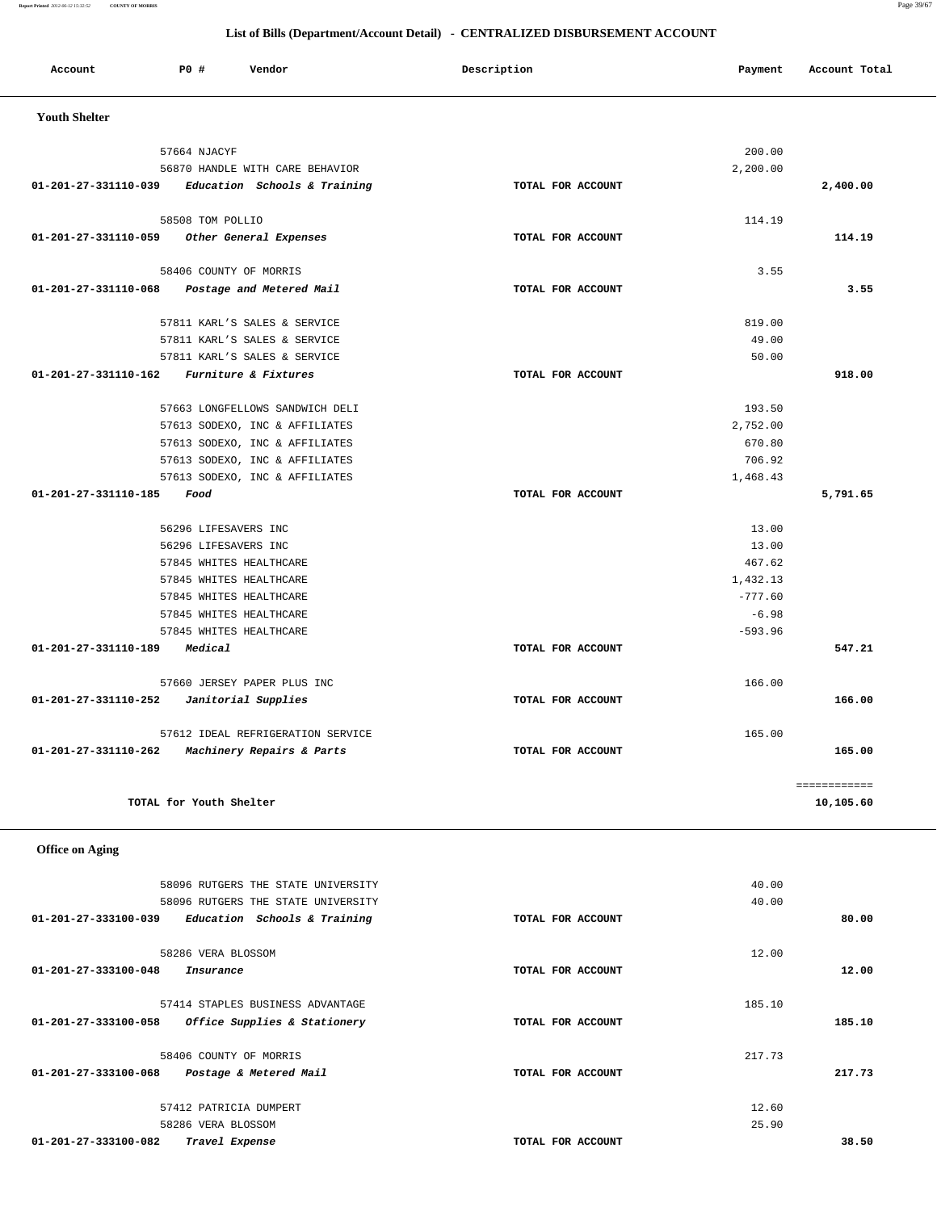| Account              | <b>PO #</b>             | Vendor                                             | Description       | Payment              | Account Total |
|----------------------|-------------------------|----------------------------------------------------|-------------------|----------------------|---------------|
|                      |                         |                                                    |                   |                      |               |
| <b>Youth Shelter</b> |                         |                                                    |                   |                      |               |
|                      | 57664 NJACYF            |                                                    |                   | 200.00               |               |
|                      |                         | 56870 HANDLE WITH CARE BEHAVIOR                    |                   | 2,200.00             |               |
| 01-201-27-331110-039 |                         | Education Schools & Training                       | TOTAL FOR ACCOUNT |                      | 2,400.00      |
|                      | 58508 TOM POLLIO        |                                                    |                   | 114.19               |               |
| 01-201-27-331110-059 |                         | Other General Expenses                             | TOTAL FOR ACCOUNT |                      | 114.19        |
|                      |                         | 58406 COUNTY OF MORRIS                             |                   | 3.55                 |               |
| 01-201-27-331110-068 |                         | Postage and Metered Mail                           | TOTAL FOR ACCOUNT |                      | 3.55          |
|                      |                         | 57811 KARL'S SALES & SERVICE                       |                   | 819.00               |               |
|                      |                         | 57811 KARL'S SALES & SERVICE                       |                   | 49.00                |               |
|                      |                         | 57811 KARL'S SALES & SERVICE                       |                   | 50.00                |               |
| 01-201-27-331110-162 |                         | Furniture & Fixtures                               | TOTAL FOR ACCOUNT |                      | 918.00        |
|                      |                         | 57663 LONGFELLOWS SANDWICH DELI                    |                   | 193.50               |               |
|                      |                         | 57613 SODEXO, INC & AFFILIATES                     |                   | 2,752.00             |               |
|                      |                         | 57613 SODEXO, INC & AFFILIATES                     |                   | 670.80               |               |
|                      |                         | 57613 SODEXO, INC & AFFILIATES                     |                   | 706.92               |               |
|                      |                         | 57613 SODEXO, INC & AFFILIATES                     |                   | 1,468.43             |               |
| 01-201-27-331110-185 | Food                    |                                                    | TOTAL FOR ACCOUNT |                      | 5,791.65      |
|                      | 56296 LIFESAVERS INC    |                                                    |                   | 13.00                |               |
|                      | 56296 LIFESAVERS INC    |                                                    |                   | 13.00                |               |
|                      |                         | 57845 WHITES HEALTHCARE                            |                   | 467.62               |               |
|                      |                         | 57845 WHITES HEALTHCARE                            |                   | 1,432.13             |               |
|                      |                         | 57845 WHITES HEALTHCARE                            |                   | $-777.60$            |               |
|                      |                         | 57845 WHITES HEALTHCARE<br>57845 WHITES HEALTHCARE |                   | $-6.98$<br>$-593.96$ |               |
| 01-201-27-331110-189 | Medical                 |                                                    | TOTAL FOR ACCOUNT |                      | 547.21        |
|                      |                         |                                                    |                   |                      |               |
|                      |                         | 57660 JERSEY PAPER PLUS INC                        |                   | 166.00               |               |
| 01-201-27-331110-252 |                         | Janitorial Supplies                                | TOTAL FOR ACCOUNT |                      | 166.00        |
|                      |                         | 57612 IDEAL REFRIGERATION SERVICE                  |                   | 165.00               |               |
| 01-201-27-331110-262 |                         | Machinery Repairs & Parts                          | TOTAL FOR ACCOUNT |                      | 165.00        |
|                      |                         |                                                    |                   |                      | ============  |
|                      | TOTAL for Youth Shelter |                                                    |                   |                      | 10,105.60     |

| 40.00  |                   | 58096 RUTGERS THE STATE UNIVERSITY                   |
|--------|-------------------|------------------------------------------------------|
| 40.00  |                   | 58096 RUTGERS THE STATE UNIVERSITY                   |
|        | TOTAL FOR ACCOUNT | 01-201-27-333100-039<br>Education Schools & Training |
| 12.00  |                   | 58286 VERA BLOSSOM                                   |
|        | TOTAL FOR ACCOUNT | 01-201-27-333100-048<br>Insurance                    |
| 185.10 |                   | 57414 STAPLES BUSINESS ADVANTAGE                     |
|        | TOTAL FOR ACCOUNT | Office Supplies & Stationery<br>01-201-27-333100-058 |
| 217.73 |                   | 58406 COUNTY OF MORRIS                               |
|        | TOTAL FOR ACCOUNT | 01-201-27-333100-068<br>Postage & Metered Mail       |
| 12.60  |                   | 57412 PATRICIA DUMPERT                               |
| 25.90  |                   | 58286 VERA BLOSSOM                                   |
|        | TOTAL FOR ACCOUNT | 01-201-27-333100-082<br>Travel Expense               |
|        |                   |                                                      |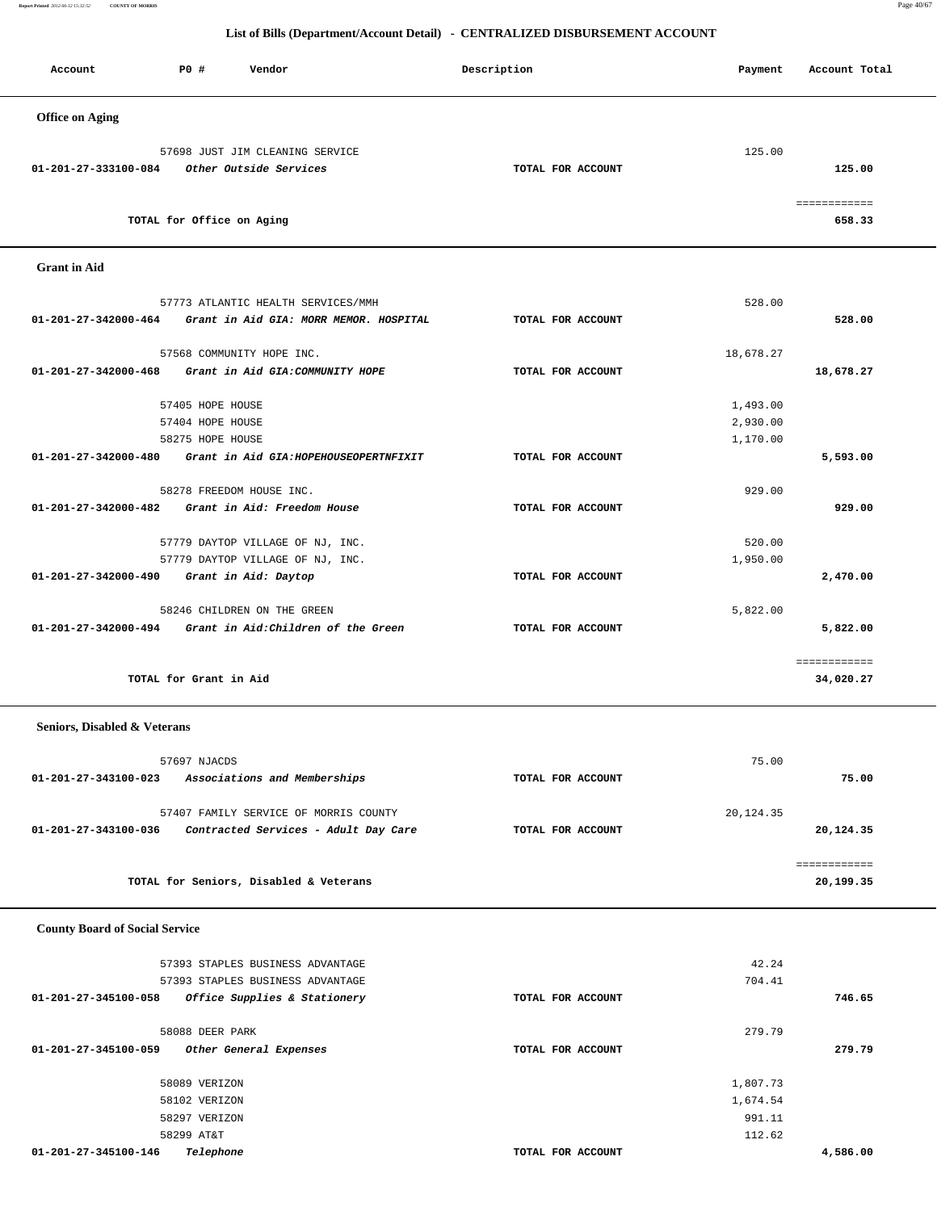**Report Printed** *2012-06-12 15:32:52* **COUNTY OF MORRIS** Page 40/67

## **List of Bills (Department/Account Detail) - CENTRALIZED DISBURSEMENT ACCOUNT**

| Account                | PO#                       | Vendor                                                    | Description       | Payment | Account Total          |
|------------------------|---------------------------|-----------------------------------------------------------|-------------------|---------|------------------------|
| <b>Office on Aging</b> |                           |                                                           |                   |         |                        |
| 01-201-27-333100-084   |                           | 57698 JUST JIM CLEANING SERVICE<br>Other Outside Services | TOTAL FOR ACCOUNT | 125.00  | 125.00                 |
|                        | TOTAL for Office on Aging |                                                           |                   |         | ============<br>658.33 |

## **Grant in Aid**

|                                | 57773 ATLANTIC HEALTH SERVICES/MMH                          |                   | 528.00    |              |
|--------------------------------|-------------------------------------------------------------|-------------------|-----------|--------------|
|                                | 01-201-27-342000-464 Grant in Aid GIA: MORR MEMOR. HOSPITAL | TOTAL FOR ACCOUNT |           | 528.00       |
|                                | 57568 COMMUNITY HOPE INC.                                   |                   | 18,678.27 |              |
|                                | 01-201-27-342000-468 Grant in Aid GIA: COMMUNITY HOPE       | TOTAL FOR ACCOUNT |           | 18,678.27    |
|                                |                                                             |                   |           |              |
|                                | 57405 HOPE HOUSE                                            |                   | 1,493.00  |              |
|                                | 57404 HOPE HOUSE                                            |                   | 2,930.00  |              |
|                                | 58275 HOPE HOUSE                                            |                   | 1,170.00  |              |
|                                | 01-201-27-342000-480 Grant in Aid GIA: HOPEHOUSEOPERTNFIXIT | TOTAL FOR ACCOUNT |           | 5,593.00     |
|                                |                                                             |                   |           |              |
|                                | 58278 FREEDOM HOUSE INC.                                    |                   | 929.00    |              |
| 01-201-27-342000-482           | Grant in Aid: Freedom House                                 | TOTAL FOR ACCOUNT |           | 929.00       |
|                                | 57779 DAYTOP VILLAGE OF NJ, INC.                            |                   | 520.00    |              |
|                                | 57779 DAYTOP VILLAGE OF NJ, INC.                            |                   | 1,950.00  |              |
| $01 - 201 - 27 - 342000 - 490$ | Grant in Aid: Daytop                                        | TOTAL FOR ACCOUNT |           | 2,470.00     |
|                                |                                                             |                   |           |              |
|                                | 58246 CHILDREN ON THE GREEN                                 |                   | 5,822.00  |              |
| $01 - 201 - 27 - 342000 - 494$ | Grant in Aid:Children of the Green                          | TOTAL FOR ACCOUNT |           | 5,822.00     |
|                                |                                                             |                   |           | ============ |
|                                | TOTAL for Grant in Aid                                      |                   |           | 34,020.27    |
|                                |                                                             |                   |           |              |

## **Seniors, Disabled & Veterans**

| 57697 NJACDS                                                                                          |                   | 75.00                  |
|-------------------------------------------------------------------------------------------------------|-------------------|------------------------|
| Associations and Memberships<br>01-201-27-343100-023                                                  | TOTAL FOR ACCOUNT | 75.00                  |
| 57407 FAMILY SERVICE OF MORRIS COUNTY<br>Contracted Services - Adult Day Care<br>01-201-27-343100-036 | TOTAL FOR ACCOUNT | 20,124.35<br>20,124.35 |
|                                                                                                       |                   |                        |
| TOTAL for Seniors, Disabled & Veterans                                                                |                   | 20,199.35              |

## **County Board of Social Service**

| 57393 STAPLES BUSINESS ADVANTAGE<br>57393 STAPLES BUSINESS ADVANTAGE |                   | 42.24<br>704.41 |          |
|----------------------------------------------------------------------|-------------------|-----------------|----------|
| Office Supplies & Stationery<br>01-201-27-345100-058                 | TOTAL FOR ACCOUNT |                 | 746.65   |
| 58088 DEER PARK                                                      |                   | 279.79          |          |
| 01-201-27-345100-059<br>Other General Expenses                       | TOTAL FOR ACCOUNT |                 | 279.79   |
| 58089 VERIZON                                                        |                   | 1,807.73        |          |
| 58102 VERIZON                                                        |                   | 1,674.54        |          |
| 58297 VERIZON                                                        |                   | 991.11          |          |
| 58299 AT&T                                                           |                   | 112.62          |          |
| Telephone<br>01-201-27-345100-146                                    | TOTAL FOR ACCOUNT |                 | 4,586.00 |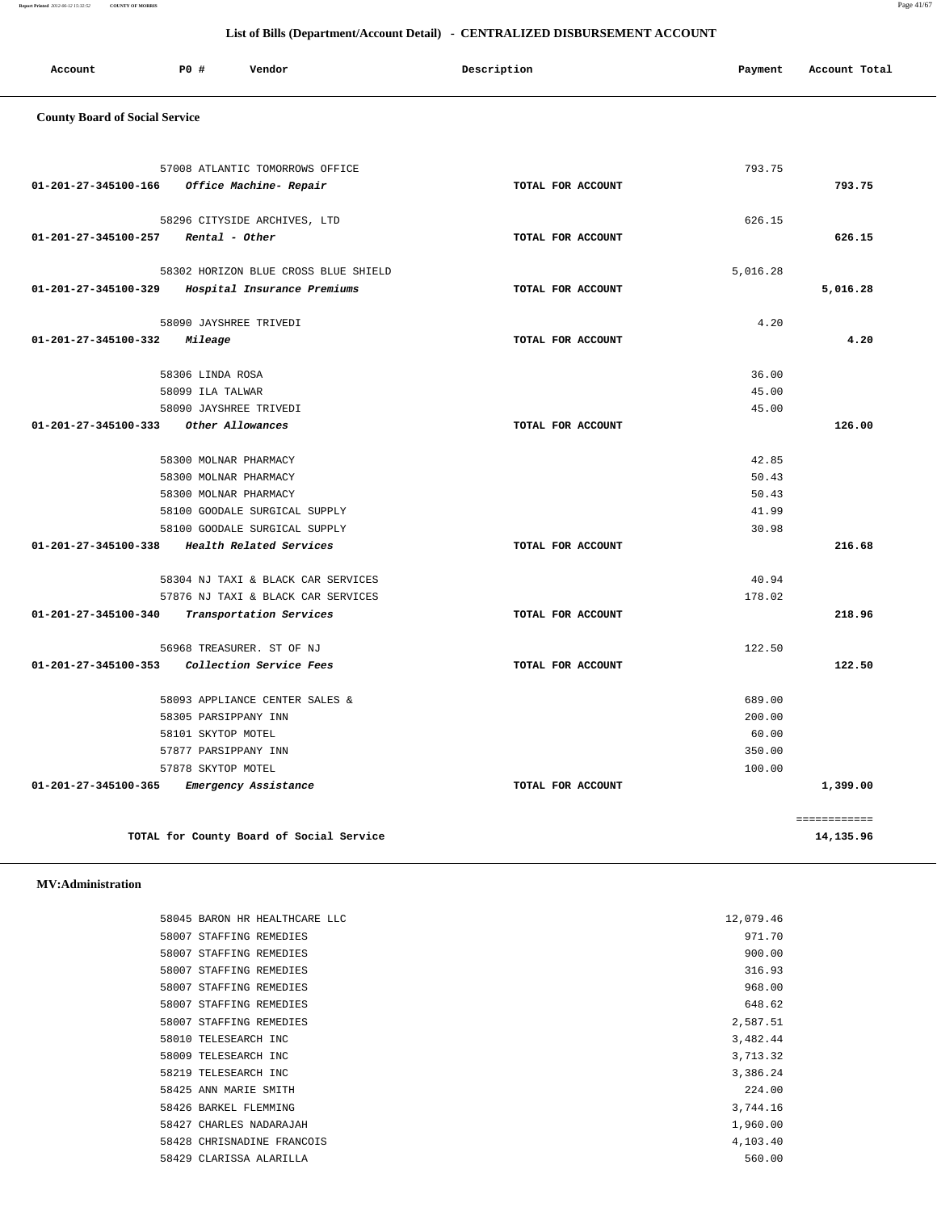**Report Printed** *2012-06-12 15:32:52* **COUNTY OF MORRIS** Page 41/67

## **List of Bills (Department/Account Detail) - CENTRALIZED DISBURSEMENT ACCOUNT**

| Account | PO # | Vendor | Description | Payment<br>. . | Account Total<br>.<br>. |
|---------|------|--------|-------------|----------------|-------------------------|
|         |      |        |             |                |                         |

## **County Board of Social Service**

|                                       | 57008 ATLANTIC TOMORROWS OFFICE          |                   | 793.75   |           |
|---------------------------------------|------------------------------------------|-------------------|----------|-----------|
| 01-201-27-345100-166                  | Office Machine- Repair                   | TOTAL FOR ACCOUNT |          | 793.75    |
|                                       | 58296 CITYSIDE ARCHIVES, LTD             |                   | 626.15   |           |
| $01-201-27-345100-257$ Rental - Other |                                          | TOTAL FOR ACCOUNT |          | 626.15    |
|                                       | 58302 HORIZON BLUE CROSS BLUE SHIELD     |                   | 5,016.28 |           |
| 01-201-27-345100-329                  | Hospital Insurance Premiums              | TOTAL FOR ACCOUNT |          | 5,016.28  |
|                                       | 58090 JAYSHREE TRIVEDI                   |                   | 4.20     |           |
| 01-201-27-345100-332                  | Mileage                                  | TOTAL FOR ACCOUNT |          | 4.20      |
|                                       | 58306 LINDA ROSA                         |                   | 36.00    |           |
|                                       | 58099 ILA TALWAR                         |                   | 45.00    |           |
|                                       | 58090 JAYSHREE TRIVEDI                   |                   | 45.00    |           |
| 01-201-27-345100-333                  | Other Allowances                         | TOTAL FOR ACCOUNT |          | 126.00    |
|                                       | 58300 MOLNAR PHARMACY                    |                   | 42.85    |           |
|                                       | 58300 MOLNAR PHARMACY                    |                   | 50.43    |           |
|                                       | 58300 MOLNAR PHARMACY                    |                   | 50.43    |           |
|                                       | 58100 GOODALE SURGICAL SUPPLY            |                   | 41.99    |           |
|                                       | 58100 GOODALE SURGICAL SUPPLY            |                   | 30.98    |           |
| 01-201-27-345100-338                  | Health Related Services                  | TOTAL FOR ACCOUNT |          | 216.68    |
|                                       | 58304 NJ TAXI & BLACK CAR SERVICES       |                   | 40.94    |           |
|                                       | 57876 NJ TAXI & BLACK CAR SERVICES       |                   | 178.02   |           |
| 01-201-27-345100-340                  | Transportation Services                  | TOTAL FOR ACCOUNT |          | 218.96    |
|                                       | 56968 TREASURER. ST OF NJ                |                   | 122.50   |           |
| 01-201-27-345100-353                  | Collection Service Fees                  | TOTAL FOR ACCOUNT |          | 122.50    |
|                                       | 58093 APPLIANCE CENTER SALES &           |                   | 689.00   |           |
|                                       | 58305 PARSIPPANY INN                     |                   | 200.00   |           |
|                                       | 58101 SKYTOP MOTEL                       |                   | 60.00    |           |
|                                       | 57877 PARSIPPANY INN                     |                   | 350.00   |           |
|                                       | 57878 SKYTOP MOTEL                       |                   | 100.00   |           |
| 01-201-27-345100-365                  | Emergency Assistance                     | TOTAL FOR ACCOUNT |          | 1,399.00  |
|                                       |                                          |                   |          |           |
|                                       | TOTAL for County Board of Social Service |                   |          | 14,135.96 |

## **MV:Administration**

| 58045 BARON HR HEALTHCARE LLC | 12,079.46 |
|-------------------------------|-----------|
| 58007 STAFFING REMEDIES       | 971.70    |
| 58007 STAFFING REMEDIES       | 900.00    |
| 58007 STAFFING REMEDIES       | 316.93    |
| 58007 STAFFING REMEDIES       | 968.00    |
| 58007 STAFFING REMEDIES       | 648.62    |
| 58007 STAFFING REMEDIES       | 2,587.51  |
| 58010 TELESEARCH INC          | 3,482.44  |
| 58009 TELESEARCH INC          | 3,713.32  |
| 58219 TELESEARCH INC          | 3,386.24  |
| 58425 ANN MARIE SMITH         | 224.00    |
| 58426 BARKEL FLEMMING         | 3,744.16  |
| 58427 CHARLES NADARAJAH       | 1,960.00  |
| 58428 CHRISNADINE FRANCOIS    | 4,103.40  |
| 58429 CLARISSA ALARILLA       | 560.00    |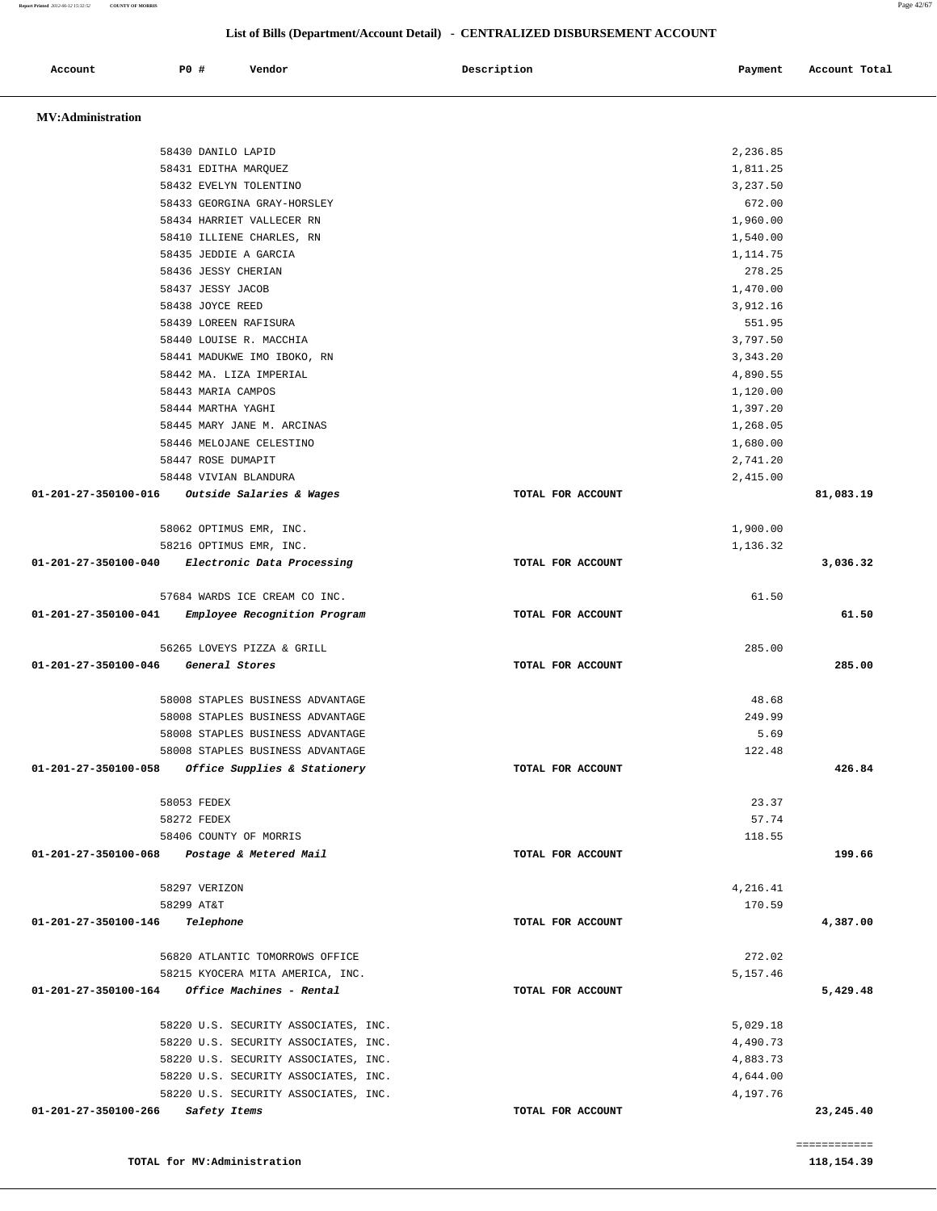| Report Printed 2012-06-12 15:32:52<br><b>COUNTY OF MORRIS</b> |      |               |                                  |                                                                              |          | Page 42/67    |
|---------------------------------------------------------------|------|---------------|----------------------------------|------------------------------------------------------------------------------|----------|---------------|
|                                                               |      |               |                                  | List of Bills (Department/Account Detail) - CENTRALIZED DISBURSEMENT ACCOUNT |          |               |
| Account                                                       | P0 # |               | Vendor                           | Description                                                                  | Payment  | Account Total |
| <b>MV:Administration</b>                                      |      |               |                                  |                                                                              |          |               |
|                                                               |      |               | 58430 DANILO LAPID               |                                                                              | 2,236.85 |               |
|                                                               |      |               | 58431 EDITHA MARQUEZ             |                                                                              | 1,811.25 |               |
|                                                               |      |               | 58432 EVELYN TOLENTINO           |                                                                              | 3,237.50 |               |
|                                                               |      |               | 58433 GEORGINA GRAY-HORSLEY      |                                                                              | 672.00   |               |
|                                                               |      |               | 58434 HARRIET VALLECER RN        |                                                                              | 1,960.00 |               |
|                                                               |      |               | 58410 ILLIENE CHARLES, RN        |                                                                              | 1,540.00 |               |
|                                                               |      |               | 58435 JEDDIE A GARCIA            |                                                                              | 1,114.75 |               |
|                                                               |      |               | 58436 JESSY CHERIAN              |                                                                              | 278.25   |               |
|                                                               |      |               | 58437 JESSY JACOB                |                                                                              | 1,470.00 |               |
|                                                               |      |               | 58438 JOYCE REED                 |                                                                              | 3,912.16 |               |
|                                                               |      |               | 58439 LOREEN RAFISURA            |                                                                              | 551.95   |               |
|                                                               |      |               | 58440 LOUISE R. MACCHIA          |                                                                              | 3,797.50 |               |
|                                                               |      |               | 58441 MADUKWE IMO IBOKO, RN      |                                                                              | 3,343.20 |               |
|                                                               |      |               | 58442 MA. LIZA IMPERIAL          |                                                                              | 4,890.55 |               |
|                                                               |      |               | 58443 MARIA CAMPOS               |                                                                              | 1,120.00 |               |
|                                                               |      |               | 58444 MARTHA YAGHI               |                                                                              | 1,397.20 |               |
|                                                               |      |               | 58445 MARY JANE M. ARCINAS       |                                                                              | 1,268.05 |               |
|                                                               |      |               | 58446 MELOJANE CELESTINO         |                                                                              | 1,680.00 |               |
|                                                               |      |               | 58447 ROSE DUMAPIT               |                                                                              | 2,741.20 |               |
|                                                               |      |               | 58448 VIVIAN BLANDURA            |                                                                              | 2,415.00 |               |
| 01-201-27-350100-016                                          |      |               | Outside Salaries & Wages         | TOTAL FOR ACCOUNT                                                            |          | 81,083.19     |
|                                                               |      |               | 58062 OPTIMUS EMR, INC.          |                                                                              | 1,900.00 |               |
|                                                               |      |               | 58216 OPTIMUS EMR, INC.          |                                                                              | 1,136.32 |               |
| 01-201-27-350100-040                                          |      |               | Electronic Data Processing       | TOTAL FOR ACCOUNT                                                            |          | 3,036.32      |
|                                                               |      |               | 57684 WARDS ICE CREAM CO INC.    |                                                                              | 61.50    |               |
| 01-201-27-350100-041                                          |      |               | Employee Recognition Program     | TOTAL FOR ACCOUNT                                                            |          | 61.50         |
|                                                               |      |               | 56265 LOVEYS PIZZA & GRILL       |                                                                              | 285.00   |               |
| 01-201-27-350100-046                                          |      |               | General Stores                   | TOTAL FOR ACCOUNT                                                            |          | 285.00        |
|                                                               |      |               | 58008 STAPLES BUSINESS ADVANTAGE |                                                                              | 48.68    |               |
|                                                               |      |               | 58008 STAPLES BUSINESS ADVANTAGE |                                                                              | 249.99   |               |
|                                                               |      |               | 58008 STAPLES BUSINESS ADVANTAGE |                                                                              | 5.69     |               |
|                                                               |      |               | 58008 STAPLES BUSINESS ADVANTAGE |                                                                              | 122.48   |               |
| 01-201-27-350100-058                                          |      |               | Office Supplies & Stationery     | TOTAL FOR ACCOUNT                                                            |          | 426.84        |
|                                                               |      | 58053 FEDEX   |                                  |                                                                              | 23.37    |               |
|                                                               |      | 58272 FEDEX   |                                  |                                                                              | 57.74    |               |
|                                                               |      |               | 58406 COUNTY OF MORRIS           |                                                                              | 118.55   |               |
| 01-201-27-350100-068                                          |      |               | Postage & Metered Mail           | TOTAL FOR ACCOUNT                                                            |          | 199.66        |
|                                                               |      | 58297 VERIZON |                                  |                                                                              | 4,216.41 |               |

 58220 U.S. SECURITY ASSOCIATES, INC. 4,644.00 58220 U.S. SECURITY ASSOCIATES, INC. 4,197.76

============

 58215 KYOCERA MITA AMERICA, INC. 5,157.46  **01-201-27-350100-164 Office Machines - Rental TOTAL FOR ACCOUNT 5,429.48** 58220 U.S. SECURITY ASSOCIATES, INC.  $5,029.18$ 

 56820 ATLANTIC TOMORROWS OFFICE 272.02 58220 U.S. SECURITY ASSOCIATES, INC. 4,490.73

 58299 AT&T 170.59  **01-201-27-350100-146 Telephone TOTAL FOR ACCOUNT 4,387.00** 58220 U.S. SECURITY ASSOCIATES, INC. 4,883.73

 **01-201-27-350100-266 Safety Items TOTAL FOR ACCOUNT 23,245.40**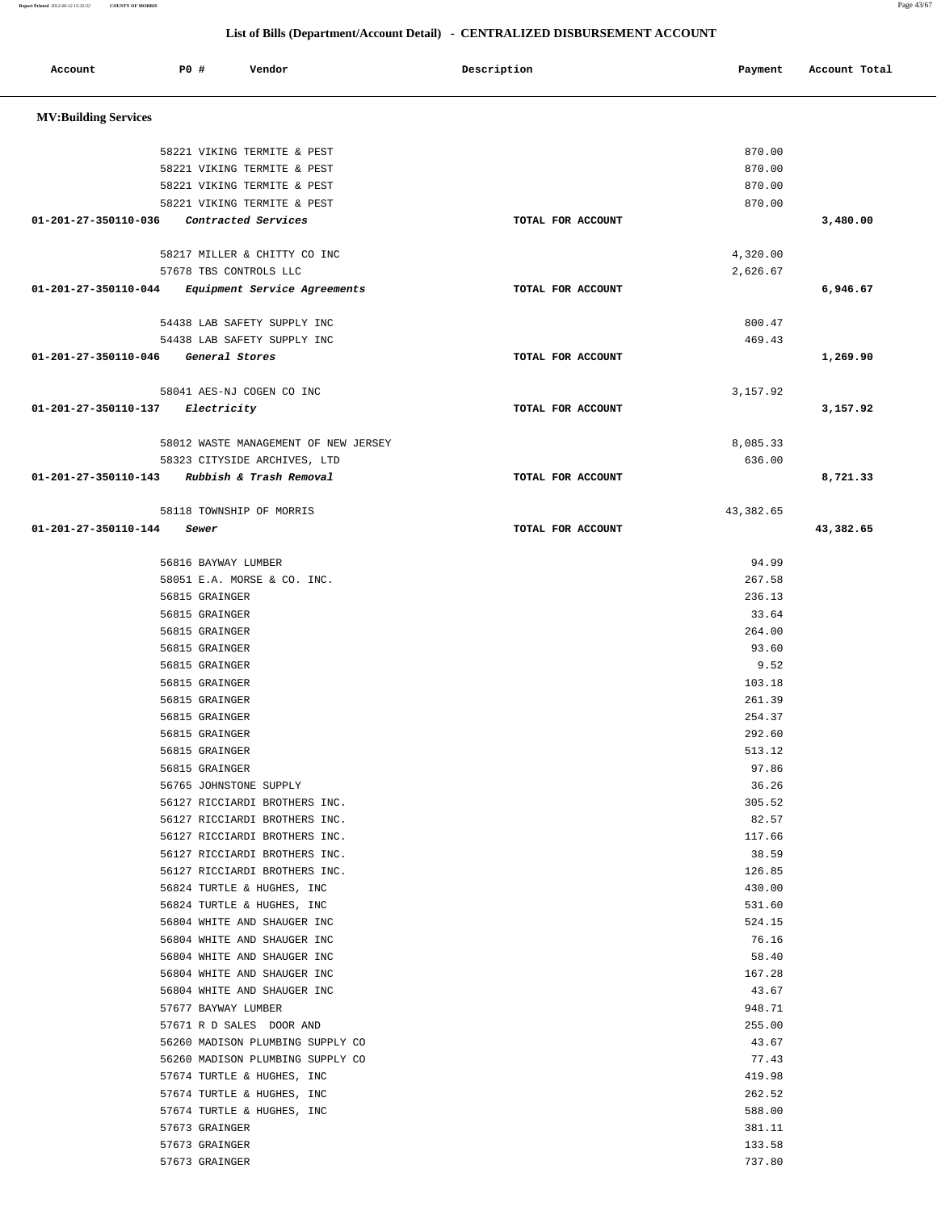**Report Printed** *2012-06-12 15:32:52* **COUNTY OF MORRIS** Page 43/67

| Account                     | P0 #                             | Vendor                                                   | Description       | Payment          | Account Total |
|-----------------------------|----------------------------------|----------------------------------------------------------|-------------------|------------------|---------------|
| <b>MV:Building Services</b> |                                  |                                                          |                   |                  |               |
|                             |                                  | 58221 VIKING TERMITE & PEST                              |                   | 870.00           |               |
|                             |                                  | 58221 VIKING TERMITE & PEST                              |                   | 870.00           |               |
|                             |                                  | 58221 VIKING TERMITE & PEST                              |                   | 870.00           |               |
|                             |                                  | 58221 VIKING TERMITE & PEST                              |                   | 870.00           |               |
| 01-201-27-350110-036        |                                  | Contracted Services                                      | TOTAL FOR ACCOUNT |                  | 3,480.00      |
|                             |                                  |                                                          |                   |                  |               |
|                             |                                  | 58217 MILLER & CHITTY CO INC                             |                   | 4,320.00         |               |
| 01-201-27-350110-044        | 57678 TBS CONTROLS LLC           | Equipment Service Agreements                             | TOTAL FOR ACCOUNT | 2,626.67         | 6,946.67      |
|                             |                                  |                                                          |                   |                  |               |
|                             |                                  | 54438 LAB SAFETY SUPPLY INC                              |                   | 800.47           |               |
|                             |                                  | 54438 LAB SAFETY SUPPLY INC                              |                   | 469.43           |               |
| 01-201-27-350110-046        | General Stores                   |                                                          | TOTAL FOR ACCOUNT |                  | 1,269.90      |
|                             |                                  |                                                          |                   |                  |               |
|                             |                                  | 58041 AES-NJ COGEN CO INC                                |                   | 3,157.92         |               |
| 01-201-27-350110-137        | Electricity                      |                                                          | TOTAL FOR ACCOUNT |                  | 3,157.92      |
|                             |                                  | 58012 WASTE MANAGEMENT OF NEW JERSEY                     |                   | 8,085.33         |               |
|                             |                                  | 58323 CITYSIDE ARCHIVES, LTD                             |                   | 636.00           |               |
| 01-201-27-350110-143        |                                  | Rubbish & Trash Removal                                  | TOTAL FOR ACCOUNT |                  | 8,721.33      |
|                             |                                  |                                                          |                   |                  |               |
|                             |                                  | 58118 TOWNSHIP OF MORRIS                                 |                   | 43, 382.65       |               |
| 01-201-27-350110-144        | Sewer                            |                                                          | TOTAL FOR ACCOUNT |                  | 43,382.65     |
|                             | 56816 BAYWAY LUMBER              |                                                          |                   | 94.99            |               |
|                             |                                  | 58051 E.A. MORSE & CO. INC.                              |                   | 267.58           |               |
|                             | 56815 GRAINGER                   |                                                          |                   | 236.13           |               |
|                             | 56815 GRAINGER                   |                                                          |                   | 33.64            |               |
|                             | 56815 GRAINGER                   |                                                          |                   | 264.00           |               |
|                             | 56815 GRAINGER                   |                                                          |                   | 93.60            |               |
|                             | 56815 GRAINGER                   |                                                          |                   | 9.52             |               |
|                             | 56815 GRAINGER                   |                                                          |                   | 103.18           |               |
|                             | 56815 GRAINGER                   |                                                          |                   | 261.39           |               |
|                             | 56815 GRAINGER                   |                                                          |                   | 254.37<br>292.60 |               |
|                             | 56815 GRAINGER<br>56815 GRAINGER |                                                          |                   | 513.12           |               |
|                             | 56815 GRAINGER                   |                                                          |                   | 97.86            |               |
|                             | 56765 JOHNSTONE SUPPLY           |                                                          |                   | 36.26            |               |
|                             |                                  | 56127 RICCIARDI BROTHERS INC.                            |                   | 305.52           |               |
|                             |                                  | 56127 RICCIARDI BROTHERS INC.                            |                   | 82.57            |               |
|                             |                                  | 56127 RICCIARDI BROTHERS INC.                            |                   | 117.66           |               |
|                             |                                  | 56127 RICCIARDI BROTHERS INC.                            |                   | 38.59            |               |
|                             |                                  | 56127 RICCIARDI BROTHERS INC.                            |                   | 126.85           |               |
|                             |                                  | 56824 TURTLE & HUGHES, INC<br>56824 TURTLE & HUGHES, INC |                   | 430.00<br>531.60 |               |
|                             |                                  | 56804 WHITE AND SHAUGER INC                              |                   | 524.15           |               |
|                             |                                  | 56804 WHITE AND SHAUGER INC                              |                   | 76.16            |               |
|                             |                                  | 56804 WHITE AND SHAUGER INC                              |                   | 58.40            |               |
|                             |                                  | 56804 WHITE AND SHAUGER INC                              |                   | 167.28           |               |
|                             |                                  | 56804 WHITE AND SHAUGER INC                              |                   | 43.67            |               |
|                             | 57677 BAYWAY LUMBER              |                                                          |                   | 948.71           |               |
|                             |                                  | 57671 R D SALES DOOR AND                                 |                   | 255.00           |               |
|                             |                                  | 56260 MADISON PLUMBING SUPPLY CO                         |                   | 43.67            |               |
|                             |                                  | 56260 MADISON PLUMBING SUPPLY CO                         |                   | 77.43            |               |
|                             |                                  | 57674 TURTLE & HUGHES, INC<br>57674 TURTLE & HUGHES, INC |                   | 419.98<br>262.52 |               |
|                             |                                  | 57674 TURTLE & HUGHES, INC                               |                   | 588.00           |               |
|                             | 57673 GRAINGER                   |                                                          |                   | 381.11           |               |
|                             | 57673 GRAINGER                   |                                                          |                   | 133.58           |               |
|                             | 57673 GRAINGER                   |                                                          |                   | 737.80           |               |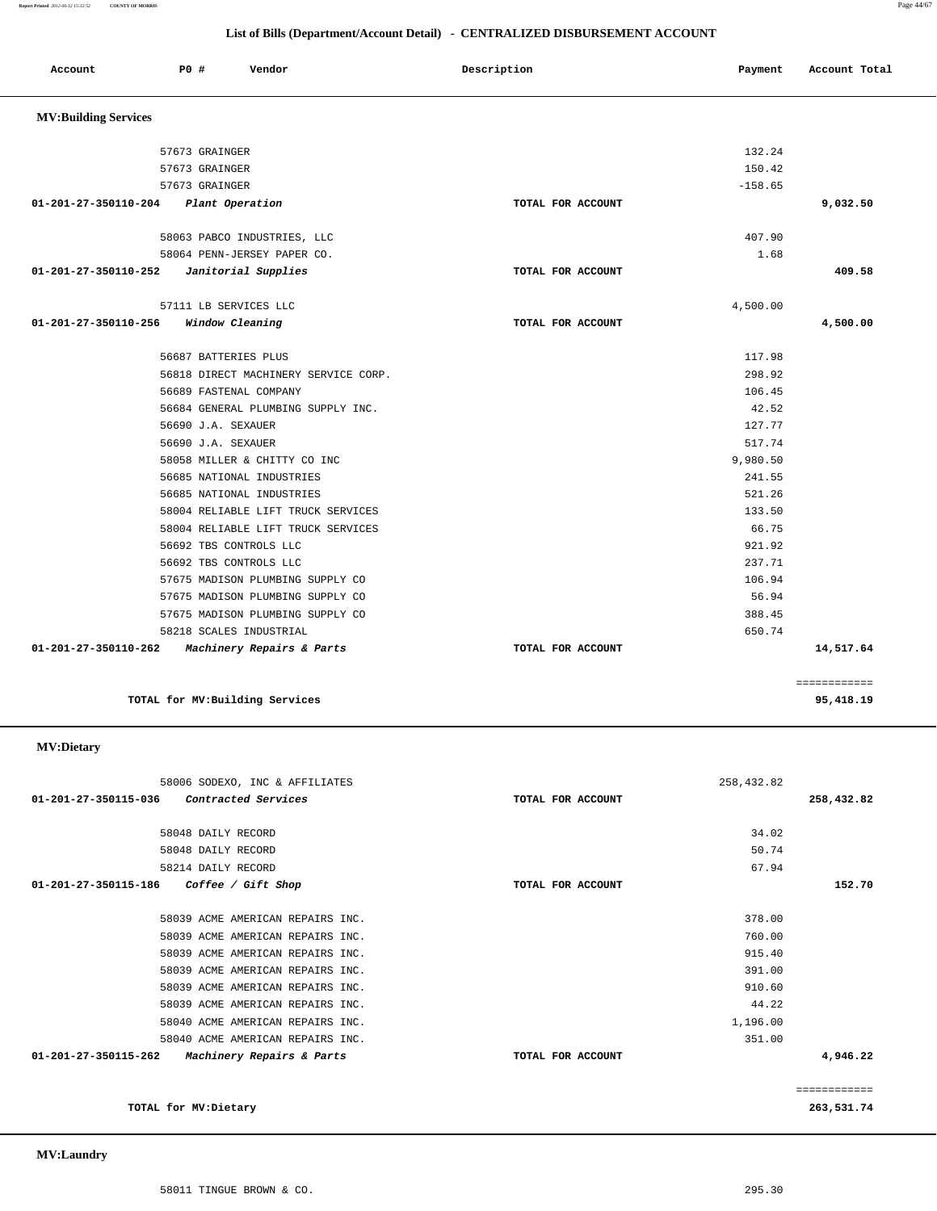## **List of Bills (Department/Account Detail) - CENTRALIZED DISBURSEMENT ACCOUNT**

| Account                     | PO#            | Vendor                               | Description |                   | Payment   | Account Total |
|-----------------------------|----------------|--------------------------------------|-------------|-------------------|-----------|---------------|
| <b>MV:Building Services</b> |                |                                      |             |                   |           |               |
|                             | 57673 GRAINGER |                                      |             |                   | 132.24    |               |
|                             | 57673 GRAINGER |                                      |             |                   | 150.42    |               |
|                             | 57673 GRAINGER |                                      |             |                   | $-158.65$ |               |
| 01-201-27-350110-204        |                | Plant Operation                      |             | TOTAL FOR ACCOUNT |           | 9,032.50      |
|                             |                | 58063 PABCO INDUSTRIES, LLC          |             |                   | 407.90    |               |
|                             |                | 58064 PENN-JERSEY PAPER CO.          |             |                   | 1.68      |               |
| 01-201-27-350110-252        |                | Janitorial Supplies                  |             | TOTAL FOR ACCOUNT |           | 409.58        |
|                             |                | 57111 LB SERVICES LLC                |             |                   | 4,500.00  |               |
| 01-201-27-350110-256        |                | Window Cleaning                      |             | TOTAL FOR ACCOUNT |           | 4,500.00      |
|                             |                | 56687 BATTERIES PLUS                 |             |                   | 117.98    |               |
|                             |                | 56818 DIRECT MACHINERY SERVICE CORP. |             |                   | 298.92    |               |
|                             |                | 56689 FASTENAL COMPANY               |             |                   | 106.45    |               |
|                             |                | 56684 GENERAL PLUMBING SUPPLY INC.   |             |                   | 42.52     |               |
|                             |                | 56690 J.A. SEXAUER                   |             |                   | 127.77    |               |
|                             |                | 56690 J.A. SEXAUER                   |             |                   | 517.74    |               |
|                             |                | 58058 MILLER & CHITTY CO INC         |             |                   | 9,980.50  |               |
|                             |                | 56685 NATIONAL INDUSTRIES            |             |                   | 241.55    |               |
|                             |                | 56685 NATIONAL INDUSTRIES            |             |                   | 521.26    |               |
|                             |                | 58004 RELIABLE LIFT TRUCK SERVICES   |             |                   | 133.50    |               |
|                             |                | 58004 RELIABLE LIFT TRUCK SERVICES   |             |                   | 66.75     |               |
|                             |                | 56692 TBS CONTROLS LLC               |             |                   | 921.92    |               |
|                             |                | 56692 TBS CONTROLS LLC               |             |                   | 237.71    |               |
|                             |                | 57675 MADISON PLUMBING SUPPLY CO     |             |                   | 106.94    |               |
|                             |                | 57675 MADISON PLUMBING SUPPLY CO     |             |                   | 56.94     |               |
|                             |                | 57675 MADISON PLUMBING SUPPLY CO     |             |                   | 388.45    |               |
|                             |                | 58218 SCALES INDUSTRIAL              |             |                   | 650.74    |               |
| 01-201-27-350110-262        |                | Machinery Repairs & Parts            |             | TOTAL FOR ACCOUNT |           | 14,517.64     |
|                             |                |                                      |             |                   |           | ============  |
|                             |                | TOTAL for MV: Building Services      |             |                   |           | 95,418.19     |

## **MV:Dietary**

| 58006 SODEXO, INC & AFFILIATES                    | 258,432.82        |              |
|---------------------------------------------------|-------------------|--------------|
| Contracted Services<br>01-201-27-350115-036       | TOTAL FOR ACCOUNT | 258,432.82   |
| 58048 DAILY RECORD                                | 34.02             |              |
| 58048 DAILY RECORD                                | 50.74             |              |
| 58214 DAILY RECORD                                | 67.94             |              |
| 01-201-27-350115-186<br>Coffee / Gift Shop        | TOTAL FOR ACCOUNT | 152.70       |
| 58039 ACME AMERICAN REPAIRS INC.                  | 378.00            |              |
| 58039 ACME AMERICAN REPAIRS INC.                  | 760.00            |              |
| 58039 ACME AMERICAN REPAIRS INC.                  | 915.40            |              |
| 58039 ACME AMERICAN REPAIRS INC.                  | 391.00            |              |
| 58039 ACME AMERICAN REPAIRS INC.                  | 910.60            |              |
| 58039 ACME AMERICAN REPAIRS INC.                  | 44.22             |              |
| 58040 ACME AMERICAN REPAIRS INC.                  | 1,196.00          |              |
| 58040 ACME AMERICAN REPAIRS INC.                  | 351.00            |              |
| 01-201-27-350115-262<br>Machinery Repairs & Parts | TOTAL FOR ACCOUNT | 4,946.22     |
|                                                   |                   | ============ |
| TOTAL for MV: Dietary                             |                   | 263,531.74   |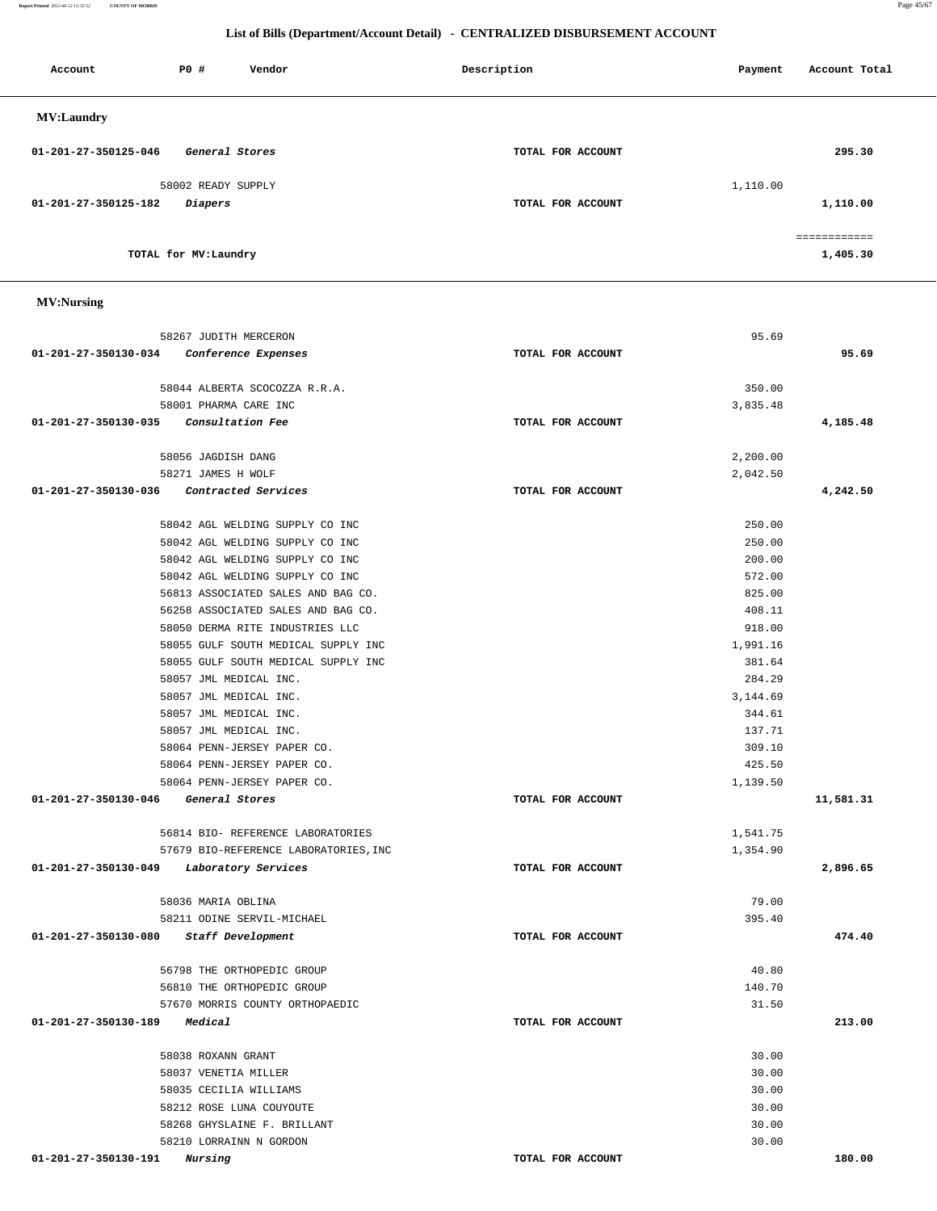**Report Printed** *2012-06-12 15:32:52* **COUNTY OF MORRIS** Page 45/67

## **List of Bills (Department/Account Detail) - CENTRALIZED DISBURSEMENT ACCOUNT**

| Account              | P0 #                  | Vendor | Description       | Payment  | Account Total            |
|----------------------|-----------------------|--------|-------------------|----------|--------------------------|
| <b>MV:Laundry</b>    |                       |        |                   |          |                          |
| 01-201-27-350125-046 | General Stores        |        | TOTAL FOR ACCOUNT |          | 295.30                   |
|                      | 58002 READY SUPPLY    |        |                   | 1,110.00 |                          |
| 01-201-27-350125-182 | Diapers               |        | TOTAL FOR ACCOUNT |          | 1,110.00                 |
|                      | TOTAL for MV: Laundry |        |                   |          | ============<br>1,405.30 |
|                      |                       |        |                   |          |                          |

## **MV:Nursing**

|                                          | 58267 JUDITH MERCERON                 |                   | 95.69    |           |
|------------------------------------------|---------------------------------------|-------------------|----------|-----------|
| 01-201-27-350130-034                     | Conference Expenses                   | TOTAL FOR ACCOUNT |          | 95.69     |
|                                          | 58044 ALBERTA SCOCOZZA R.R.A.         |                   | 350.00   |           |
|                                          | 58001 PHARMA CARE INC                 |                   | 3,835.48 |           |
| 01-201-27-350130-035                     | <i>Consultation Fee</i>               | TOTAL FOR ACCOUNT |          | 4,185.48  |
|                                          | 58056 JAGDISH DANG                    |                   | 2,200.00 |           |
|                                          | 58271 JAMES H WOLF                    |                   | 2,042.50 |           |
| 01-201-27-350130-036                     | Contracted Services                   | TOTAL FOR ACCOUNT |          | 4,242.50  |
|                                          | 58042 AGL WELDING SUPPLY CO INC       |                   | 250.00   |           |
|                                          | 58042 AGL WELDING SUPPLY CO INC       |                   | 250.00   |           |
|                                          | 58042 AGL WELDING SUPPLY CO INC       |                   | 200.00   |           |
|                                          | 58042 AGL WELDING SUPPLY CO INC       |                   | 572.00   |           |
|                                          | 56813 ASSOCIATED SALES AND BAG CO.    |                   | 825.00   |           |
|                                          | 56258 ASSOCIATED SALES AND BAG CO.    |                   | 408.11   |           |
|                                          | 58050 DERMA RITE INDUSTRIES LLC       |                   | 918.00   |           |
|                                          | 58055 GULF SOUTH MEDICAL SUPPLY INC   |                   | 1,991.16 |           |
|                                          | 58055 GULF SOUTH MEDICAL SUPPLY INC   |                   | 381.64   |           |
|                                          | 58057 JML MEDICAL INC.                |                   | 284.29   |           |
|                                          | 58057 JML MEDICAL INC.                |                   | 3,144.69 |           |
|                                          | 58057 JML MEDICAL INC.                |                   | 344.61   |           |
|                                          | 58057 JML MEDICAL INC.                |                   | 137.71   |           |
|                                          | 58064 PENN-JERSEY PAPER CO.           |                   | 309.10   |           |
|                                          | 58064 PENN-JERSEY PAPER CO.           |                   | 425.50   |           |
|                                          | 58064 PENN-JERSEY PAPER CO.           |                   | 1,139.50 |           |
| 01-201-27-350130-046                     | General Stores                        | TOTAL FOR ACCOUNT |          | 11,581.31 |
|                                          | 56814 BIO- REFERENCE LABORATORIES     |                   | 1,541.75 |           |
|                                          | 57679 BIO-REFERENCE LABORATORIES, INC |                   | 1,354.90 |           |
| 01-201-27-350130-049 Laboratory Services |                                       | TOTAL FOR ACCOUNT |          | 2,896.65  |
|                                          | 58036 MARIA OBLINA                    |                   | 79.00    |           |
|                                          | 58211 ODINE SERVIL-MICHAEL            |                   | 395.40   |           |
| 01-201-27-350130-080                     | Staff Development                     | TOTAL FOR ACCOUNT |          | 474.40    |
|                                          | 56798 THE ORTHOPEDIC GROUP            |                   | 40.80    |           |
|                                          | 56810 THE ORTHOPEDIC GROUP            |                   | 140.70   |           |
|                                          | 57670 MORRIS COUNTY ORTHOPAEDIC       |                   | 31.50    |           |
| 01-201-27-350130-189                     | <i>Medical</i>                        | TOTAL FOR ACCOUNT |          | 213.00    |
|                                          | 58038 ROXANN GRANT                    |                   | 30.00    |           |
|                                          | 58037 VENETIA MILLER                  |                   | 30.00    |           |
|                                          | 58035 CECILIA WILLIAMS                |                   | 30.00    |           |
|                                          | 58212 ROSE LUNA COUYOUTE              |                   | 30.00    |           |
|                                          | 58268 GHYSLAINE F. BRILLANT           |                   | 30.00    |           |
|                                          | 58210 LORRAINN N GORDON               |                   | 30.00    |           |
| 01-201-27-350130-191                     | Nursing                               | TOTAL FOR ACCOUNT |          | 180.00    |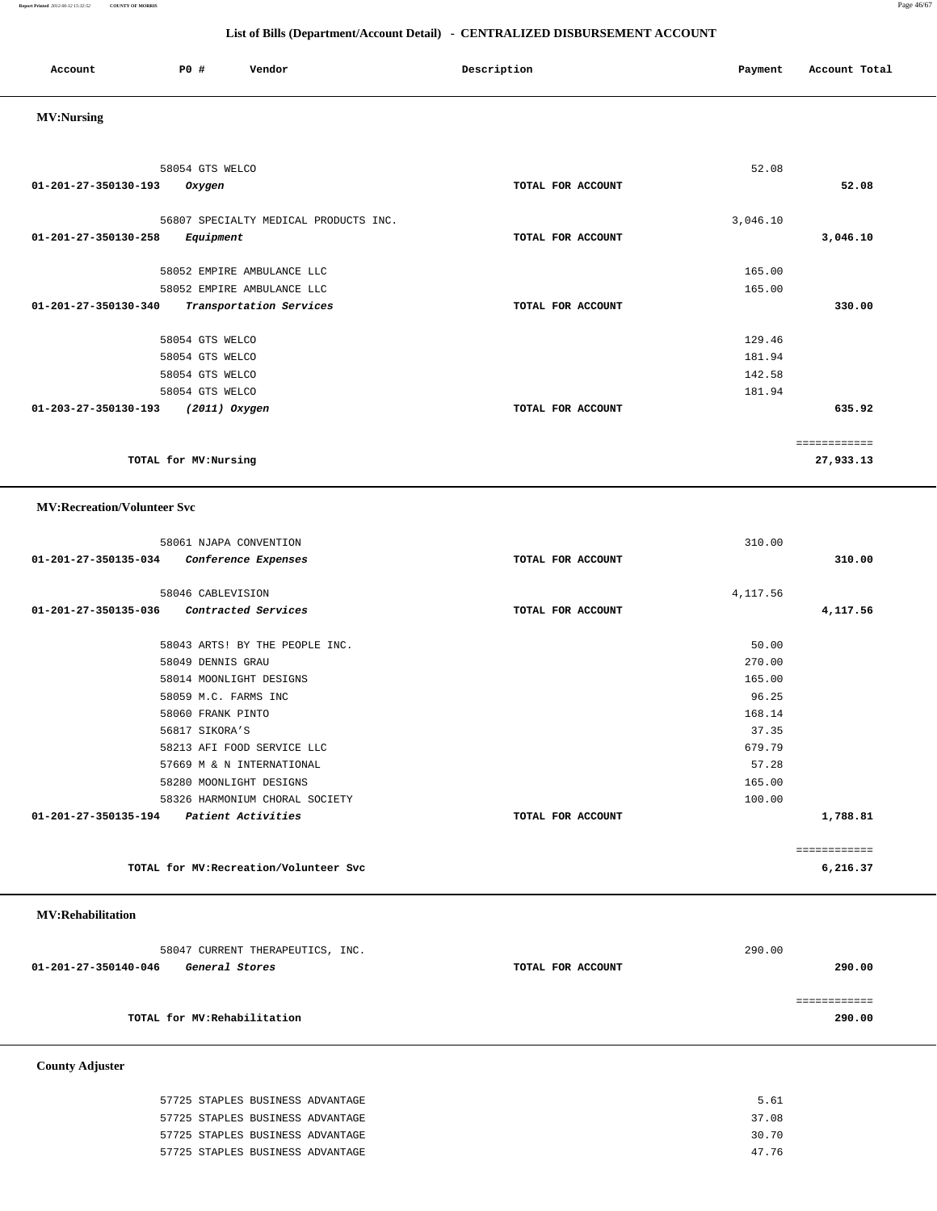**Report Printed** *2012-06-12 15:32:52* **COUNTY OF MORRIS** Page 46/67

## **List of Bills (Department/Account Detail) - CENTRALIZED DISBURSEMENT ACCOUNT**

| Account<br>. | <b>PO #</b> | Vendor | Description | Payment | Account Total |
|--------------|-------------|--------|-------------|---------|---------------|
|              |             |        |             |         |               |

## **MV:Nursing**

| 58054 GTS WELCO                                                                      |                   | 52.08                                |              |
|--------------------------------------------------------------------------------------|-------------------|--------------------------------------|--------------|
| 01-201-27-350130-193<br>Oxygen                                                       | TOTAL FOR ACCOUNT |                                      | 52.08        |
| 56807 SPECIALTY MEDICAL PRODUCTS INC.<br>$01 - 201 - 27 - 350130 - 258$<br>Equipment | TOTAL FOR ACCOUNT | 3,046.10                             | 3,046.10     |
| 58052 EMPIRE AMBULANCE LLC                                                           |                   | 165.00                               |              |
| 58052 EMPIRE AMBULANCE LLC                                                           |                   | 165.00                               |              |
| $01 - 201 - 27 - 350130 - 340$<br>Transportation Services                            | TOTAL FOR ACCOUNT |                                      | 330.00       |
| 58054 GTS WELCO<br>58054 GTS WELCO<br>58054 GTS WELCO<br>58054 GTS WELCO             |                   | 129.46<br>181.94<br>142.58<br>181.94 |              |
| 01-203-27-350130-193<br>(2011) Oxygen                                                | TOTAL FOR ACCOUNT |                                      | 635.92       |
|                                                                                      |                   |                                      | ============ |
| TOTAL for MV:Nursing                                                                 |                   |                                      | 27,933.13    |

## **MV:Recreation/Volunteer Svc**

| 58061 NJAPA CONVENTION                      |                   | 310.00   |              |
|---------------------------------------------|-------------------|----------|--------------|
| 01-201-27-350135-034<br>Conference Expenses | TOTAL FOR ACCOUNT |          | 310.00       |
| 58046 CABLEVISION                           |                   | 4,117.56 |              |
| 01-201-27-350135-036 Contracted Services    | TOTAL FOR ACCOUNT |          |              |
|                                             |                   |          | 4,117.56     |
| 58043 ARTS! BY THE PEOPLE INC.              |                   | 50.00    |              |
| 58049 DENNIS GRAU                           |                   | 270.00   |              |
| 58014 MOONLIGHT DESIGNS                     |                   | 165.00   |              |
| 58059 M.C. FARMS INC                        |                   | 96.25    |              |
| 58060 FRANK PINTO                           |                   | 168.14   |              |
| 56817 SIKORA'S                              |                   | 37.35    |              |
| 58213 AFI FOOD SERVICE LLC                  |                   | 679.79   |              |
| 57669 M & N INTERNATIONAL                   |                   | 57.28    |              |
| 58280 MOONLIGHT DESIGNS                     |                   | 165.00   |              |
| 58326 HARMONIUM CHORAL SOCIETY              |                   | 100.00   |              |
| 01-201-27-350135-194 Patient Activities     | TOTAL FOR ACCOUNT |          | 1,788.81     |
|                                             |                   |          | ============ |
| TOTAL for MV: Recreation/Volunteer Svc      |                   |          | 6,216.37     |

## **MV:Rehabilitation**

| 58047 CURRENT THERAPEUTICS, INC.       |                   | 290.00 |  |
|----------------------------------------|-------------------|--------|--|
| 01-201-27-350140-046<br>General Stores | TOTAL FOR ACCOUNT | 290.00 |  |
|                                        |                   |        |  |
|                                        |                   |        |  |
| TOTAL for MV:Rehabilitation            |                   | 290.00 |  |

 **County Adjuster** 

| 57725 STAPLES BUSINESS ADVANTAGE | 5.61  |
|----------------------------------|-------|
| 57725 STAPLES BUSINESS ADVANTAGE | 37.08 |
| 57725 STAPLES BUSINESS ADVANTAGE | 30.70 |
| 57725 STAPLES BUSINESS ADVANTAGE | 47.76 |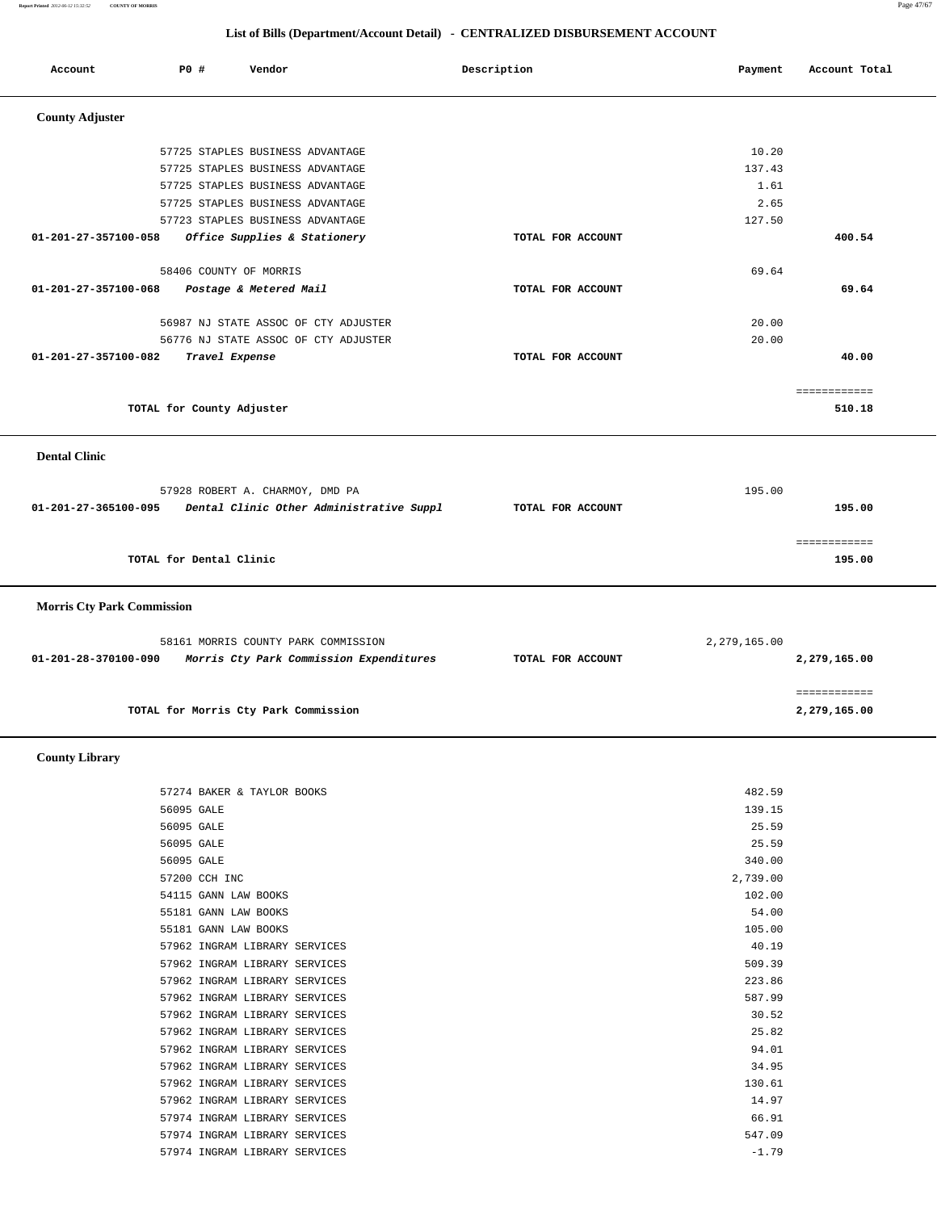**Report Printed** *2012-06-12 15:32:52* **COUNTY OF MORRIS** Page 47/67

| Account                           | P0 #                      | Vendor                                                                         | Description       | Payment           | Account Total |
|-----------------------------------|---------------------------|--------------------------------------------------------------------------------|-------------------|-------------------|---------------|
|                                   |                           |                                                                                |                   |                   |               |
| <b>County Adjuster</b>            |                           |                                                                                |                   |                   |               |
|                                   |                           | 57725 STAPLES BUSINESS ADVANTAGE                                               |                   | 10.20             |               |
|                                   |                           | 57725 STAPLES BUSINESS ADVANTAGE                                               |                   | 137.43            |               |
|                                   |                           | 57725 STAPLES BUSINESS ADVANTAGE                                               |                   | 1.61              |               |
|                                   |                           | 57725 STAPLES BUSINESS ADVANTAGE                                               |                   | 2.65              |               |
|                                   |                           | 57723 STAPLES BUSINESS ADVANTAGE                                               |                   | 127.50            |               |
| 01-201-27-357100-058              |                           | Office Supplies & Stationery                                                   | TOTAL FOR ACCOUNT |                   | 400.54        |
|                                   | 58406 COUNTY OF MORRIS    |                                                                                |                   | 69.64             |               |
| 01-201-27-357100-068              |                           | Postage & Metered Mail                                                         | TOTAL FOR ACCOUNT |                   | 69.64         |
|                                   |                           |                                                                                |                   |                   |               |
|                                   |                           | 56987 NJ STATE ASSOC OF CTY ADJUSTER                                           |                   | 20.00             |               |
|                                   |                           | 56776 NJ STATE ASSOC OF CTY ADJUSTER                                           | TOTAL FOR ACCOUNT | 20.00             |               |
| 01-201-27-357100-082              | Travel Expense            |                                                                                |                   |                   | 40.00         |
|                                   |                           |                                                                                |                   |                   | ============  |
|                                   | TOTAL for County Adjuster |                                                                                |                   |                   | 510.18        |
|                                   |                           |                                                                                |                   |                   |               |
| <b>Dental Clinic</b>              |                           |                                                                                |                   |                   |               |
|                                   |                           |                                                                                |                   |                   |               |
|                                   |                           | 57928 ROBERT A. CHARMOY, DMD PA                                                |                   | 195.00            |               |
| 01-201-27-365100-095              |                           | Dental Clinic Other Administrative Suppl                                       | TOTAL FOR ACCOUNT |                   | 195.00        |
|                                   |                           |                                                                                |                   |                   |               |
|                                   |                           |                                                                                |                   |                   | ============  |
|                                   | TOTAL for Dental Clinic   |                                                                                |                   |                   | 195.00        |
|                                   |                           |                                                                                |                   |                   |               |
|                                   |                           |                                                                                |                   |                   |               |
| <b>Morris Cty Park Commission</b> |                           |                                                                                |                   |                   |               |
|                                   |                           |                                                                                |                   |                   |               |
| 01-201-28-370100-090              |                           | 58161 MORRIS COUNTY PARK COMMISSION<br>Morris Cty Park Commission Expenditures | TOTAL FOR ACCOUNT | 2,279,165.00      | 2,279,165.00  |
|                                   |                           |                                                                                |                   |                   |               |
|                                   |                           |                                                                                |                   |                   | ============  |
|                                   |                           | TOTAL for Morris Cty Park Commission                                           |                   |                   | 2,279,165.00  |
|                                   |                           |                                                                                |                   |                   |               |
| <b>County Library</b>             |                           |                                                                                |                   |                   |               |
|                                   |                           | 57274 BAKER & TAYLOR BOOKS                                                     |                   | 482.59            |               |
|                                   | 56095 GALE                |                                                                                |                   | 139.15            |               |
|                                   | 56095 GALE                |                                                                                |                   | 25.59             |               |
|                                   | 56095 GALE                |                                                                                |                   | 25.59             |               |
|                                   | 56095 GALE                |                                                                                |                   | 340.00            |               |
|                                   | 57200 CCH INC             |                                                                                |                   | 2,739.00          |               |
|                                   | 54115 GANN LAW BOOKS      |                                                                                |                   | 102.00            |               |
|                                   | 55181 GANN LAW BOOKS      |                                                                                |                   | 54.00             |               |
|                                   | 55181 GANN LAW BOOKS      |                                                                                |                   | 105.00            |               |
|                                   |                           | 57962 INGRAM LIBRARY SERVICES                                                  |                   | 40.19             |               |
|                                   |                           | 57962 INGRAM LIBRARY SERVICES                                                  |                   | 509.39            |               |
|                                   |                           | 57962 INGRAM LIBRARY SERVICES                                                  |                   | 223.86            |               |
|                                   |                           | 57962 INGRAM LIBRARY SERVICES                                                  |                   | 587.99            |               |
|                                   |                           | 57962 INGRAM LIBRARY SERVICES                                                  |                   | 30.52             |               |
|                                   |                           | 57962 INGRAM LIBRARY SERVICES                                                  |                   | 25.82             |               |
|                                   |                           | 57962 INGRAM LIBRARY SERVICES                                                  |                   | 94.01             |               |
|                                   |                           | 57962 INGRAM LIBRARY SERVICES                                                  |                   | 34.95             |               |
|                                   |                           | 57962 INGRAM LIBRARY SERVICES                                                  |                   | 130.61            |               |
|                                   |                           | 57962 INGRAM LIBRARY SERVICES                                                  |                   | 14.97             |               |
|                                   |                           | 57974 INGRAM LIBRARY SERVICES                                                  |                   | 66.91             |               |
|                                   |                           | 57974 INGRAM LIBRARY SERVICES<br>57974 INGRAM LIBRARY SERVICES                 |                   | 547.09<br>$-1.79$ |               |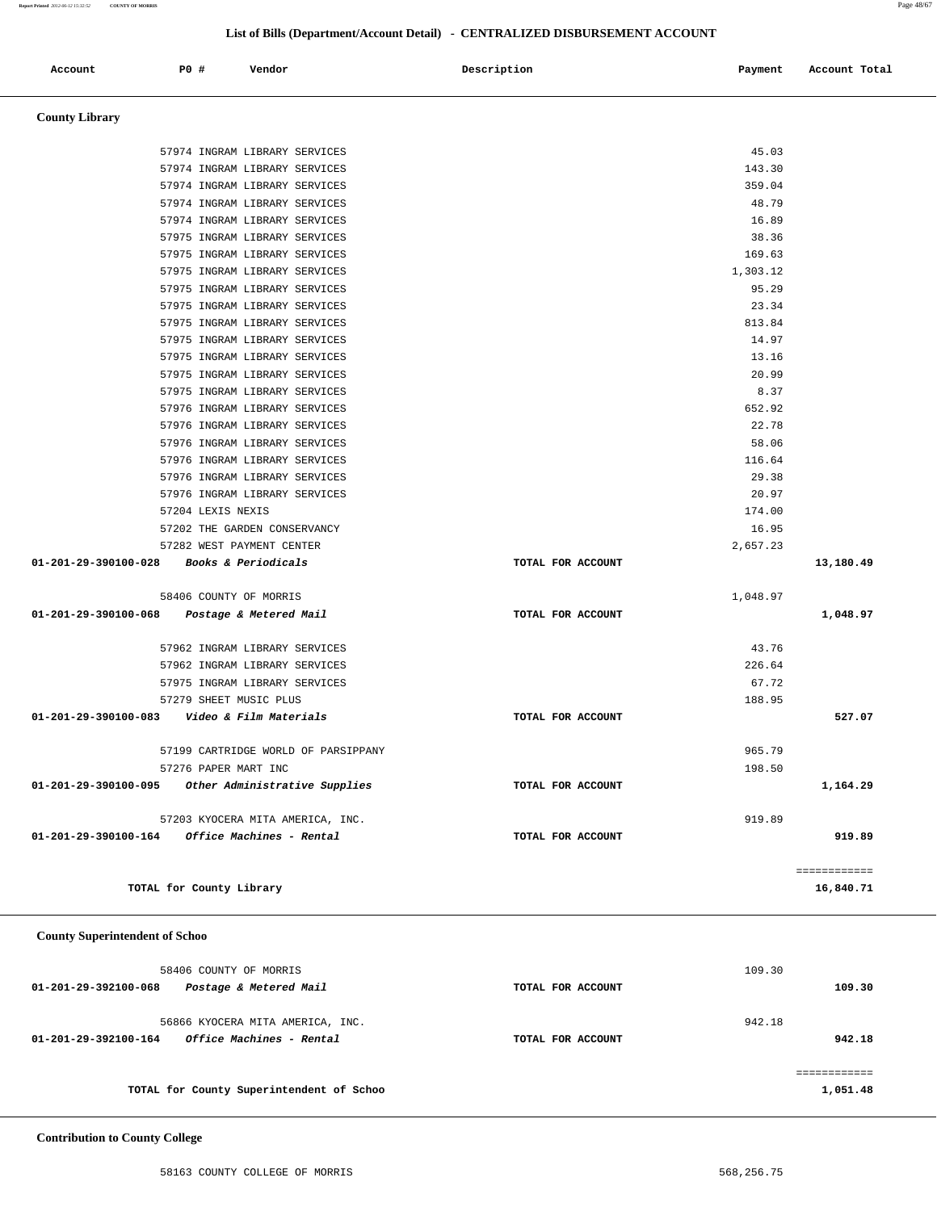**Report Printed** *2012-06-12 15:32:52* **COUNTY OF MORRIS** Page 48/67

 **County Library** 

## **List of Bills (Department/Account Detail) - CENTRALIZED DISBURSEMENT ACCOUNT**

Account **PO #** Vendor **Description Payment** Account Total

 57974 INGRAM LIBRARY SERVICES 45.03 57974 INGRAM LIBRARY SERVICES 143.30 57974 INGRAM LIBRARY SERVICES 359.04 57974 INGRAM LIBRARY SERVICES 48.79 57974 INGRAM LIBRARY SERVICES 16.89 57975 INGRAM LIBRARY SERVICES 38.36

|                                                | 57975 INGRAM LIBRARY SERVICES                           |                   | 169.63     |              |
|------------------------------------------------|---------------------------------------------------------|-------------------|------------|--------------|
|                                                | 57975 INGRAM LIBRARY SERVICES                           |                   | 1,303.12   |              |
|                                                | 57975 INGRAM LIBRARY SERVICES                           |                   | 95.29      |              |
|                                                | 57975 INGRAM LIBRARY SERVICES                           |                   | 23.34      |              |
|                                                | 57975 INGRAM LIBRARY SERVICES                           |                   | 813.84     |              |
|                                                | 57975 INGRAM LIBRARY SERVICES                           |                   | 14.97      |              |
|                                                | 57975 INGRAM LIBRARY SERVICES                           |                   | 13.16      |              |
|                                                | 57975 INGRAM LIBRARY SERVICES                           |                   | 20.99      |              |
|                                                | 57975 INGRAM LIBRARY SERVICES                           |                   | 8.37       |              |
|                                                | 57976 INGRAM LIBRARY SERVICES                           |                   | 652.92     |              |
|                                                | 57976 INGRAM LIBRARY SERVICES                           |                   | 22.78      |              |
|                                                | 57976 INGRAM LIBRARY SERVICES                           |                   | 58.06      |              |
|                                                | 57976 INGRAM LIBRARY SERVICES                           |                   | 116.64     |              |
|                                                | 57976 INGRAM LIBRARY SERVICES                           |                   | 29.38      |              |
|                                                | 57976 INGRAM LIBRARY SERVICES                           |                   | 20.97      |              |
|                                                | 57204 LEXIS NEXIS                                       |                   | 174.00     |              |
|                                                |                                                         |                   |            |              |
|                                                | 57202 THE GARDEN CONSERVANCY                            |                   | 16.95      |              |
|                                                | 57282 WEST PAYMENT CENTER                               |                   | 2,657.23   |              |
| 01-201-29-390100-028                           | <i>Books &amp; Periodicals</i>                          | TOTAL FOR ACCOUNT |            | 13,180.49    |
|                                                |                                                         |                   |            |              |
|                                                | 58406 COUNTY OF MORRIS                                  |                   | 1,048.97   |              |
| 01-201-29-390100-068                           | Postage & Metered Mail                                  | TOTAL FOR ACCOUNT |            | 1,048.97     |
|                                                | 57962 INGRAM LIBRARY SERVICES                           |                   | 43.76      |              |
|                                                | 57962 INGRAM LIBRARY SERVICES                           |                   | 226.64     |              |
|                                                | 57975 INGRAM LIBRARY SERVICES                           |                   | 67.72      |              |
|                                                | 57279 SHEET MUSIC PLUS                                  |                   | 188.95     |              |
| 01-201-29-390100-083    Video & Film Materials |                                                         | TOTAL FOR ACCOUNT |            | 527.07       |
|                                                |                                                         |                   |            |              |
|                                                | 57199 CARTRIDGE WORLD OF PARSIPPANY                     |                   | 965.79     |              |
|                                                | 57276 PAPER MART INC                                    |                   | 198.50     |              |
|                                                | 01-201-29-390100-095 Other Administrative Supplies      | TOTAL FOR ACCOUNT |            | 1,164.29     |
|                                                |                                                         |                   |            |              |
|                                                | 57203 KYOCERA MITA AMERICA, INC.                        |                   | 919.89     |              |
|                                                | $01 - 201 - 29 - 390100 - 164$ Office Machines - Rental | TOTAL FOR ACCOUNT |            | 919.89       |
|                                                |                                                         |                   |            |              |
|                                                |                                                         |                   |            | ============ |
|                                                | TOTAL for County Library                                |                   |            | 16,840.71    |
|                                                |                                                         |                   |            |              |
| <b>County Superintendent of Schoo</b>          |                                                         |                   |            |              |
|                                                | 58406 COUNTY OF MORRIS                                  |                   | 109.30     |              |
| 01-201-29-392100-068                           | Postage & Metered Mail                                  | TOTAL FOR ACCOUNT |            | 109.30       |
|                                                |                                                         |                   |            |              |
|                                                | 56866 KYOCERA MITA AMERICA, INC.                        |                   | 942.18     |              |
| 01-201-29-392100-164                           | Office Machines - Rental                                | TOTAL FOR ACCOUNT |            | 942.18       |
|                                                |                                                         |                   |            |              |
|                                                |                                                         |                   |            | ============ |
|                                                | TOTAL for County Superintendent of Schoo                |                   |            | 1,051.48     |
|                                                |                                                         |                   |            |              |
| <b>Contribution to County College</b>          |                                                         |                   |            |              |
|                                                | 58163 COUNTY COLLEGE OF MORRIS                          |                   | 568,256.75 |              |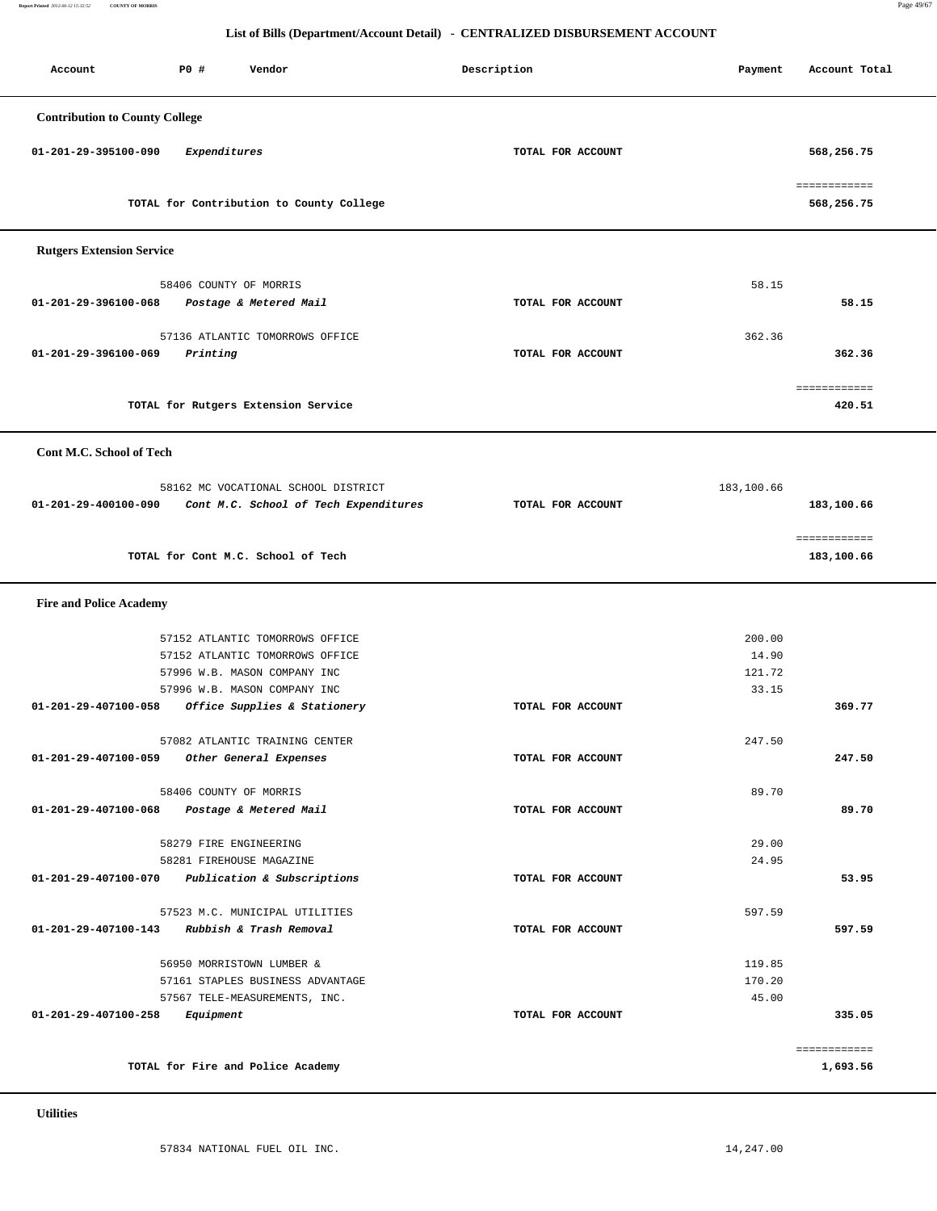**Report Printed** *2012-06-12 15:32:52* **COUNTY OF MORRIS** Page 49/67

| Account                                      | <b>PO #</b>            | Vendor                                                       |                                       | Description       | Payment    | Account Total              |
|----------------------------------------------|------------------------|--------------------------------------------------------------|---------------------------------------|-------------------|------------|----------------------------|
| <b>Contribution to County College</b>        |                        |                                                              |                                       |                   |            |                            |
|                                              |                        |                                                              |                                       |                   |            |                            |
| 01-201-29-395100-090                         | Expenditures           |                                                              |                                       | TOTAL FOR ACCOUNT |            | 568,256.75                 |
|                                              |                        | TOTAL for Contribution to County College                     |                                       |                   |            | ============<br>568,256.75 |
|                                              |                        |                                                              |                                       |                   |            |                            |
| <b>Rutgers Extension Service</b>             |                        |                                                              |                                       |                   |            |                            |
|                                              | 58406 COUNTY OF MORRIS |                                                              |                                       |                   | 58.15      |                            |
| 01-201-29-396100-068                         |                        | Postage & Metered Mail                                       |                                       | TOTAL FOR ACCOUNT |            | 58.15                      |
|                                              |                        |                                                              |                                       |                   |            |                            |
|                                              |                        | 57136 ATLANTIC TOMORROWS OFFICE                              |                                       |                   | 362.36     |                            |
| 01-201-29-396100-069                         | Printing               |                                                              |                                       | TOTAL FOR ACCOUNT |            | 362.36                     |
|                                              |                        |                                                              |                                       |                   |            | ============               |
|                                              |                        | TOTAL for Rutgers Extension Service                          |                                       |                   |            | 420.51                     |
|                                              |                        |                                                              |                                       |                   |            |                            |
| Cont M.C. School of Tech                     |                        |                                                              |                                       |                   |            |                            |
|                                              |                        | 58162 MC VOCATIONAL SCHOOL DISTRICT                          |                                       |                   | 183,100.66 |                            |
| 01-201-29-400100-090                         |                        |                                                              | Cont M.C. School of Tech Expenditures | TOTAL FOR ACCOUNT |            | 183,100.66                 |
|                                              |                        |                                                              |                                       |                   |            |                            |
|                                              |                        |                                                              |                                       |                   |            | ============               |
|                                              |                        | TOTAL for Cont M.C. School of Tech                           |                                       |                   |            | 183,100.66                 |
| <b>Fire and Police Academy</b>               |                        |                                                              |                                       |                   |            |                            |
|                                              |                        |                                                              |                                       |                   |            |                            |
|                                              |                        | 57152 ATLANTIC TOMORROWS OFFICE                              |                                       |                   | 200.00     |                            |
|                                              |                        | 57152 ATLANTIC TOMORROWS OFFICE                              |                                       |                   | 14.90      |                            |
|                                              |                        | 57996 W.B. MASON COMPANY INC                                 |                                       |                   | 121.72     |                            |
| 01-201-29-407100-058                         |                        | 57996 W.B. MASON COMPANY INC<br>Office Supplies & Stationery |                                       | TOTAL FOR ACCOUNT | 33.15      | 369.77                     |
|                                              |                        |                                                              |                                       |                   |            |                            |
|                                              |                        | 57082 ATLANTIC TRAINING CENTER                               |                                       |                   | 247.50     |                            |
| 01-201-29-407100-059                         |                        | Other General Expenses                                       |                                       | TOTAL FOR ACCOUNT |            | 247.50                     |
|                                              |                        |                                                              |                                       |                   |            |                            |
| 01-201-29-407100-068 Postage & Metered Mail  | 58406 COUNTY OF MORRIS |                                                              |                                       | TOTAL FOR ACCOUNT | 89.70      | 89.70                      |
|                                              |                        |                                                              |                                       |                   |            |                            |
|                                              | 58279 FIRE ENGINEERING |                                                              |                                       |                   | 29.00      |                            |
|                                              |                        | 58281 FIREHOUSE MAGAZINE                                     |                                       |                   | 24.95      |                            |
| 01-201-29-407100-070                         |                        | Publication & Subscriptions                                  |                                       | TOTAL FOR ACCOUNT |            | 53.95                      |
|                                              |                        | 57523 M.C. MUNICIPAL UTILITIES                               |                                       |                   | 597.59     |                            |
| 01-201-29-407100-143 Rubbish & Trash Removal |                        |                                                              |                                       | TOTAL FOR ACCOUNT |            | 597.59                     |
|                                              |                        |                                                              |                                       |                   |            |                            |
|                                              |                        | 56950 MORRISTOWN LUMBER &                                    |                                       |                   | 119.85     |                            |
|                                              |                        | 57161 STAPLES BUSINESS ADVANTAGE                             |                                       |                   | 170.20     |                            |
|                                              |                        | 57567 TELE-MEASUREMENTS, INC.                                |                                       |                   | 45.00      |                            |
| 01-201-29-407100-258                         | Equipment              |                                                              |                                       | TOTAL FOR ACCOUNT |            | 335.05                     |
|                                              |                        |                                                              |                                       |                   |            | ============               |
|                                              |                        | TOTAL for Fire and Police Academy                            |                                       |                   |            | 1,693.56                   |
|                                              |                        |                                                              |                                       |                   |            |                            |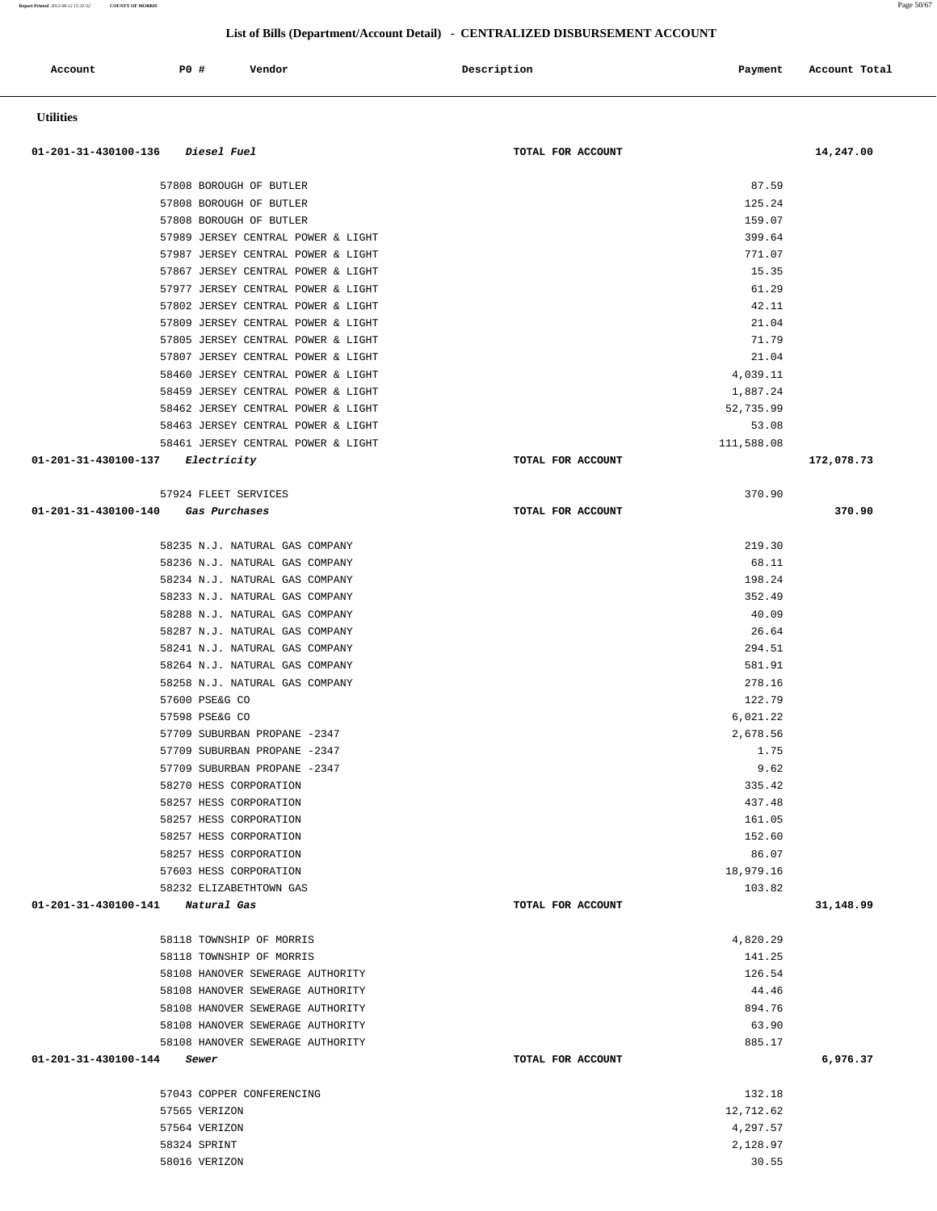| Account                          | P0 #                           | Vendor                                                                   | Description       | Payment               | Account Total |
|----------------------------------|--------------------------------|--------------------------------------------------------------------------|-------------------|-----------------------|---------------|
| <b>Utilities</b>                 |                                |                                                                          |                   |                       |               |
| 01-201-31-430100-136             | <i>Diesel Fuel</i>             |                                                                          | TOTAL FOR ACCOUNT |                       | 14,247.00     |
|                                  |                                | 57808 BOROUGH OF BUTLER                                                  |                   | 87.59                 |               |
|                                  |                                | 57808 BOROUGH OF BUTLER                                                  |                   | 125.24                |               |
|                                  |                                | 57808 BOROUGH OF BUTLER                                                  |                   | 159.07                |               |
|                                  |                                | 57989 JERSEY CENTRAL POWER & LIGHT                                       |                   | 399.64                |               |
|                                  |                                | 57987 JERSEY CENTRAL POWER & LIGHT                                       |                   | 771.07                |               |
|                                  |                                | 57867 JERSEY CENTRAL POWER & LIGHT                                       |                   | 15.35                 |               |
|                                  |                                | 57977 JERSEY CENTRAL POWER & LIGHT                                       |                   | 61.29                 |               |
|                                  |                                | 57802 JERSEY CENTRAL POWER & LIGHT                                       |                   | 42.11                 |               |
|                                  |                                | 57809 JERSEY CENTRAL POWER & LIGHT                                       |                   | 21.04                 |               |
|                                  |                                | 57805 JERSEY CENTRAL POWER & LIGHT                                       |                   | 71.79<br>21.04        |               |
|                                  |                                | 57807 JERSEY CENTRAL POWER & LIGHT<br>58460 JERSEY CENTRAL POWER & LIGHT |                   | 4,039.11              |               |
|                                  |                                | 58459 JERSEY CENTRAL POWER & LIGHT                                       |                   | 1,887.24              |               |
|                                  |                                | 58462 JERSEY CENTRAL POWER & LIGHT                                       |                   | 52,735.99             |               |
|                                  |                                | 58463 JERSEY CENTRAL POWER & LIGHT                                       |                   | 53.08                 |               |
|                                  |                                | 58461 JERSEY CENTRAL POWER & LIGHT                                       |                   | 111,588.08            |               |
| 01-201-31-430100-137             | Electricity                    |                                                                          | TOTAL FOR ACCOUNT |                       | 172,078.73    |
|                                  | 57924 FLEET SERVICES           |                                                                          |                   | 370.90                |               |
| 01-201-31-430100-140             |                                | Gas Purchases                                                            | TOTAL FOR ACCOUNT |                       | 370.90        |
|                                  |                                | 58235 N.J. NATURAL GAS COMPANY                                           |                   | 219.30<br>68.11       |               |
|                                  |                                | 58236 N.J. NATURAL GAS COMPANY<br>58234 N.J. NATURAL GAS COMPANY         |                   | 198.24                |               |
|                                  |                                | 58233 N.J. NATURAL GAS COMPANY                                           |                   | 352.49                |               |
|                                  |                                | 58288 N.J. NATURAL GAS COMPANY                                           |                   | 40.09                 |               |
|                                  |                                | 58287 N.J. NATURAL GAS COMPANY                                           |                   | 26.64                 |               |
|                                  |                                | 58241 N.J. NATURAL GAS COMPANY                                           |                   | 294.51                |               |
|                                  |                                | 58264 N.J. NATURAL GAS COMPANY                                           |                   | 581.91                |               |
|                                  |                                | 58258 N.J. NATURAL GAS COMPANY                                           |                   | 278.16                |               |
|                                  | 57600 PSE&G CO                 |                                                                          |                   | 122.79                |               |
|                                  | 57598 PSE&G CO                 |                                                                          |                   | 6,021.22              |               |
|                                  |                                | 57709 SUBURBAN PROPANE -2347                                             |                   | 2,678.56              |               |
|                                  |                                | 57709 SUBURBAN PROPANE -2347                                             |                   | 1.75                  |               |
|                                  |                                | 57709 SUBURBAN PROPANE -2347<br>58270 HESS CORPORATION                   |                   | 9.62<br>335.42        |               |
|                                  |                                | 58257 HESS CORPORATION                                                   |                   | 437.48                |               |
|                                  |                                | 58257 HESS CORPORATION                                                   |                   | 161.05                |               |
|                                  |                                | 58257 HESS CORPORATION                                                   |                   | 152.60                |               |
|                                  |                                | 58257 HESS CORPORATION                                                   |                   | 86.07                 |               |
|                                  |                                | 57603 HESS CORPORATION                                                   |                   | 18,979.16             |               |
|                                  |                                | 58232 ELIZABETHTOWN GAS                                                  |                   | 103.82                |               |
| 01-201-31-430100-141 Natural Gas |                                |                                                                          | TOTAL FOR ACCOUNT |                       | 31,148.99     |
|                                  |                                | 58118 TOWNSHIP OF MORRIS                                                 |                   | 4,820.29              |               |
|                                  |                                | 58118 TOWNSHIP OF MORRIS                                                 |                   | 141.25                |               |
|                                  |                                | 58108 HANOVER SEWERAGE AUTHORITY                                         |                   | 126.54                |               |
|                                  |                                | 58108 HANOVER SEWERAGE AUTHORITY                                         |                   | 44.46                 |               |
|                                  |                                | 58108 HANOVER SEWERAGE AUTHORITY                                         |                   | 894.76                |               |
|                                  |                                | 58108 HANOVER SEWERAGE AUTHORITY                                         |                   | 63.90                 |               |
| 01-201-31-430100-144             | Sewer                          | 58108 HANOVER SEWERAGE AUTHORITY                                         | TOTAL FOR ACCOUNT | 885.17                | 6,976.37      |
|                                  |                                |                                                                          |                   |                       |               |
|                                  |                                | 57043 COPPER CONFERENCING                                                |                   | 132.18                |               |
|                                  | 57565 VERIZON<br>57564 VERIZON |                                                                          |                   | 12,712.62<br>4,297.57 |               |
|                                  | 58324 SPRINT                   |                                                                          |                   | 2,128.97              |               |
|                                  | 58016 VERIZON                  |                                                                          |                   | 30.55                 |               |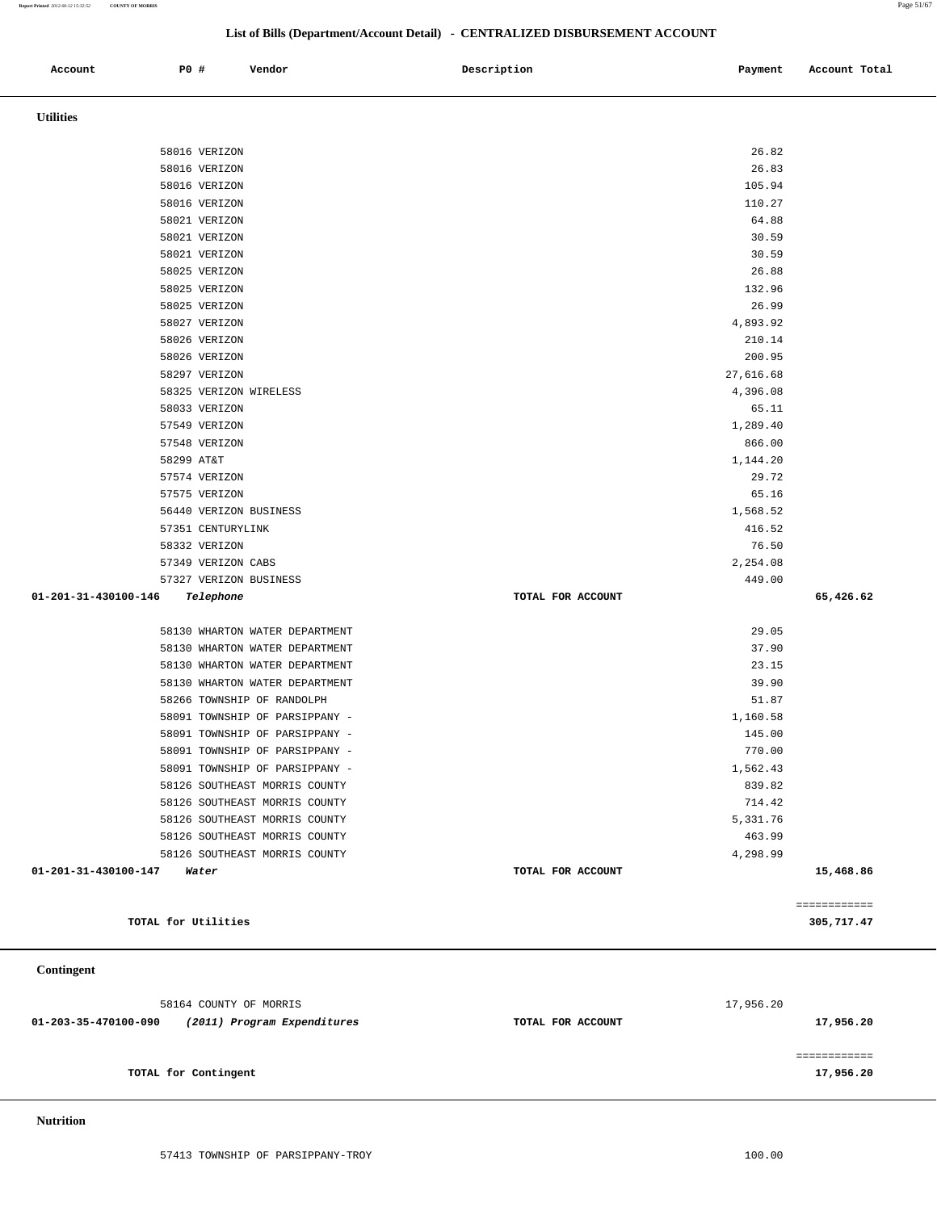**Report Printed** *2012-06-12 15:32:52* **COUNTY OF MORRIS** Page 51/67

## **List of Bills (Department/Account Detail) - CENTRALIZED DISBURSEMENT ACCOUNT**

| Account                      | P0 #                           | Vendor                         | Description       | Payment            | Account Total |
|------------------------------|--------------------------------|--------------------------------|-------------------|--------------------|---------------|
| <b>Utilities</b>             |                                |                                |                   |                    |               |
|                              |                                |                                |                   |                    |               |
|                              | 58016 VERIZON                  |                                |                   | 26.82<br>26.83     |               |
|                              | 58016 VERIZON                  |                                |                   |                    |               |
|                              | 58016 VERIZON                  |                                |                   | 105.94<br>110.27   |               |
|                              | 58016 VERIZON<br>58021 VERIZON |                                |                   | 64.88              |               |
|                              | 58021 VERIZON                  |                                |                   | 30.59              |               |
|                              | 58021 VERIZON                  |                                |                   | 30.59              |               |
|                              | 58025 VERIZON                  |                                |                   | 26.88              |               |
|                              | 58025 VERIZON                  |                                |                   | 132.96             |               |
|                              | 58025 VERIZON                  |                                |                   | 26.99              |               |
|                              |                                |                                |                   |                    |               |
|                              | 58027 VERIZON<br>58026 VERIZON |                                |                   | 4,893.92<br>210.14 |               |
|                              | 58026 VERIZON                  |                                |                   | 200.95             |               |
|                              | 58297 VERIZON                  |                                |                   | 27,616.68          |               |
|                              | 58325 VERIZON WIRELESS         |                                |                   | 4,396.08           |               |
|                              | 58033 VERIZON                  |                                |                   | 65.11              |               |
|                              | 57549 VERIZON                  |                                |                   | 1,289.40           |               |
|                              | 57548 VERIZON                  |                                |                   | 866.00             |               |
|                              | 58299 AT&T                     |                                |                   | 1,144.20           |               |
|                              | 57574 VERIZON                  |                                |                   | 29.72              |               |
|                              | 57575 VERIZON                  |                                |                   | 65.16              |               |
|                              | 56440 VERIZON BUSINESS         |                                |                   | 1,568.52           |               |
|                              | 57351 CENTURYLINK              |                                |                   | 416.52             |               |
|                              | 58332 VERIZON                  |                                |                   | 76.50              |               |
|                              | 57349 VERIZON CABS             |                                |                   | 2,254.08           |               |
|                              | 57327 VERIZON BUSINESS         |                                |                   | 449.00             |               |
| 01-201-31-430100-146         | Telephone                      |                                | TOTAL FOR ACCOUNT |                    | 65,426.62     |
|                              |                                | 58130 WHARTON WATER DEPARTMENT |                   | 29.05              |               |
|                              |                                | 58130 WHARTON WATER DEPARTMENT |                   | 37.90              |               |
|                              |                                | 58130 WHARTON WATER DEPARTMENT |                   | 23.15              |               |
|                              |                                | 58130 WHARTON WATER DEPARTMENT |                   | 39.90              |               |
|                              |                                | 58266 TOWNSHIP OF RANDOLPH     |                   | 51.87              |               |
|                              |                                | 58091 TOWNSHIP OF PARSIPPANY - |                   | 1,160.58           |               |
|                              |                                | 58091 TOWNSHIP OF PARSIPPANY - |                   | 145.00             |               |
|                              |                                | 58091 TOWNSHIP OF PARSIPPANY - |                   | 770.00             |               |
|                              |                                | 58091 TOWNSHIP OF PARSIPPANY - |                   | 1,562.43           |               |
|                              |                                | 58126 SOUTHEAST MORRIS COUNTY  |                   | 839.82             |               |
|                              |                                | 58126 SOUTHEAST MORRIS COUNTY  |                   | 714.42             |               |
|                              |                                | 58126 SOUTHEAST MORRIS COUNTY  |                   | 5,331.76           |               |
|                              |                                | 58126 SOUTHEAST MORRIS COUNTY  |                   | 463.99             |               |
|                              |                                | 58126 SOUTHEAST MORRIS COUNTY  |                   | 4,298.99           |               |
| $01-201-31-430100-147$ Water |                                |                                | TOTAL FOR ACCOUNT |                    | 15,468.86     |
|                              |                                |                                |                   |                    | ============  |
|                              | TOTAL for Utilities            |                                |                   |                    | 305,717.47    |
|                              |                                |                                |                   |                    |               |

 **Contingent** 

|                      | 58164 COUNTY OF MORRIS      |                   | 17,956.20 |
|----------------------|-----------------------------|-------------------|-----------|
| 01-203-35-470100-090 | (2011) Program Expenditures | TOTAL FOR ACCOUNT | 17,956.20 |
|                      |                             |                   |           |
|                      | TOTAL for Contingent        |                   | 17,956.20 |

 **Nutrition**